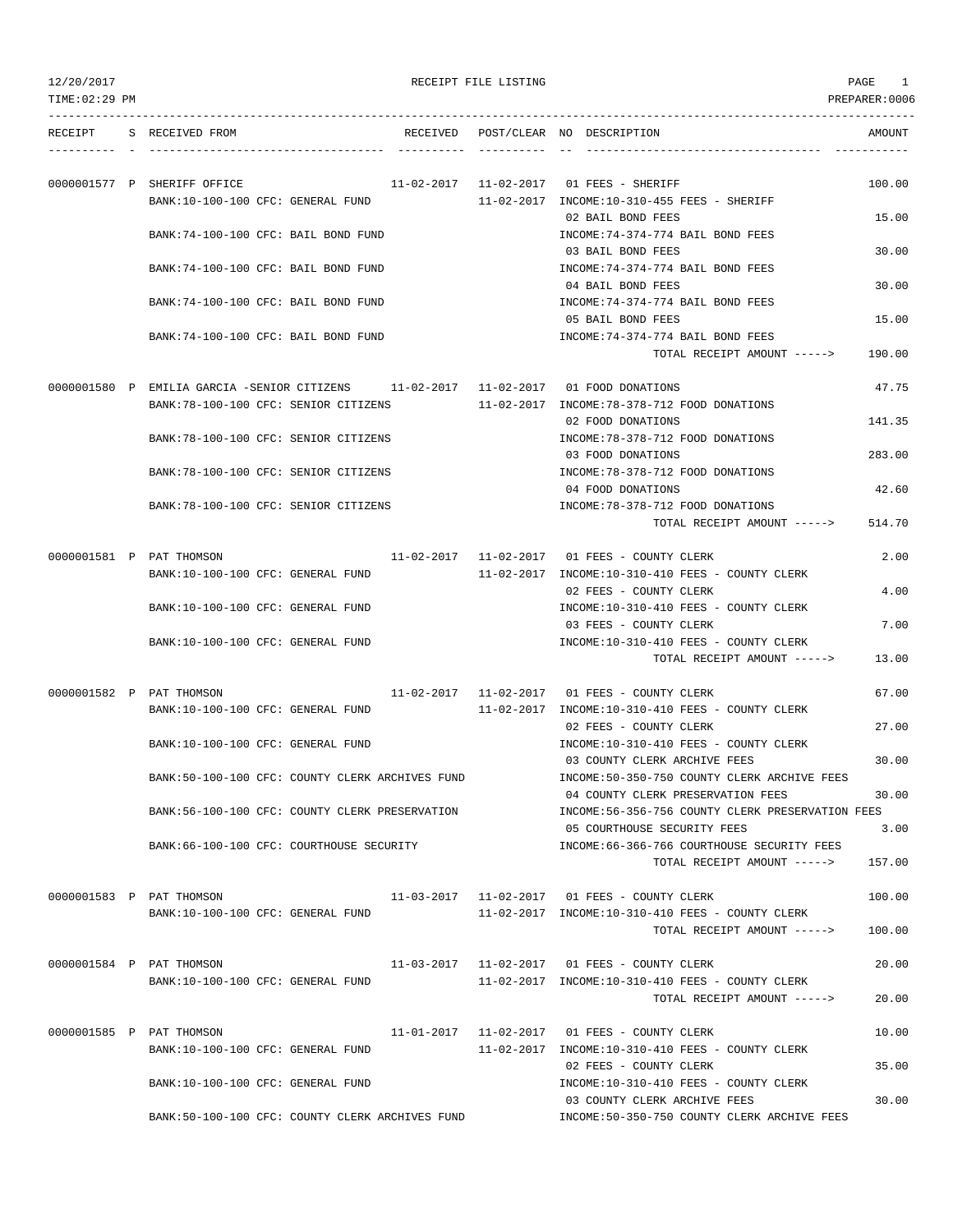| 12/20/2017     |                                                                                                                              | RECEIPT FILE LISTING |                                                                                 | PAGE<br>1      |
|----------------|------------------------------------------------------------------------------------------------------------------------------|----------------------|---------------------------------------------------------------------------------|----------------|
| TIME: 02:29 PM |                                                                                                                              |                      |                                                                                 | PREPARER: 0006 |
| RECEIPT        | S RECEIVED FROM                                                                                                              |                      | RECEIVED POST/CLEAR NO DESCRIPTION                                              | AMOUNT         |
|                |                                                                                                                              |                      |                                                                                 |                |
|                | 0000001577 P SHERIFF OFFICE                                                                                                  |                      | 11-02-2017   11-02-2017   01 FEES - SHERIFF                                     | 100.00         |
|                | BANK:10-100-100 CFC: GENERAL FUND                                                                                            |                      | 11-02-2017 INCOME:10-310-455 FEES - SHERIFF                                     |                |
|                |                                                                                                                              |                      | 02 BAIL BOND FEES                                                               | 15.00          |
|                | BANK: 74-100-100 CFC: BAIL BOND FUND                                                                                         |                      | INCOME: 74-374-774 BAIL BOND FEES<br>03 BAIL BOND FEES                          | 30.00          |
|                | BANK:74-100-100 CFC: BAIL BOND FUND                                                                                          |                      | INCOME: 74-374-774 BAIL BOND FEES                                               |                |
|                |                                                                                                                              |                      | 04 BAIL BOND FEES                                                               | 30.00          |
|                | BANK:74-100-100 CFC: BAIL BOND FUND                                                                                          |                      | INCOME: 74-374-774 BAIL BOND FEES                                               |                |
|                | BANK: 74-100-100 CFC: BAIL BOND FUND                                                                                         |                      | 05 BAIL BOND FEES<br>INCOME: 74-374-774 BAIL BOND FEES                          | 15.00          |
|                |                                                                                                                              |                      | TOTAL RECEIPT AMOUNT ----->                                                     | 190.00         |
|                |                                                                                                                              |                      |                                                                                 |                |
|                | 0000001580 P EMILIA GARCIA -SENIOR CITIZENS 11-02-2017 11-02-2017 01 FOOD DONATIONS<br>BANK: 78-100-100 CFC: SENIOR CITIZENS |                      | 11-02-2017 INCOME: 78-378-712 FOOD DONATIONS                                    | 47.75          |
|                |                                                                                                                              |                      | 02 FOOD DONATIONS                                                               | 141.35         |
|                | BANK: 78-100-100 CFC: SENIOR CITIZENS                                                                                        |                      | INCOME: 78-378-712 FOOD DONATIONS                                               |                |
|                |                                                                                                                              |                      | 03 FOOD DONATIONS                                                               | 283.00         |
|                | BANK: 78-100-100 CFC: SENIOR CITIZENS                                                                                        |                      | INCOME: 78-378-712 FOOD DONATIONS<br>04 FOOD DONATIONS                          | 42.60          |
|                | BANK: 78-100-100 CFC: SENIOR CITIZENS                                                                                        |                      | INCOME: 78-378-712 FOOD DONATIONS                                               |                |
|                |                                                                                                                              |                      | TOTAL RECEIPT AMOUNT ----->                                                     | 514.70         |
|                | 0000001581 P PAT THOMSON                                                                                                     |                      | 11-02-2017   11-02-2017   01 FEES - COUNTY CLERK                                | 2.00           |
|                | BANK:10-100-100 CFC: GENERAL FUND                                                                                            |                      | 11-02-2017 INCOME:10-310-410 FEES - COUNTY CLERK                                |                |
|                |                                                                                                                              |                      | 02 FEES - COUNTY CLERK                                                          | 4.00           |
|                | BANK:10-100-100 CFC: GENERAL FUND                                                                                            |                      | INCOME:10-310-410 FEES - COUNTY CLERK<br>03 FEES - COUNTY CLERK                 | 7.00           |
|                | BANK:10-100-100 CFC: GENERAL FUND                                                                                            |                      | INCOME:10-310-410 FEES - COUNTY CLERK                                           |                |
|                |                                                                                                                              |                      | TOTAL RECEIPT AMOUNT ----->                                                     | 13.00          |
|                | 0000001582 P PAT THOMSON                                                                                                     |                      | 11-02-2017   11-02-2017   01   FEES - COUNTY CLERK                              | 67.00          |
|                | BANK:10-100-100 CFC: GENERAL FUND                                                                                            |                      | 11-02-2017 INCOME:10-310-410 FEES - COUNTY CLERK                                |                |
|                |                                                                                                                              |                      | 02 FEES - COUNTY CLERK                                                          | 27.00          |
|                | BANK:10-100-100 CFC: GENERAL FUND                                                                                            |                      | INCOME:10-310-410 FEES - COUNTY CLERK<br>03 COUNTY CLERK ARCHIVE FEES           | 30.00          |
|                | BANK:50-100-100 CFC: COUNTY CLERK ARCHIVES FUND                                                                              |                      | INCOME: 50-350-750 COUNTY CLERK ARCHIVE FEES                                    |                |
|                |                                                                                                                              |                      | 04 COUNTY CLERK PRESERVATION FEES                                               | 30.00          |
|                | BANK:56-100-100 CFC: COUNTY CLERK PRESERVATION                                                                               |                      | INCOME:56-356-756 COUNTY CLERK PRESERVATION FEES<br>05 COURTHOUSE SECURITY FEES | 3.00           |
|                | BANK:66-100-100 CFC: COURTHOUSE SECURITY                                                                                     |                      | INCOME: 66-366-766 COURTHOUSE SECURITY FEES                                     |                |
|                |                                                                                                                              |                      | TOTAL RECEIPT AMOUNT ----->                                                     | 157.00         |
|                | 0000001583 P PAT THOMSON                                                                                                     |                      | 11-03-2017   11-02-2017   01   FEES - COUNTY CLERK                              | 100.00         |
|                | BANK:10-100-100 CFC: GENERAL FUND                                                                                            |                      | 11-02-2017 INCOME:10-310-410 FEES - COUNTY CLERK                                |                |
|                |                                                                                                                              |                      | TOTAL RECEIPT AMOUNT ----->                                                     | 100.00         |
|                | 0000001584 P PAT THOMSON                                                                                                     |                      | 11-03-2017   11-02-2017   01   FEES - COUNTY CLERK                              | 20.00          |
|                | BANK:10-100-100 CFC: GENERAL FUND                                                                                            |                      | 11-02-2017 INCOME:10-310-410 FEES - COUNTY CLERK                                |                |
|                |                                                                                                                              |                      | TOTAL RECEIPT AMOUNT ----->                                                     | 20.00          |
|                | 0000001585 P PAT THOMSON                                                                                                     |                      | 11-01-2017   11-02-2017   01 FEES - COUNTY CLERK                                | 10.00          |
|                | BANK:10-100-100 CFC: GENERAL FUND                                                                                            |                      | 11-02-2017 INCOME:10-310-410 FEES - COUNTY CLERK                                |                |
|                | BANK:10-100-100 CFC: GENERAL FUND                                                                                            |                      | 02 FEES - COUNTY CLERK<br>INCOME:10-310-410 FEES - COUNTY CLERK                 | 35.00          |
|                |                                                                                                                              |                      | 03 COUNTY CLERK ARCHIVE FEES                                                    | 30.00          |
|                | BANK:50-100-100 CFC: COUNTY CLERK ARCHIVES FUND                                                                              |                      | INCOME:50-350-750 COUNTY CLERK ARCHIVE FEES                                     |                |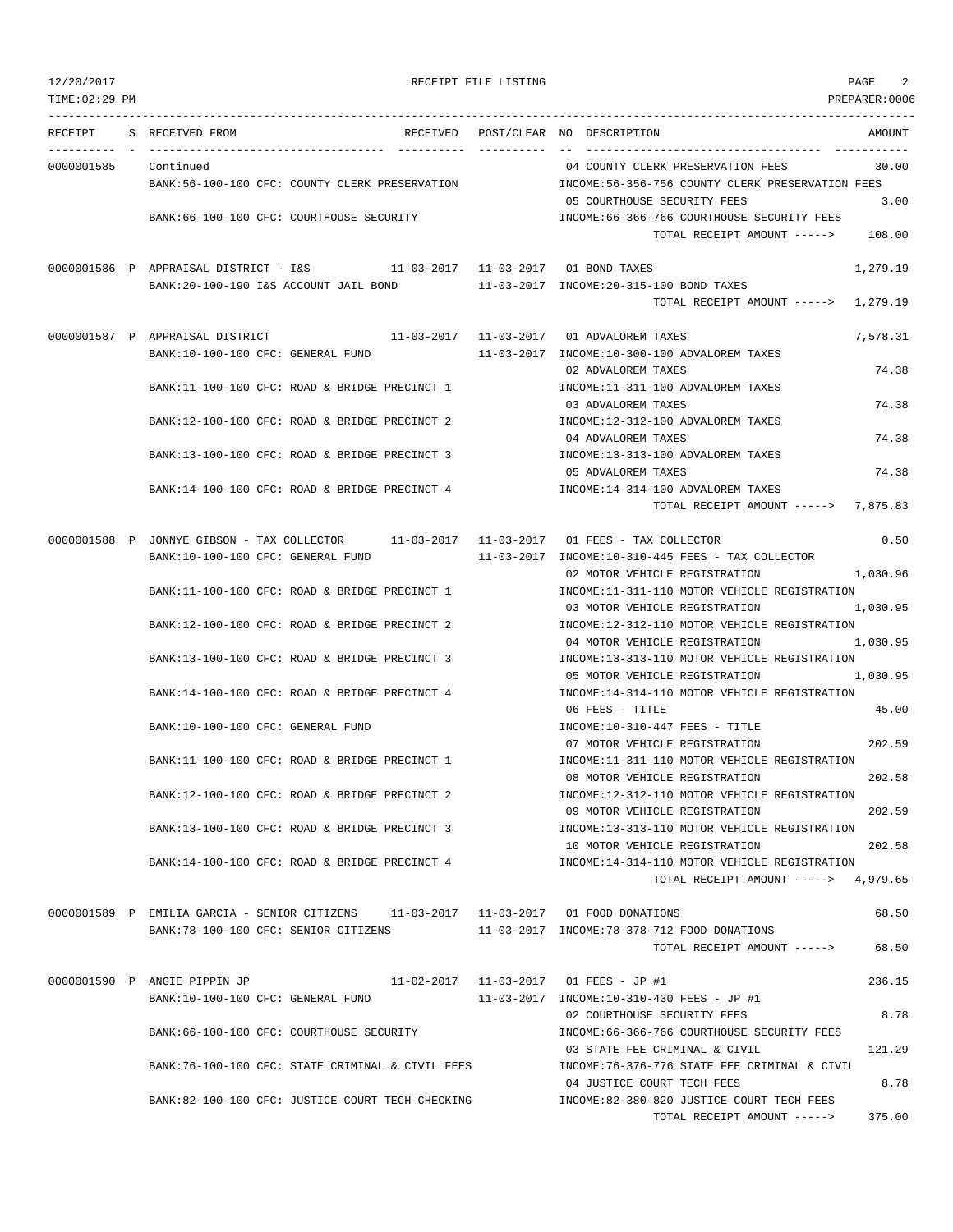# 12/2017 RECEIPT FILE LISTING RECEIPT FILE LISTING

TIME:02:29 PM PREPARER:0006 --------------------------------------------------------------------------------------------------------------------------------- RECEIPT S RECEIVED FROM THE RECEIVED POST/CLEAR NO DESCRIPTION THE SECRET AMOUNT ---------- - ----------------------------------- ---------- ---------- -- ----------------------------------- ----------- 0000001585 Continued 04 COUNTY CLERK PRESERVATION FEES 30.00 BANK:56-100-100 CFC: COUNTY CLERK PRESERVATION INCOME:56-356-756 COUNTY CLERK PRESERVATION FEES 05 COURTHOUSE SECURITY FEES 3.00 BANK:66-100-100 CFC: COURTHOUSE SECURITY INCOME:66-366-766 COURTHOUSE SECURITY FEES TOTAL RECEIPT AMOUNT -----> 108.00 0000001586 P APPRAISAL DISTRICT - I&S 11-03-2017 11-03-2017 01 BOND TAXES 1,279.19 BANK:20-100-190 I&S ACCOUNT JAIL BOND 11-03-2017 INCOME:20-315-100 BOND TAXES TOTAL RECEIPT AMOUNT -----> 1,279.19 0000001587 P APPRAISAL DISTRICT 11-03-2017 11-03-2017 11-03-2017 01 ADVALOREM TAXES 7,578.31 BANK:10-100-100 CFC: GENERAL FUND 11-03-2017 INCOME:10-300-100 ADVALOREM TAXES 02 ADVALOREM TAXES 74.38 BANK:11-100-100 CFC: ROAD & BRIDGE PRECINCT 1 INCOME:11-311-100 ADVALOREM TAXES 03 ADVALOREM TAXES 74.38 BANK:12-100-100 CFC: ROAD & BRIDGE PRECINCT 2 INCOME:12-312-100 ADVALOREM TAXES 04 ADVALOREM TAXES 74.38 BANK:13-100-100 CFC: ROAD & BRIDGE PRECINCT 3 INCOME:13-313-100 ADVALOREM TAXES 05 ADVALOREM TAXES 74.38 BANK:14-100-100 CFC: ROAD & BRIDGE PRECINCT 4 INCOME:14-314-100 ADVALOREM TAXES TOTAL RECEIPT AMOUNT -----> 7,875.83 0000001588 P JONNYE GIBSON - TAX COLLECTOR 11-03-2017 11-03-2017 01 FEES - TAX COLLECTOR 0.50 BANK:10-100-100 CFC: GENERAL FUND 11-03-2017 INCOME:10-310-445 FEES - TAX COLLECTOR 02 MOTOR VEHICLE REGISTRATION 1,030.96 BANK:11-100-100 CFC: ROAD & BRIDGE PRECINCT 1 INCOME:11-311-110 MOTOR VEHICLE REGISTRATION 03 MOTOR VEHICLE REGISTRATION 1,030.95 BANK:12-100-100 CFC: ROAD & BRIDGE PRECINCT 2 INCOME:12-312-110 MOTOR VEHICLE REGISTRATION 04 MOTOR VEHICLE REGISTRATION 1,030.95 BANK:13-100-100 CFC: ROAD & BRIDGE PRECINCT 3 INCOME:13-313-110 MOTOR VEHICLE REGISTRATION 05 MOTOR VEHICLE REGISTRATION 1,030.95 BANK:14-100-100 CFC: ROAD & BRIDGE PRECINCT 4 INCOME:14-314-110 MOTOR VEHICLE REGISTRATION 06 FEES - TITLE 45.00 BANK:10-100-100 CFC: GENERAL FUND **INCOME:10-310-447 FEES** - TITLE 07 MOTOR VEHICLE REGISTRATION 202.59 BANK:11-100-100 CFC: ROAD & BRIDGE PRECINCT 1 INCOME:11-311-110 MOTOR VEHICLE REGISTRATION 08 MOTOR VEHICLE REGISTRATION 202.58 BANK:12-100-100 CFC: ROAD & BRIDGE PRECINCT 2 INCOME:12-312-110 MOTOR VEHICLE REGISTRATION 09 MOTOR VEHICLE REGISTRATION 202.59 BANK:13-100-100 CFC: ROAD & BRIDGE PRECINCT 3 INCOME:13-313-110 MOTOR VEHICLE REGISTRATION 10 MOTOR VEHICLE REGISTRATION 202.58 BANK:14-100-100 CFC: ROAD & BRIDGE PRECINCT 4 INCOME:14-314-110 MOTOR VEHICLE REGISTRATION TOTAL RECEIPT AMOUNT -----> 4,979.65 0000001589 P EMILIA GARCIA - SENIOR CITIZENS 11-03-2017 11-03-2017 01 FOOD DONATIONS 68.50 BANK:78-100-100 CFC: SENIOR CITIZENS 11-03-2017 INCOME:78-378-712 FOOD DONATIONS TOTAL RECEIPT AMOUNT -----> 68.50 0000001590 P ANGIE PIPPIN JP 11-02-2017 11-03-2017 01 FEES - JP #1 236.15 BANK:10-100-100 CFC: GENERAL FUND 11-03-2017 INCOME:10-310-430 FEES - JP #1 02 COURTHOUSE SECURITY FEES 8.78 BANK:66-100-100 CFC: COURTHOUSE SECURITY INCOME:66-366-766 COURTHOUSE SECURITY FEES 03 STATE FEE CRIMINAL & CIVIL 121.29 BANK:76-100-100 CFC: STATE CRIMINAL & CIVIL FEES INCOME:76-376-776 STATE FEE CRIMINAL & CIVIL 04 JUSTICE COURT TECH FEES 8.78 BANK:82-100-100 CFC: JUSTICE COURT TECH CHECKING INCOME:82-380-820 JUSTICE COURT TECH FEES TOTAL RECEIPT AMOUNT -----> 375.00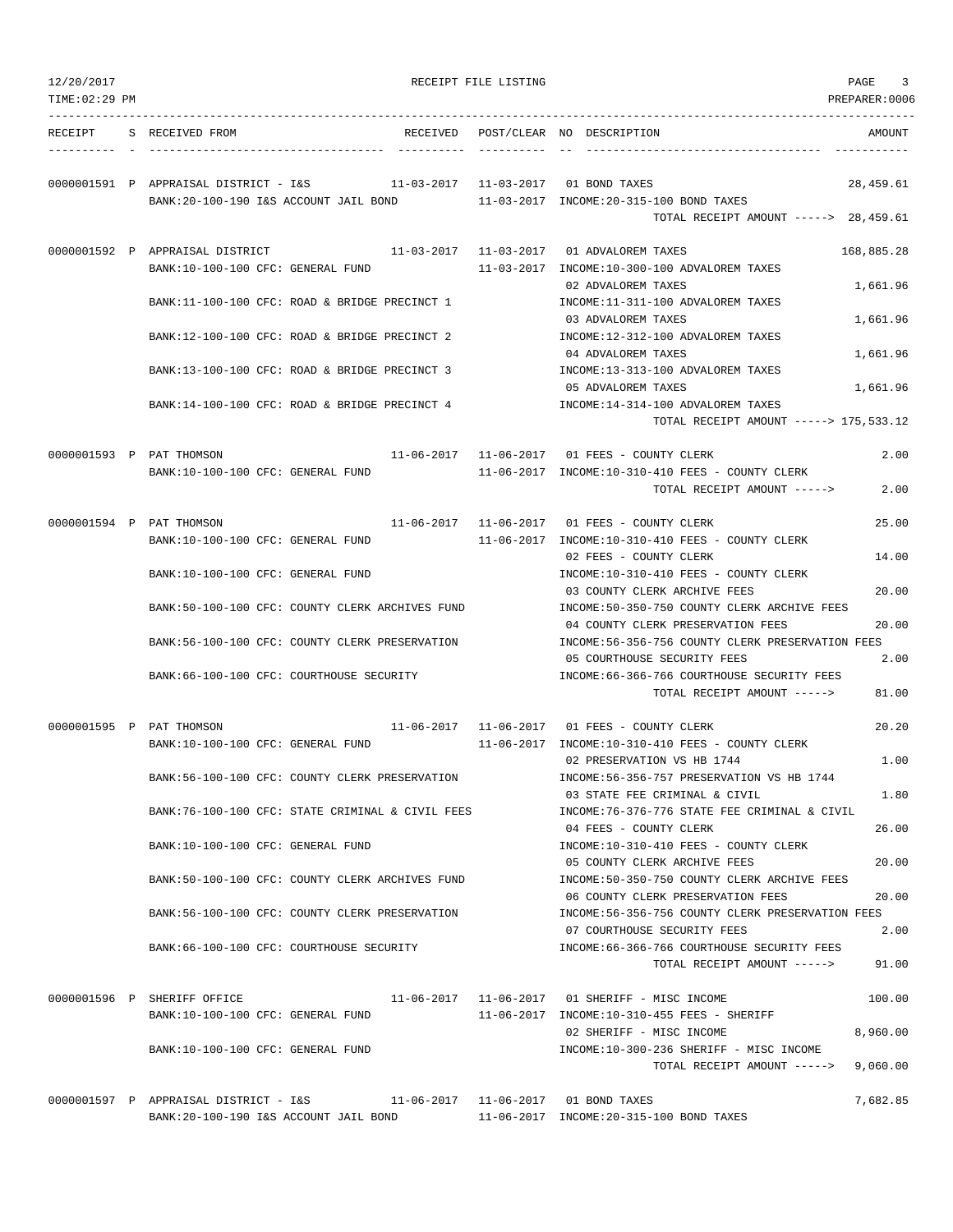| 12/20/2017     |                                                                           | RECEIPT FILE LISTING | PAGE<br>3                                                                                 |
|----------------|---------------------------------------------------------------------------|----------------------|-------------------------------------------------------------------------------------------|
| TIME: 02:29 PM |                                                                           |                      | PREPARER: 0006                                                                            |
| RECEIPT        | S RECEIVED FROM                                                           |                      | RECEIVED POST/CLEAR NO DESCRIPTION<br>AMOUNT                                              |
|                |                                                                           |                      |                                                                                           |
|                | 0000001591 P APPRAISAL DISTRICT - I&S 11-03-2017 11-03-2017 01 BOND TAXES |                      | 28,459.61                                                                                 |
|                | BANK:20-100-190 I&S ACCOUNT JAIL BOND                                     |                      | 11-03-2017 INCOME:20-315-100 BOND TAXES                                                   |
|                |                                                                           |                      | TOTAL RECEIPT AMOUNT -----> 28,459.61                                                     |
|                | 0000001592 P APPRAISAL DISTRICT                                           |                      | 11-03-2017    11-03-2017    01    ADVALOREM TAXES<br>168,885.28                           |
|                | BANK:10-100-100 CFC: GENERAL FUND                                         |                      | 11-03-2017 INCOME:10-300-100 ADVALOREM TAXES                                              |
|                |                                                                           |                      | 02 ADVALOREM TAXES<br>1,661.96                                                            |
|                | BANK:11-100-100 CFC: ROAD & BRIDGE PRECINCT 1                             |                      | INCOME:11-311-100 ADVALOREM TAXES<br>03 ADVALOREM TAXES<br>1,661.96                       |
|                | BANK:12-100-100 CFC: ROAD & BRIDGE PRECINCT 2                             |                      | INCOME:12-312-100 ADVALOREM TAXES                                                         |
|                |                                                                           |                      | 04 ADVALOREM TAXES<br>1,661.96                                                            |
|                | BANK:13-100-100 CFC: ROAD & BRIDGE PRECINCT 3                             |                      | INCOME:13-313-100 ADVALOREM TAXES                                                         |
|                |                                                                           |                      | 05 ADVALOREM TAXES<br>1,661.96                                                            |
|                | BANK:14-100-100 CFC: ROAD & BRIDGE PRECINCT 4                             |                      | INCOME: 14-314-100 ADVALOREM TAXES                                                        |
|                |                                                                           |                      | TOTAL RECEIPT AMOUNT -----> 175,533.12                                                    |
|                | 0000001593 P PAT THOMSON                                                  |                      | 11-06-2017   11-06-2017   01   FEES - COUNTY CLERK<br>2.00                                |
|                | BANK:10-100-100 CFC: GENERAL FUND                                         |                      | 11-06-2017 INCOME:10-310-410 FEES - COUNTY CLERK                                          |
|                |                                                                           |                      | 2.00<br>TOTAL RECEIPT AMOUNT ----->                                                       |
|                | 0000001594 P PAT THOMSON                                                  |                      | 11-06-2017   11-06-2017   01   FEES - COUNTY CLERK<br>25.00                               |
|                | BANK:10-100-100 CFC: GENERAL FUND                                         |                      | 11-06-2017 INCOME:10-310-410 FEES - COUNTY CLERK                                          |
|                |                                                                           |                      | 02 FEES - COUNTY CLERK<br>14.00                                                           |
|                | BANK:10-100-100 CFC: GENERAL FUND                                         |                      | INCOME:10-310-410 FEES - COUNTY CLERK                                                     |
|                | BANK:50-100-100 CFC: COUNTY CLERK ARCHIVES FUND                           |                      | 20.00<br>03 COUNTY CLERK ARCHIVE FEES<br>INCOME:50-350-750 COUNTY CLERK ARCHIVE FEES      |
|                |                                                                           |                      | 04 COUNTY CLERK PRESERVATION FEES<br>20.00                                                |
|                | BANK:56-100-100 CFC: COUNTY CLERK PRESERVATION                            |                      | INCOME:56-356-756 COUNTY CLERK PRESERVATION FEES                                          |
|                |                                                                           |                      | 05 COURTHOUSE SECURITY FEES<br>2.00                                                       |
|                | BANK:66-100-100 CFC: COURTHOUSE SECURITY                                  |                      | INCOME: 66-366-766 COURTHOUSE SECURITY FEES                                               |
|                |                                                                           |                      | TOTAL RECEIPT AMOUNT -----><br>81.00                                                      |
|                | 0000001595 P PAT THOMSON                                                  |                      | 11-06-2017   11-06-2017   01   FEES - COUNTY CLERK<br>20.20                               |
|                | BANK:10-100-100 CFC: GENERAL FUND                                         |                      | $11 - 06 - 2017$ INCOME: $10 - 310 - 410$ FEES - COUNTY CLERK                             |
|                |                                                                           |                      | 02 PRESERVATION VS HB 1744<br>1.00                                                        |
|                | BANK:56-100-100 CFC: COUNTY CLERK PRESERVATION                            |                      | INCOME: 56-356-757 PRESERVATION VS HB 1744<br>03 STATE FEE CRIMINAL & CIVIL<br>1.80       |
|                | BANK:76-100-100 CFC: STATE CRIMINAL & CIVIL FEES                          |                      | INCOME: 76-376-776 STATE FEE CRIMINAL & CIVIL                                             |
|                |                                                                           |                      | 26.00<br>04 FEES - COUNTY CLERK                                                           |
|                | BANK:10-100-100 CFC: GENERAL FUND                                         |                      | INCOME:10-310-410 FEES - COUNTY CLERK                                                     |
|                |                                                                           |                      | 20.00<br>05 COUNTY CLERK ARCHIVE FEES                                                     |
|                | BANK:50-100-100 CFC: COUNTY CLERK ARCHIVES FUND                           |                      | INCOME:50-350-750 COUNTY CLERK ARCHIVE FEES<br>06 COUNTY CLERK PRESERVATION FEES<br>20.00 |
|                | BANK:56-100-100 CFC: COUNTY CLERK PRESERVATION                            |                      | INCOME:56-356-756 COUNTY CLERK PRESERVATION FEES                                          |
|                |                                                                           |                      | 07 COURTHOUSE SECURITY FEES<br>2.00                                                       |
|                | BANK:66-100-100 CFC: COURTHOUSE SECURITY                                  |                      | INCOME: 66-366-766 COURTHOUSE SECURITY FEES                                               |
|                |                                                                           |                      | 91.00<br>TOTAL RECEIPT AMOUNT ----->                                                      |
|                | 0000001596 P SHERIFF OFFICE                                               |                      | 11-06-2017   11-06-2017   01 SHERIFF - MISC INCOME<br>100.00                              |
|                | BANK:10-100-100 CFC: GENERAL FUND                                         |                      | 11-06-2017 INCOME:10-310-455 FEES - SHERIFF                                               |
|                |                                                                           |                      | 02 SHERIFF - MISC INCOME<br>8,960.00                                                      |
|                | BANK:10-100-100 CFC: GENERAL FUND                                         |                      | INCOME:10-300-236 SHERIFF - MISC INCOME                                                   |
|                |                                                                           |                      | TOTAL RECEIPT AMOUNT -----><br>9,060.00                                                   |
|                | 0000001597 P APPRAISAL DISTRICT - I&S                                     |                      | 7,682.85<br>11-06-2017   11-06-2017   01   BOND TAXES                                     |
|                | BANK:20-100-190 I&S ACCOUNT JAIL BOND                                     |                      | 11-06-2017 INCOME:20-315-100 BOND TAXES                                                   |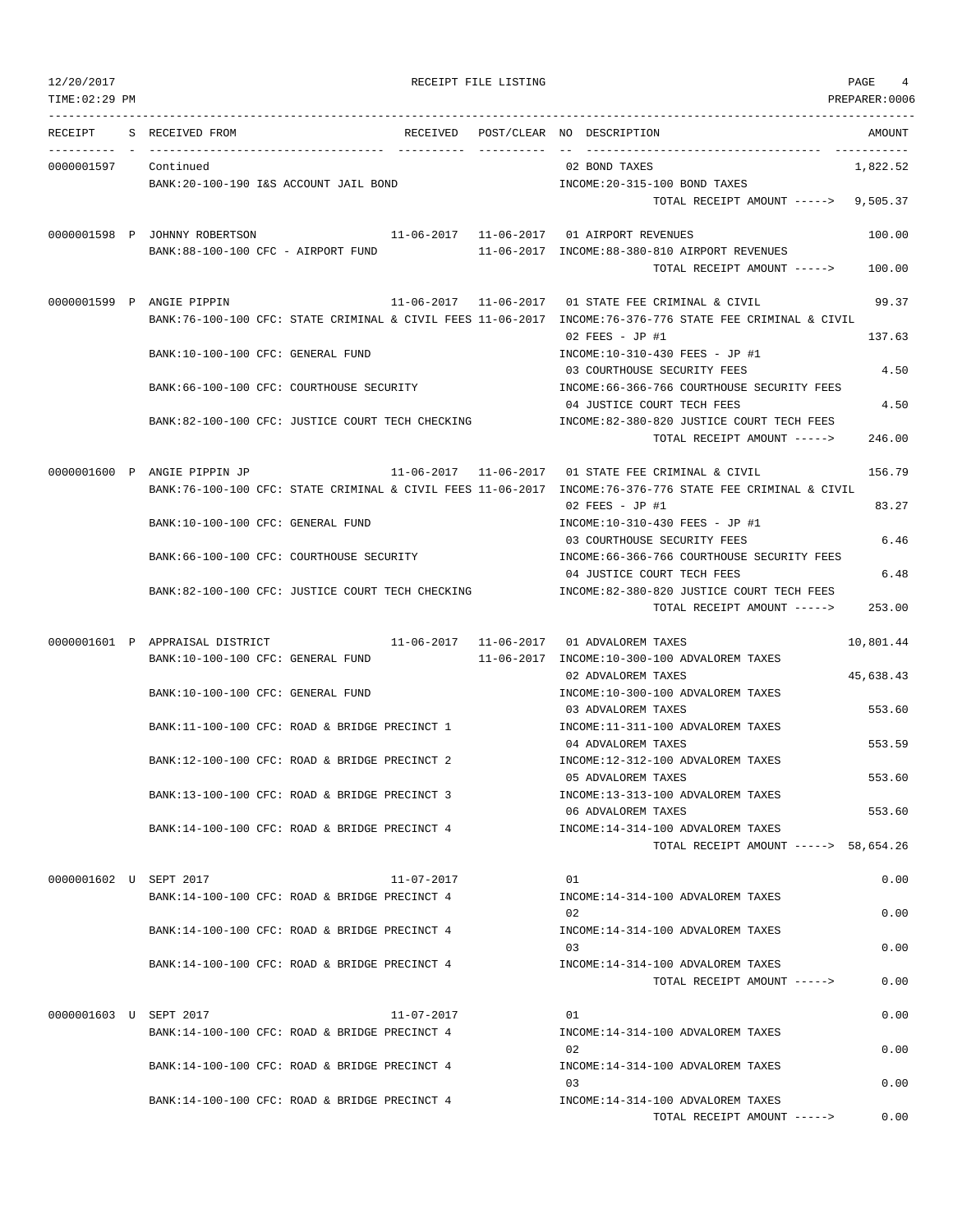| 12/20/2017<br>TIME: 02:29 PM |                                                  |                  | RECEIPT FILE LISTING |                                                                                                                             | PAGE<br>4<br>PREPARER:0006 |
|------------------------------|--------------------------------------------------|------------------|----------------------|-----------------------------------------------------------------------------------------------------------------------------|----------------------------|
| RECEIPT                      | S RECEIVED FROM                                  |                  |                      | RECEIVED POST/CLEAR NO DESCRIPTION                                                                                          | AMOUNT                     |
| 0000001597 Continued         |                                                  |                  |                      | 02 BOND TAXES                                                                                                               | 1,822.52                   |
|                              | BANK:20-100-190 I&S ACCOUNT JAIL BOND            |                  |                      | INCOME: 20-315-100 BOND TAXES                                                                                               |                            |
|                              |                                                  |                  |                      | TOTAL RECEIPT AMOUNT -----> 9,505.37                                                                                        |                            |
|                              | 0000001598 P JOHNNY ROBERTSON                    |                  |                      | 11-06-2017   11-06-2017   01 AIRPORT REVENUES                                                                               | 100.00                     |
|                              | BANK:88-100-100 CFC - AIRPORT FUND               |                  |                      | 11-06-2017 INCOME:88-380-810 AIRPORT REVENUES                                                                               |                            |
|                              |                                                  |                  |                      | TOTAL RECEIPT AMOUNT ----->                                                                                                 | 100.00                     |
|                              | 0000001599 P ANGIE PIPPIN                        |                  |                      | 11-06-2017   11-06-2017   01 STATE FEE CRIMINAL & CIVIL                                                                     | 99.37                      |
|                              |                                                  |                  |                      | BANK:76-100-100 CFC: STATE CRIMINAL & CIVIL FEES 11-06-2017 INCOME:76-376-776 STATE FEE CRIMINAL & CIVIL                    |                            |
|                              |                                                  |                  |                      | 02 FEES - JP #1                                                                                                             | 137.63                     |
|                              | BANK:10-100-100 CFC: GENERAL FUND                |                  |                      | INCOME:10-310-430 FEES - JP #1                                                                                              |                            |
|                              |                                                  |                  |                      | 03 COURTHOUSE SECURITY FEES                                                                                                 | 4.50                       |
|                              | BANK:66-100-100 CFC: COURTHOUSE SECURITY         |                  |                      | INCOME: 66-366-766 COURTHOUSE SECURITY FEES                                                                                 |                            |
|                              | BANK:82-100-100 CFC: JUSTICE COURT TECH CHECKING |                  |                      | 04 JUSTICE COURT TECH FEES<br>INCOME:82-380-820 JUSTICE COURT TECH FEES                                                     | 4.50                       |
|                              |                                                  |                  |                      | TOTAL RECEIPT AMOUNT ----->                                                                                                 | 246.00                     |
|                              |                                                  |                  |                      |                                                                                                                             |                            |
|                              | 0000001600 P ANGIE PIPPIN JP                     |                  |                      | 11-06-2017   11-06-2017   01 STATE FEE CRIMINAL & CIVIL                                                                     | 156.79                     |
|                              |                                                  |                  |                      | BANK:76-100-100 CFC: STATE CRIMINAL & CIVIL FEES 11-06-2017 INCOME:76-376-776 STATE FEE CRIMINAL & CIVIL<br>02 FEES - JP #1 | 83.27                      |
|                              | BANK:10-100-100 CFC: GENERAL FUND                |                  |                      | INCOME:10-310-430 FEES - JP #1                                                                                              |                            |
|                              |                                                  |                  |                      | 03 COURTHOUSE SECURITY FEES                                                                                                 | 6.46                       |
|                              | BANK:66-100-100 CFC: COURTHOUSE SECURITY         |                  |                      | INCOME: 66-366-766 COURTHOUSE SECURITY FEES                                                                                 |                            |
|                              |                                                  |                  |                      | 04 JUSTICE COURT TECH FEES                                                                                                  | 6.48                       |
|                              | BANK:82-100-100 CFC: JUSTICE COURT TECH CHECKING |                  |                      | INCOME:82-380-820 JUSTICE COURT TECH FEES                                                                                   |                            |
|                              |                                                  |                  |                      | TOTAL RECEIPT AMOUNT ----->                                                                                                 | 253.00                     |
|                              | 0000001601 P APPRAISAL DISTRICT                  |                  |                      | 11-06-2017    11-06-2017    01    ADVALOREM TAXES                                                                           | 10,801.44                  |
|                              | BANK:10-100-100 CFC: GENERAL FUND                |                  |                      | 11-06-2017 INCOME:10-300-100 ADVALOREM TAXES                                                                                |                            |
|                              |                                                  |                  |                      | 02 ADVALOREM TAXES                                                                                                          | 45,638.43                  |
|                              | BANK:10-100-100 CFC: GENERAL FUND                |                  |                      | INCOME:10-300-100 ADVALOREM TAXES                                                                                           |                            |
|                              |                                                  |                  |                      | 03 ADVALOREM TAXES                                                                                                          | 553.60                     |
|                              | BANK:11-100-100 CFC: ROAD & BRIDGE PRECINCT 1    |                  |                      | INCOME:11-311-100 ADVALOREM TAXES                                                                                           |                            |
|                              | BANK:12-100-100 CFC: ROAD & BRIDGE PRECINCT 2    |                  |                      | 04 ADVALOREM TAXES<br>INCOME:12-312-100 ADVALOREM TAXES                                                                     | 553.59                     |
|                              |                                                  |                  |                      | 05 ADVALOREM TAXES                                                                                                          | 553.60                     |
|                              | BANK:13-100-100 CFC: ROAD & BRIDGE PRECINCT 3    |                  |                      | INCOME:13-313-100 ADVALOREM TAXES                                                                                           |                            |
|                              |                                                  |                  |                      | 06 ADVALOREM TAXES                                                                                                          | 553.60                     |
|                              | BANK:14-100-100 CFC: ROAD & BRIDGE PRECINCT 4    |                  |                      | INCOME:14-314-100 ADVALOREM TAXES                                                                                           |                            |
|                              |                                                  |                  |                      | TOTAL RECEIPT AMOUNT -----> 58,654.26                                                                                       |                            |
| 0000001602 U SEPT 2017       |                                                  | $11 - 07 - 2017$ |                      | 01                                                                                                                          | 0.00                       |
|                              | BANK:14-100-100 CFC: ROAD & BRIDGE PRECINCT 4    |                  |                      | INCOME:14-314-100 ADVALOREM TAXES                                                                                           |                            |
|                              |                                                  |                  |                      | 02                                                                                                                          | 0.00                       |
|                              | BANK:14-100-100 CFC: ROAD & BRIDGE PRECINCT 4    |                  |                      | INCOME:14-314-100 ADVALOREM TAXES                                                                                           |                            |
|                              |                                                  |                  |                      | 03                                                                                                                          | 0.00                       |
|                              | BANK:14-100-100 CFC: ROAD & BRIDGE PRECINCT 4    |                  |                      | INCOME:14-314-100 ADVALOREM TAXES                                                                                           |                            |
|                              |                                                  |                  |                      | TOTAL RECEIPT AMOUNT ----->                                                                                                 | 0.00                       |
| 0000001603 U SEPT 2017       |                                                  | 11-07-2017       |                      | 01                                                                                                                          | 0.00                       |
|                              | BANK:14-100-100 CFC: ROAD & BRIDGE PRECINCT 4    |                  |                      | INCOME:14-314-100 ADVALOREM TAXES                                                                                           |                            |
|                              |                                                  |                  |                      | 02                                                                                                                          | 0.00                       |
|                              | BANK:14-100-100 CFC: ROAD & BRIDGE PRECINCT 4    |                  |                      | INCOME:14-314-100 ADVALOREM TAXES                                                                                           |                            |
|                              |                                                  |                  |                      | 03                                                                                                                          | 0.00                       |
|                              | BANK:14-100-100 CFC: ROAD & BRIDGE PRECINCT 4    |                  |                      | INCOME:14-314-100 ADVALOREM TAXES<br>TOTAL RECEIPT AMOUNT ----->                                                            | 0.00                       |
|                              |                                                  |                  |                      |                                                                                                                             |                            |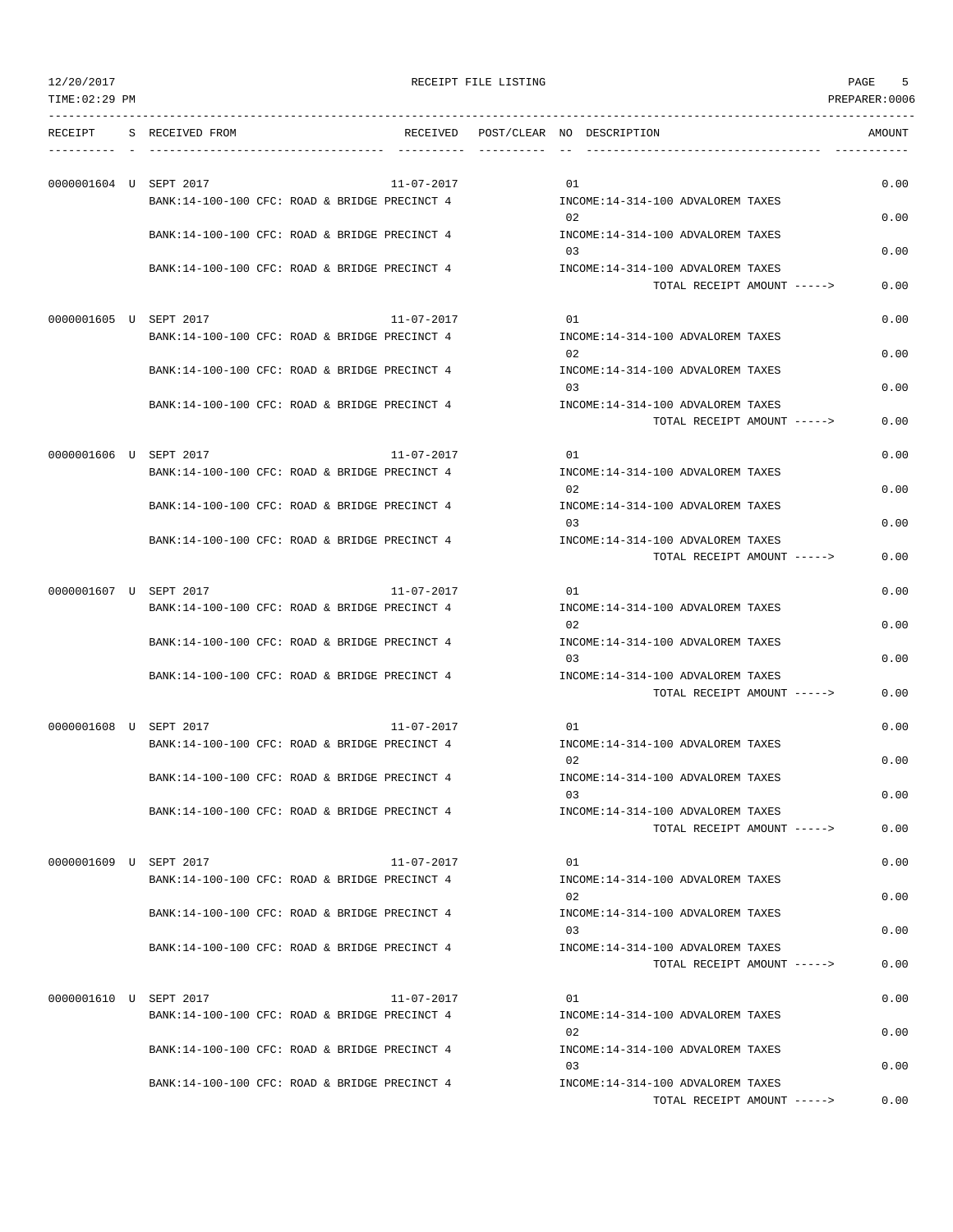TOTAL RECEIPT AMOUNT -----> 0.00

| TIME:02:29 PM          |                                               |                  |                                                                  | PREPARER:0006 |
|------------------------|-----------------------------------------------|------------------|------------------------------------------------------------------|---------------|
| RECEIPT                | S RECEIVED FROM                               | RECEIVED         | POST/CLEAR NO DESCRIPTION                                        | AMOUNT        |
| 0000001604 U SEPT 2017 |                                               | $11 - 07 - 2017$ | 01                                                               | 0.00          |
|                        | BANK:14-100-100 CFC: ROAD & BRIDGE PRECINCT 4 |                  | INCOME: 14-314-100 ADVALOREM TAXES                               |               |
|                        | BANK:14-100-100 CFC: ROAD & BRIDGE PRECINCT 4 |                  | 02<br>INCOME: 14-314-100 ADVALOREM TAXES                         | 0.00          |
|                        |                                               |                  | 03                                                               | 0.00          |
|                        | BANK:14-100-100 CFC: ROAD & BRIDGE PRECINCT 4 |                  | INCOME:14-314-100 ADVALOREM TAXES<br>TOTAL RECEIPT AMOUNT -----> | 0.00          |
|                        | 0000001605 U SEPT 2017                        | 11-07-2017       | 01                                                               | 0.00          |
|                        | BANK:14-100-100 CFC: ROAD & BRIDGE PRECINCT 4 |                  | INCOME:14-314-100 ADVALOREM TAXES                                |               |
|                        |                                               |                  | 02                                                               | 0.00          |
|                        | BANK:14-100-100 CFC: ROAD & BRIDGE PRECINCT 4 |                  | INCOME:14-314-100 ADVALOREM TAXES                                |               |
|                        | BANK:14-100-100 CFC: ROAD & BRIDGE PRECINCT 4 |                  | 03<br>INCOME:14-314-100 ADVALOREM TAXES                          | 0.00          |
|                        |                                               |                  | TOTAL RECEIPT AMOUNT ----->                                      | 0.00          |
|                        |                                               |                  |                                                                  |               |
|                        | 0000001606 U SEPT 2017                        | $11 - 07 - 2017$ | 01                                                               | 0.00          |
|                        | BANK:14-100-100 CFC: ROAD & BRIDGE PRECINCT 4 |                  | INCOME:14-314-100 ADVALOREM TAXES<br>02                          | 0.00          |
|                        | BANK:14-100-100 CFC: ROAD & BRIDGE PRECINCT 4 |                  | INCOME:14-314-100 ADVALOREM TAXES                                |               |
|                        |                                               |                  | 03                                                               | 0.00          |
|                        | BANK:14-100-100 CFC: ROAD & BRIDGE PRECINCT 4 |                  | INCOME:14-314-100 ADVALOREM TAXES<br>TOTAL RECEIPT AMOUNT -----> | 0.00          |
|                        |                                               |                  |                                                                  |               |
| 0000001607 U SEPT 2017 |                                               | 11-07-2017       | 01                                                               | 0.00          |
|                        | BANK:14-100-100 CFC: ROAD & BRIDGE PRECINCT 4 |                  | INCOME:14-314-100 ADVALOREM TAXES<br>02                          | 0.00          |
|                        | BANK:14-100-100 CFC: ROAD & BRIDGE PRECINCT 4 |                  | INCOME:14-314-100 ADVALOREM TAXES                                |               |
|                        |                                               |                  | 03                                                               | 0.00          |
|                        | BANK:14-100-100 CFC: ROAD & BRIDGE PRECINCT 4 |                  | INCOME:14-314-100 ADVALOREM TAXES<br>TOTAL RECEIPT AMOUNT -----> | 0.00          |
|                        |                                               |                  |                                                                  |               |
|                        | 0000001608 U SEPT 2017                        | $11 - 07 - 2017$ | 01                                                               | 0.00          |
|                        | BANK:14-100-100 CFC: ROAD & BRIDGE PRECINCT 4 |                  | INCOME:14-314-100 ADVALOREM TAXES<br>02                          | 0.00          |
|                        | BANK:14-100-100 CFC: ROAD & BRIDGE PRECINCT 4 |                  | INCOME:14-314-100 ADVALOREM TAXES                                |               |
|                        |                                               |                  |                                                                  | 0.00          |
|                        | BANK:14-100-100 CFC: ROAD & BRIDGE PRECINCT 4 |                  | INCOME:14-314-100 ADVALOREM TAXES                                | 0.00          |
|                        |                                               |                  | TOTAL RECEIPT AMOUNT ----->                                      |               |
|                        | 0000001609 U SEPT 2017                        | $11 - 07 - 2017$ | 01                                                               | 0.00          |
|                        | BANK:14-100-100 CFC: ROAD & BRIDGE PRECINCT 4 |                  | INCOME:14-314-100 ADVALOREM TAXES                                |               |
|                        | BANK:14-100-100 CFC: ROAD & BRIDGE PRECINCT 4 |                  | 02<br>INCOME: 14-314-100 ADVALOREM TAXES                         | 0.00          |
|                        |                                               |                  | 03                                                               | 0.00          |
|                        | BANK:14-100-100 CFC: ROAD & BRIDGE PRECINCT 4 |                  | INCOME:14-314-100 ADVALOREM TAXES                                |               |
|                        |                                               |                  | TOTAL RECEIPT AMOUNT ----->                                      | 0.00          |
|                        | 0000001610 U SEPT 2017                        | $11 - 07 - 2017$ | 01                                                               | 0.00          |
|                        | BANK:14-100-100 CFC: ROAD & BRIDGE PRECINCT 4 |                  | INCOME:14-314-100 ADVALOREM TAXES                                |               |
|                        |                                               |                  | 02                                                               | 0.00          |
|                        | BANK:14-100-100 CFC: ROAD & BRIDGE PRECINCT 4 |                  | INCOME:14-314-100 ADVALOREM TAXES<br>03                          | 0.00          |
|                        | BANK:14-100-100 CFC: ROAD & BRIDGE PRECINCT 4 |                  | INCOME: 14-314-100 ADVALOREM TAXES                               |               |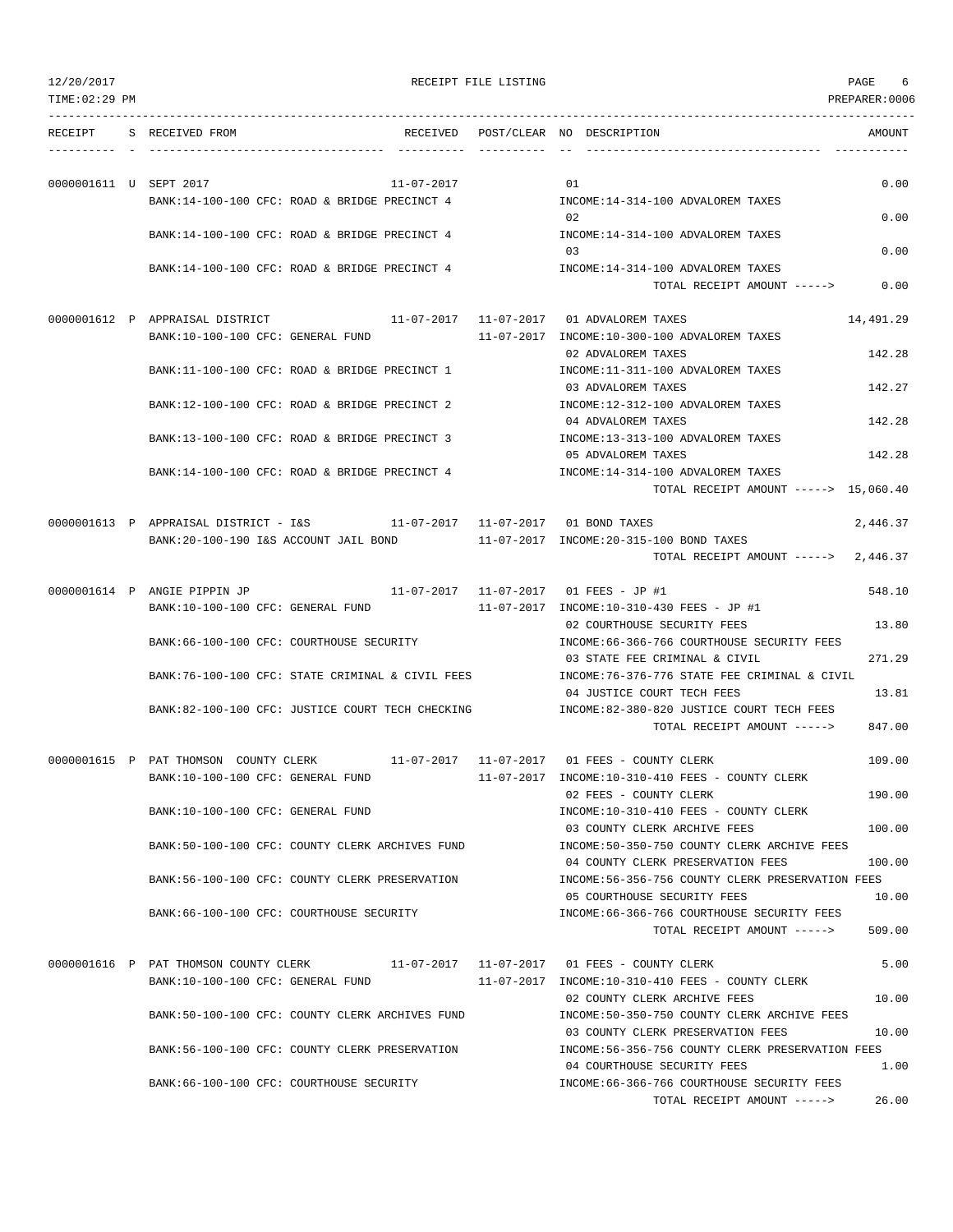| 12/20/2017             |                                                                                                                    | RECEIPT FILE LISTING |                                                                                             | PAGE<br>6     |
|------------------------|--------------------------------------------------------------------------------------------------------------------|----------------------|---------------------------------------------------------------------------------------------|---------------|
| TIME: 02:29 PM         |                                                                                                                    |                      |                                                                                             | PREPARER:0006 |
| RECEIPT                | S RECEIVED FROM                                                                                                    |                      | RECEIVED POST/CLEAR NO DESCRIPTION                                                          | AMOUNT        |
| 0000001611 U SEPT 2017 | 11-07-2017                                                                                                         |                      | 01                                                                                          | 0.00          |
|                        | BANK:14-100-100 CFC: ROAD & BRIDGE PRECINCT 4                                                                      |                      | INCOME:14-314-100 ADVALOREM TAXES<br>02                                                     | 0.00          |
|                        | BANK:14-100-100 CFC: ROAD & BRIDGE PRECINCT 4                                                                      |                      | INCOME: 14-314-100 ADVALOREM TAXES<br>03                                                    | 0.00          |
|                        | BANK:14-100-100 CFC: ROAD & BRIDGE PRECINCT 4                                                                      |                      | INCOME:14-314-100 ADVALOREM TAXES<br>TOTAL RECEIPT AMOUNT ----->                            | 0.00          |
|                        | 0000001612 P APPRAISAL DISTRICT 11-07-2017 11-07-2017 01 ADVALOREM TAXES<br>BANK:10-100-100 CFC: GENERAL FUND      |                      | 11-07-2017 INCOME:10-300-100 ADVALOREM TAXES                                                | 14,491.29     |
|                        | BANK:11-100-100 CFC: ROAD & BRIDGE PRECINCT 1                                                                      |                      | 02 ADVALOREM TAXES<br>INCOME:11-311-100 ADVALOREM TAXES                                     | 142.28        |
|                        | BANK:12-100-100 CFC: ROAD & BRIDGE PRECINCT 2                                                                      |                      | 03 ADVALOREM TAXES<br>INCOME:12-312-100 ADVALOREM TAXES                                     | 142.27        |
|                        | BANK:13-100-100 CFC: ROAD & BRIDGE PRECINCT 3                                                                      |                      | 04 ADVALOREM TAXES<br>INCOME:13-313-100 ADVALOREM TAXES                                     | 142.28        |
|                        | BANK:14-100-100 CFC: ROAD & BRIDGE PRECINCT 4                                                                      |                      | 05 ADVALOREM TAXES<br>INCOME:14-314-100 ADVALOREM TAXES                                     | 142.28        |
|                        |                                                                                                                    |                      | TOTAL RECEIPT AMOUNT -----> 15,060.40                                                       |               |
|                        | 0000001613 P APPRAISAL DISTRICT - I&S 11-07-2017 11-07-2017 01 BOND TAXES<br>BANK:20-100-190 I&S ACCOUNT JAIL BOND |                      | 11-07-2017 INCOME:20-315-100 BOND TAXES                                                     | 2,446.37      |
|                        |                                                                                                                    |                      | TOTAL RECEIPT AMOUNT $---2$ , 446.37                                                        |               |
|                        | 0000001614 P ANGIE PIPPIN JP<br>BANK:10-100-100 CFC: GENERAL FUND                                                  |                      | 11-07-2017   11-07-2017   01   FEES - JP    #1<br>11-07-2017 INCOME:10-310-430 FEES - JP #1 | 548.10        |
|                        | BANK:66-100-100 CFC: COURTHOUSE SECURITY                                                                           |                      | 02 COURTHOUSE SECURITY FEES<br>INCOME: 66-366-766 COURTHOUSE SECURITY FEES                  | 13.80         |
|                        | BANK:76-100-100 CFC: STATE CRIMINAL & CIVIL FEES                                                                   |                      | 03 STATE FEE CRIMINAL & CIVIL<br>INCOME:76-376-776 STATE FEE CRIMINAL & CIVIL               | 271.29        |
|                        | BANK:82-100-100 CFC: JUSTICE COURT TECH CHECKING                                                                   |                      | 04 JUSTICE COURT TECH FEES<br>INCOME:82-380-820 JUSTICE COURT TECH FEES                     | 13.81         |
|                        |                                                                                                                    |                      | TOTAL RECEIPT AMOUNT ----->                                                                 | 847.00        |
|                        | 0000001615 P PAT THOMSON COUNTY CLERK                                                                              |                      |                                                                                             | 109.00        |
|                        | BANK:10-100-100 CFC: GENERAL FUND                                                                                  |                      | 11-07-2017 INCOME:10-310-410 FEES - COUNTY CLERK<br>02 FEES - COUNTY CLERK                  | 190.00        |
|                        | BANK:10-100-100 CFC: GENERAL FUND                                                                                  |                      | INCOME:10-310-410 FEES - COUNTY CLERK<br>03 COUNTY CLERK ARCHIVE FEES                       | 100.00        |
|                        | BANK:50-100-100 CFC: COUNTY CLERK ARCHIVES FUND                                                                    |                      | INCOME:50-350-750 COUNTY CLERK ARCHIVE FEES<br>04 COUNTY CLERK PRESERVATION FEES            | 100.00        |
|                        | BANK:56-100-100 CFC: COUNTY CLERK PRESERVATION                                                                     |                      | INCOME:56-356-756 COUNTY CLERK PRESERVATION FEES<br>05 COURTHOUSE SECURITY FEES             | 10.00         |
|                        | BANK:66-100-100 CFC: COURTHOUSE SECURITY                                                                           |                      | INCOME: 66-366-766 COURTHOUSE SECURITY FEES<br>TOTAL RECEIPT AMOUNT ----->                  | 509.00        |
|                        | 0000001616 P PAT THOMSON COUNTY CLERK                                                                              |                      |                                                                                             | 5.00          |
|                        | BANK:10-100-100 CFC: GENERAL FUND                                                                                  |                      | 11-07-2017 INCOME:10-310-410 FEES - COUNTY CLERK<br>02 COUNTY CLERK ARCHIVE FEES            | 10.00         |
|                        | BANK:50-100-100 CFC: COUNTY CLERK ARCHIVES FUND                                                                    |                      | INCOME:50-350-750 COUNTY CLERK ARCHIVE FEES<br>03 COUNTY CLERK PRESERVATION FEES            | 10.00         |
|                        | BANK:56-100-100 CFC: COUNTY CLERK PRESERVATION                                                                     |                      | INCOME:56-356-756 COUNTY CLERK PRESERVATION FEES<br>04 COURTHOUSE SECURITY FEES             | 1.00          |

BANK:66-100-100 CFC: COURTHOUSE SECURITY INCOME:66-366-766 COURTHOUSE SECURITY FEES

TOTAL RECEIPT AMOUNT -----> 26.00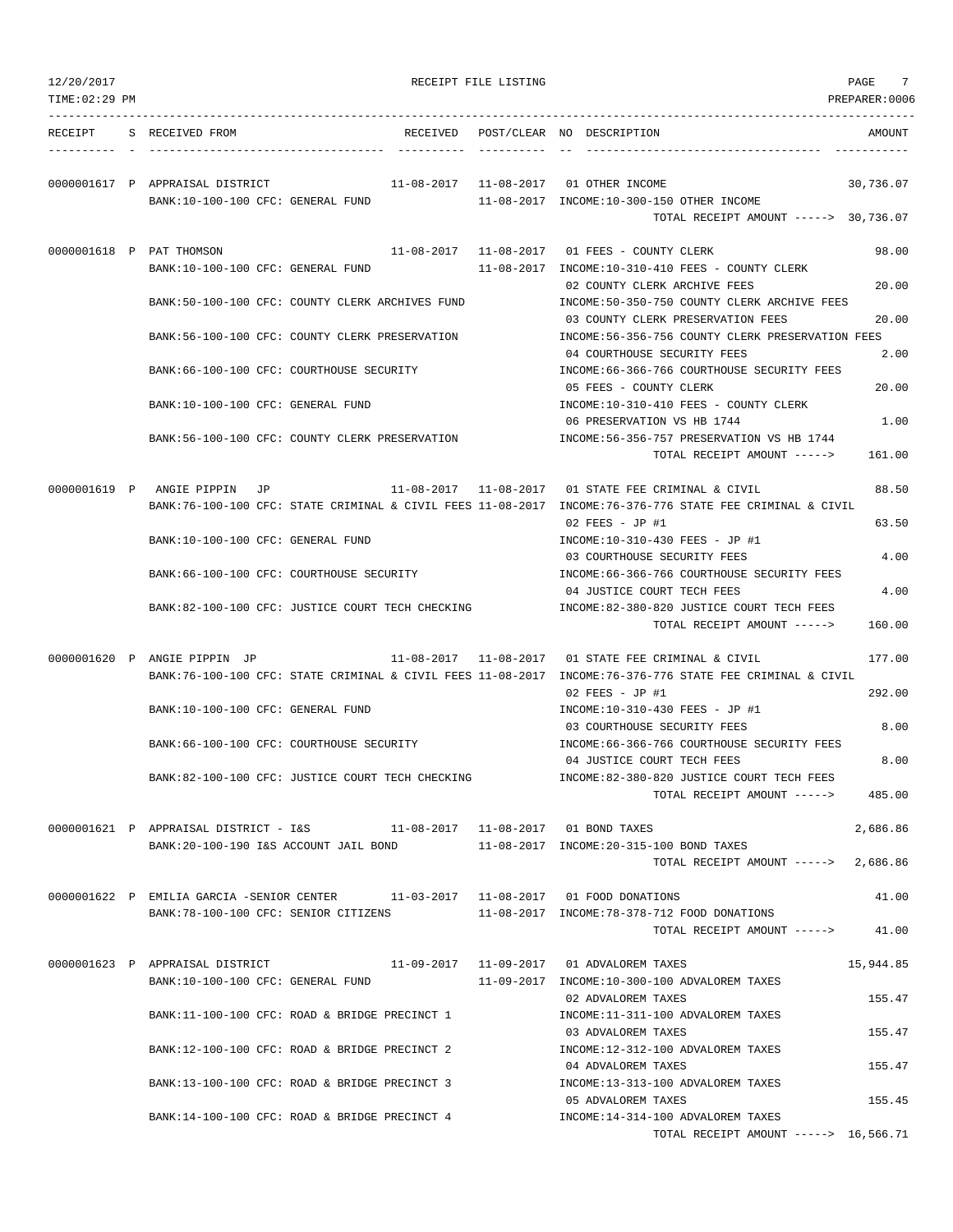| 12/20/2017<br>TIME: 02:29 PM |                                                                                                                                                                       |          | RECEIPT FILE LISTING | PAGE<br>PREPARER:0006                                                                                                                      |
|------------------------------|-----------------------------------------------------------------------------------------------------------------------------------------------------------------------|----------|----------------------|--------------------------------------------------------------------------------------------------------------------------------------------|
| RECEIPT                      | S RECEIVED FROM                                                                                                                                                       | RECEIVED |                      | POST/CLEAR NO DESCRIPTION<br>AMOUNT                                                                                                        |
|                              | 0000001617 P APPRAISAL DISTRICT<br>BANK:10-100-100 CFC: GENERAL FUND                                                                                                  |          |                      | 11-08-2017  11-08-2017  01 OTHER INCOME<br>30,736.07<br>11-08-2017 INCOME:10-300-150 OTHER INCOME<br>TOTAL RECEIPT AMOUNT -----> 30,736.07 |
|                              | 0000001618 P PAT THOMSON                                                                                                                                              |          |                      | 11-08-2017   11-08-2017   01   FEES - COUNTY CLERK<br>98.00                                                                                |
|                              | BANK:10-100-100 CFC: GENERAL FUND<br>BANK:50-100-100 CFC: COUNTY CLERK ARCHIVES FUND                                                                                  |          |                      | 11-08-2017 INCOME:10-310-410 FEES - COUNTY CLERK<br>20.00<br>02 COUNTY CLERK ARCHIVE FEES<br>INCOME:50-350-750 COUNTY CLERK ARCHIVE FEES   |
|                              | BANK:56-100-100 CFC: COUNTY CLERK PRESERVATION                                                                                                                        |          |                      | 03 COUNTY CLERK PRESERVATION FEES<br>20.00<br>INCOME:56-356-756 COUNTY CLERK PRESERVATION FEES                                             |
|                              | BANK: 66-100-100 CFC: COURTHOUSE SECURITY                                                                                                                             |          |                      | 2.00<br>04 COURTHOUSE SECURITY FEES<br>INCOME: 66-366-766 COURTHOUSE SECURITY FEES                                                         |
|                              | BANK:10-100-100 CFC: GENERAL FUND                                                                                                                                     |          |                      | 05 FEES - COUNTY CLERK<br>20.00<br>INCOME:10-310-410 FEES - COUNTY CLERK                                                                   |
|                              | BANK:56-100-100 CFC: COUNTY CLERK PRESERVATION                                                                                                                        |          |                      | 06 PRESERVATION VS HB 1744<br>1.00<br>INCOME: 56-356-757 PRESERVATION VS HB 1744<br>TOTAL RECEIPT AMOUNT -----><br>161.00                  |
|                              | 0000001619 P ANGIE PIPPIN JP                                                                                                                                          |          |                      | 11-08-2017   11-08-2017   01 STATE FEE CRIMINAL & CIVIL<br>88.50                                                                           |
|                              |                                                                                                                                                                       |          |                      | BANK:76-100-100 CFC: STATE CRIMINAL & CIVIL FEES 11-08-2017 INCOME:76-376-776 STATE FEE CRIMINAL & CIVIL<br>$02$ FEES - JP #1<br>63.50     |
|                              | BANK:10-100-100 CFC: GENERAL FUND                                                                                                                                     |          |                      | INCOME:10-310-430 FEES - JP #1<br>03 COURTHOUSE SECURITY FEES<br>4.00                                                                      |
|                              | BANK:66-100-100 CFC: COURTHOUSE SECURITY                                                                                                                              |          |                      | INCOME:66-366-766 COURTHOUSE SECURITY FEES<br>04 JUSTICE COURT TECH FEES<br>4.00                                                           |
|                              | BANK:82-100-100 CFC: JUSTICE COURT TECH CHECKING                                                                                                                      |          |                      | INCOME:82-380-820 JUSTICE COURT TECH FEES<br>160.00<br>TOTAL RECEIPT AMOUNT ----->                                                         |
|                              | 0000001620 P ANGIE PIPPIN JP                                                                                                                                          |          |                      | 177.00                                                                                                                                     |
|                              |                                                                                                                                                                       |          |                      | BANK:76-100-100 CFC: STATE CRIMINAL & CIVIL FEES 11-08-2017 INCOME:76-376-776 STATE FEE CRIMINAL & CIVIL<br>292.00<br>$02$ FEES - JP #1    |
|                              | BANK:10-100-100 CFC: GENERAL FUND                                                                                                                                     |          |                      | INCOME:10-310-430 FEES - JP #1<br>03 COURTHOUSE SECURITY FEES<br>8.00                                                                      |
|                              | BANK: 66-100-100 CFC: COURTHOUSE SECURITY                                                                                                                             |          |                      | INCOME:66-366-766 COURTHOUSE SECURITY FEES<br>04 JUSTICE COURT TECH FEES<br>8.00                                                           |
|                              | BANK:82-100-100 CFC: JUSTICE COURT TECH CHECKING                                                                                                                      |          |                      | INCOME:82-380-820 JUSTICE COURT TECH FEES<br>TOTAL RECEIPT AMOUNT -----><br>485.00                                                         |
|                              | 0000001621 P APPRAISAL DISTRICT - I&S 11-08-2017 11-08-2017 01 BOND TAXES<br>BANK:20-100-190 I&S ACCOUNT JAIL BOND 11-08-2017 INCOME:20-315-100 BOND TAXES            |          |                      | 2,686.86                                                                                                                                   |
|                              |                                                                                                                                                                       |          |                      | TOTAL RECEIPT AMOUNT -----> 2,686.86                                                                                                       |
|                              | 0000001622 P EMILIA GARCIA -SENIOR CENTER 11-03-2017 11-08-2017 01 FOOD DONATIONS<br>BANK:78-100-100 CFC: SENIOR CITIZENS 11-08-2017 INCOME:78-378-712 FOOD DONATIONS |          |                      | 41.00                                                                                                                                      |
|                              |                                                                                                                                                                       |          |                      | TOTAL RECEIPT AMOUNT -----><br>41.00                                                                                                       |
|                              | 0000001623 P APPRAISAL DISTRICT<br>BANK:10-100-100 CFC: GENERAL FUND                                                                                                  |          |                      | 11-09-2017   11-09-2017   01 ADVALOREM TAXES<br>15,944.85<br>11-09-2017 INCOME:10-300-100 ADVALOREM TAXES                                  |
|                              | BANK:11-100-100 CFC: ROAD & BRIDGE PRECINCT 1                                                                                                                         |          |                      | 155.47<br>02 ADVALOREM TAXES<br>INCOME:11-311-100 ADVALOREM TAXES                                                                          |
|                              | BANK:12-100-100 CFC: ROAD & BRIDGE PRECINCT 2                                                                                                                         |          |                      | 03 ADVALOREM TAXES<br>155.47<br>INCOME:12-312-100 ADVALOREM TAXES                                                                          |
|                              | BANK:13-100-100 CFC: ROAD & BRIDGE PRECINCT 3                                                                                                                         |          |                      | 155.47<br>04 ADVALOREM TAXES<br>INCOME:13-313-100 ADVALOREM TAXES                                                                          |
|                              | BANK:14-100-100 CFC: ROAD & BRIDGE PRECINCT 4                                                                                                                         |          |                      | 155.45<br>05 ADVALOREM TAXES<br>INCOME:14-314-100 ADVALOREM TAXES                                                                          |
|                              |                                                                                                                                                                       |          |                      | TOTAL RECEIPT AMOUNT $--- 2$ 16,566.71                                                                                                     |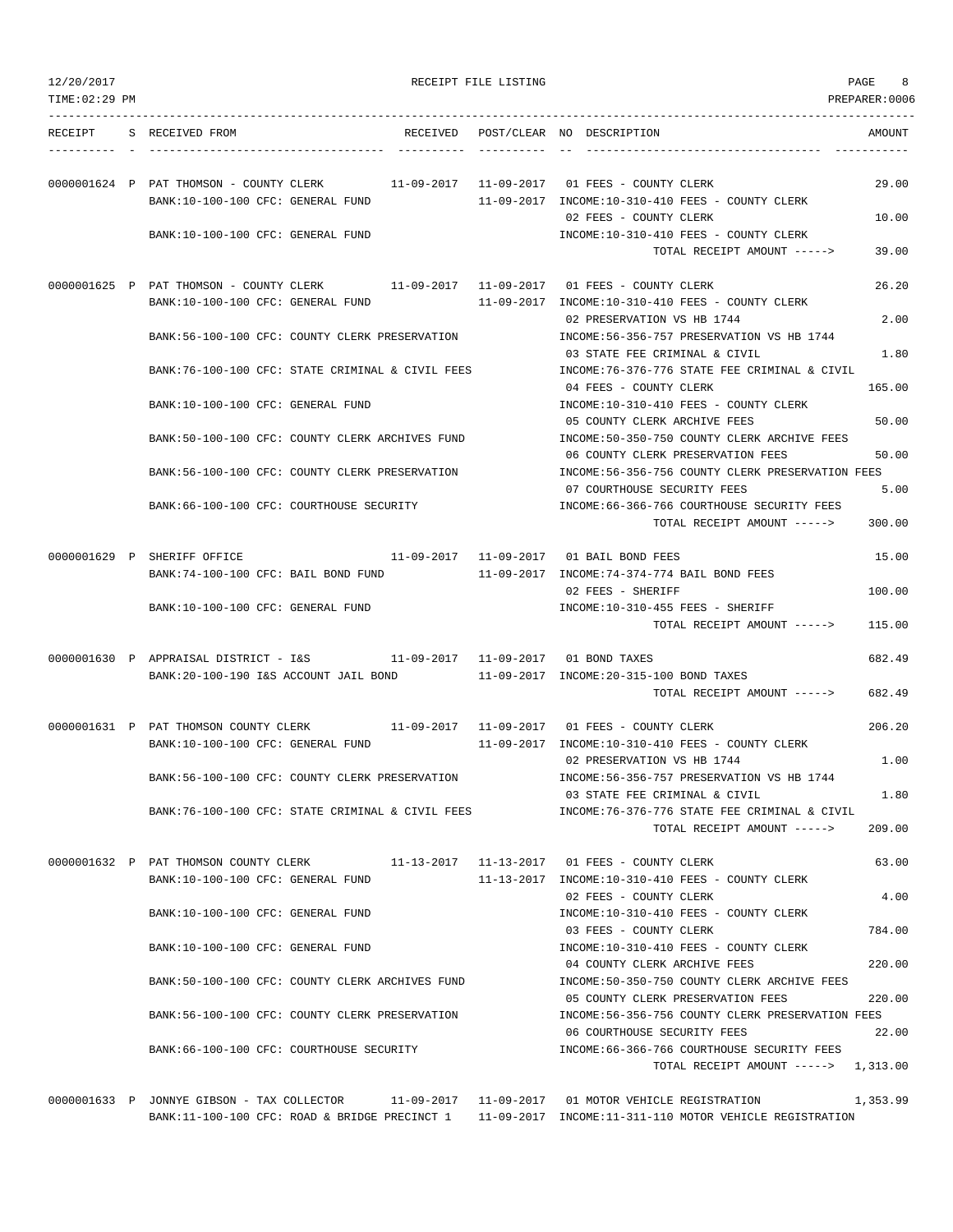| 12/20/2017<br>TIME: 02:29 PM |                                                                                                                                                                                                         | RECEIPT FILE LISTING | 8<br>PAGE<br>PREPARER: 0006                                                                                                                                                   |
|------------------------------|---------------------------------------------------------------------------------------------------------------------------------------------------------------------------------------------------------|----------------------|-------------------------------------------------------------------------------------------------------------------------------------------------------------------------------|
| RECEIPT                      | S RECEIVED FROM                                                                                                                                                                                         |                      | RECEIVED POST/CLEAR NO DESCRIPTION<br>AMOUNT                                                                                                                                  |
|                              | 0000001624 P PAT THOMSON - COUNTY CLERK<br>BANK:10-100-100 CFC: GENERAL FUND<br>BANK:10-100-100 CFC: GENERAL FUND                                                                                       |                      | 29.00<br>11-09-2017 INCOME:10-310-410 FEES - COUNTY CLERK<br>02 FEES - COUNTY CLERK<br>10.00<br>INCOME:10-310-410 FEES - COUNTY CLERK<br>TOTAL RECEIPT AMOUNT -----><br>39.00 |
|                              | 0000001625 P PAT THOMSON - COUNTY CLERK 11-09-2017 11-09-2017 01 FEES - COUNTY CLERK                                                                                                                    |                      | 26.20                                                                                                                                                                         |
|                              | BANK:10-100-100 CFC: GENERAL FUND<br>BANK:56-100-100 CFC: COUNTY CLERK PRESERVATION                                                                                                                     |                      | 11-09-2017 INCOME:10-310-410 FEES - COUNTY CLERK<br>02 PRESERVATION VS HB 1744<br>2.00<br>INCOME: 56-356-757 PRESERVATION VS HB 1744                                          |
|                              | BANK:76-100-100 CFC: STATE CRIMINAL & CIVIL FEES                                                                                                                                                        |                      | 03 STATE FEE CRIMINAL & CIVIL<br>1.80<br>INCOME: 76-376-776 STATE FEE CRIMINAL & CIVIL                                                                                        |
|                              | BANK:10-100-100 CFC: GENERAL FUND                                                                                                                                                                       |                      | 165.00<br>04 FEES - COUNTY CLERK<br>INCOME:10-310-410 FEES - COUNTY CLERK                                                                                                     |
|                              | BANK:50-100-100 CFC: COUNTY CLERK ARCHIVES FUND                                                                                                                                                         |                      | 05 COUNTY CLERK ARCHIVE FEES<br>50.00<br>INCOME:50-350-750 COUNTY CLERK ARCHIVE FEES<br>06 COUNTY CLERK PRESERVATION FEES<br>50.00                                            |
|                              | BANK:56-100-100 CFC: COUNTY CLERK PRESERVATION                                                                                                                                                          |                      | INCOME:56-356-756 COUNTY CLERK PRESERVATION FEES<br>07 COURTHOUSE SECURITY FEES<br>5.00                                                                                       |
|                              | BANK: 66-100-100 CFC: COURTHOUSE SECURITY                                                                                                                                                               |                      | INCOME:66-366-766 COURTHOUSE SECURITY FEES<br>300.00<br>TOTAL RECEIPT AMOUNT ----->                                                                                           |
|                              | 0000001629 P SHERIFF OFFICE<br>BANK:74-100-100 CFC: BAIL BOND FUND                                                                                                                                      |                      | 11-09-2017   11-09-2017   01 BAIL BOND FEES<br>15.00<br>11-09-2017 INCOME:74-374-774 BAIL BOND FEES                                                                           |
|                              |                                                                                                                                                                                                         |                      | 02 FEES - SHERIFF<br>100.00                                                                                                                                                   |
|                              | BANK:10-100-100 CFC: GENERAL FUND                                                                                                                                                                       |                      | INCOME:10-310-455 FEES - SHERIFF<br>TOTAL RECEIPT AMOUNT -----><br>115.00                                                                                                     |
|                              | 0000001630 P APPRAISAL DISTRICT - I&S<br>11-09-2017 11-09-2017 01 BOND TAXES<br>BANK:20-100-190 I&S ACCOUNT JAIL BOND                                                                                   |                      | 682.49<br>11-09-2017 INCOME: 20-315-100 BOND TAXES<br>TOTAL RECEIPT AMOUNT -----><br>682.49                                                                                   |
|                              | 0000001631 P PAT THOMSON COUNTY CLERK                                                                                                                                                                   |                      | 206.20                                                                                                                                                                        |
|                              | BANK:10-100-100 CFC: GENERAL FUND                                                                                                                                                                       |                      | 11-09-2017 INCOME:10-310-410 FEES - COUNTY CLERK<br>02 PRESERVATION VS HB 1744<br>1.00                                                                                        |
|                              | BANK:56-100-100 CFC: COUNTY CLERK PRESERVATION                                                                                                                                                          |                      | INCOME: 56-356-757 PRESERVATION VS HB 1744<br>03 STATE FEE CRIMINAL & CIVIL<br>1.80                                                                                           |
|                              | BANK:76-100-100 CFC: STATE CRIMINAL & CIVIL FEES                                                                                                                                                        |                      | INCOME: 76-376-776 STATE FEE CRIMINAL & CIVIL<br>TOTAL RECEIPT AMOUNT -----><br>209.00                                                                                        |
|                              | 0000001632 P PAT THOMSON COUNTY CLERK<br>BANK:10-100-100 CFC: GENERAL FUND                                                                                                                              |                      | 63.00<br>11-13-2017 INCOME:10-310-410 FEES - COUNTY CLERK                                                                                                                     |
|                              | BANK:10-100-100 CFC: GENERAL FUND                                                                                                                                                                       |                      | 02 FEES - COUNTY CLERK<br>4.00<br>INCOME:10-310-410 FEES - COUNTY CLERK                                                                                                       |
|                              | BANK:10-100-100 CFC: GENERAL FUND                                                                                                                                                                       |                      | 784.00<br>03 FEES - COUNTY CLERK<br>INCOME:10-310-410 FEES - COUNTY CLERK                                                                                                     |
|                              | BANK:50-100-100 CFC: COUNTY CLERK ARCHIVES FUND                                                                                                                                                         |                      | 04 COUNTY CLERK ARCHIVE FEES<br>220.00<br>INCOME:50-350-750 COUNTY CLERK ARCHIVE FEES                                                                                         |
|                              | BANK:56-100-100 CFC: COUNTY CLERK PRESERVATION                                                                                                                                                          |                      | 05 COUNTY CLERK PRESERVATION FEES<br>220.00<br>INCOME:56-356-756 COUNTY CLERK PRESERVATION FEES<br>06 COURTHOUSE SECURITY FEES<br>22.00                                       |
|                              | BANK:66-100-100 CFC: COURTHOUSE SECURITY                                                                                                                                                                |                      | INCOME: 66-366-766 COURTHOUSE SECURITY FEES<br>TOTAL RECEIPT AMOUNT -----> 1,313.00                                                                                           |
|                              | 0000001633 P JONNYE GIBSON - TAX COLLECTOR 11-09-2017 11-09-2017 01 MOTOR VEHICLE REGISTRATION<br>BANK:11-100-100 CFC: ROAD & BRIDGE PRECINCT 1 11-09-2017 INCOME:11-311-110 MOTOR VEHICLE REGISTRATION |                      | 1,353.99                                                                                                                                                                      |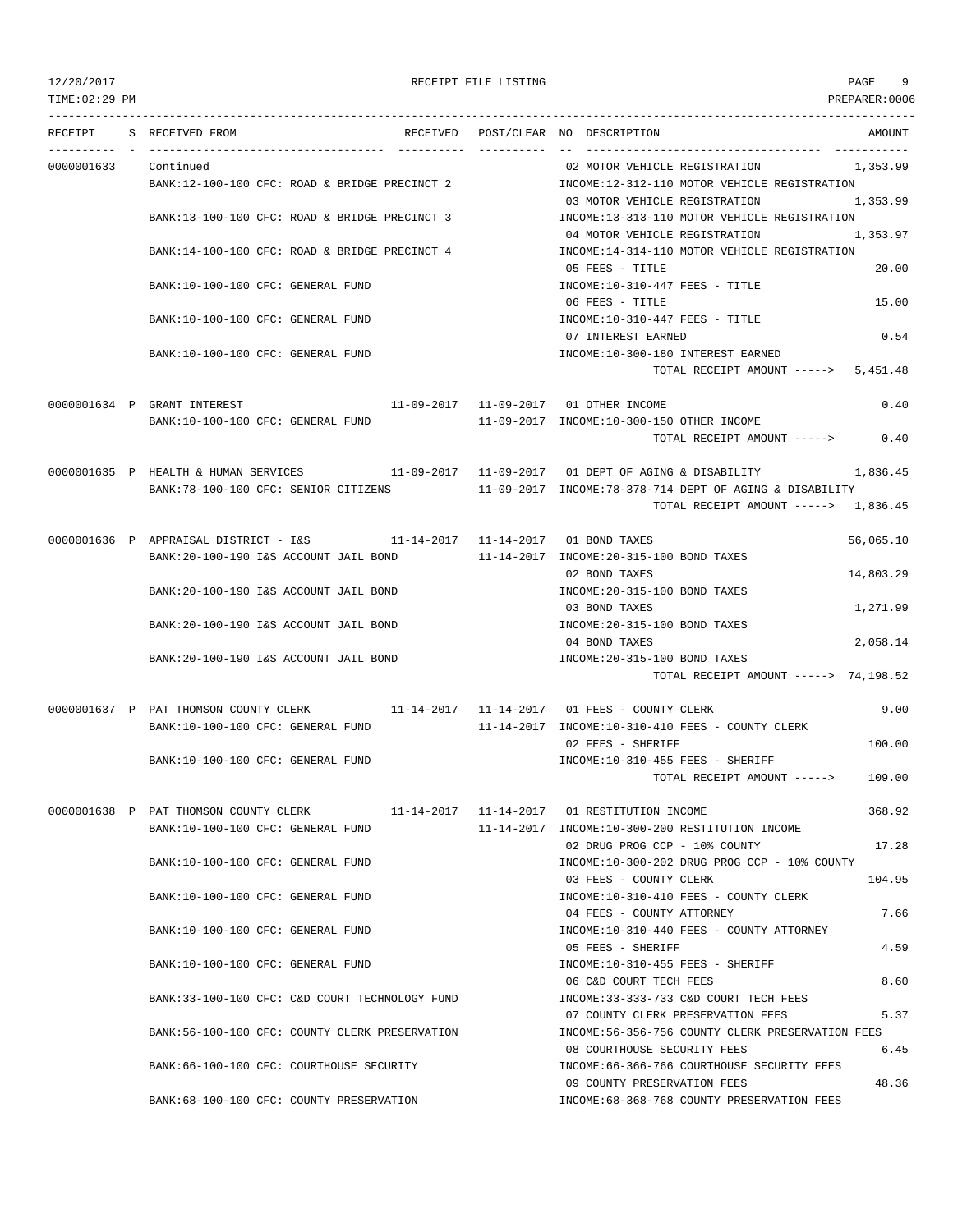TIME:02:29 PM PREPARER:0006

# 12/20/2017 RECEIPT FILE LISTING PAGE 9

|                      | RECEIPT S RECEIVED FROM                                                                      |            | RECEIVED POST/CLEAR NO DESCRIPTION<br>AMOUNT                               |
|----------------------|----------------------------------------------------------------------------------------------|------------|----------------------------------------------------------------------------|
| 0000001633 Continued |                                                                                              |            | 02 MOTOR VEHICLE REGISTRATION 1,353.99                                     |
|                      | BANK:12-100-100 CFC: ROAD & BRIDGE PRECINCT 2                                                |            | INCOME:12-312-110 MOTOR VEHICLE REGISTRATION                               |
|                      |                                                                                              |            | 03 MOTOR VEHICLE REGISTRATION<br>1,353.99                                  |
|                      | BANK:13-100-100 CFC: ROAD & BRIDGE PRECINCT 3                                                |            | INCOME:13-313-110 MOTOR VEHICLE REGISTRATION                               |
|                      |                                                                                              |            | 04 MOTOR VEHICLE REGISTRATION<br>1,353.97                                  |
|                      | BANK:14-100-100 CFC: ROAD & BRIDGE PRECINCT 4                                                |            | INCOME:14-314-110 MOTOR VEHICLE REGISTRATION                               |
|                      |                                                                                              |            | 20.00<br>05 FEES - TITLE                                                   |
|                      | BANK:10-100-100 CFC: GENERAL FUND                                                            |            | $INCOME: 10-310-447$ FEES - TITLE                                          |
|                      |                                                                                              |            | $06$ FEES - TITLE<br>15.00                                                 |
|                      | BANK:10-100-100 CFC: GENERAL FUND                                                            |            | $INCOME: 10-310-447$ FEES - TITLE                                          |
|                      |                                                                                              |            | 0.54<br>07 INTEREST EARNED                                                 |
|                      | BANK:10-100-100 CFC: GENERAL FUND                                                            |            | INCOME:10-300-180 INTEREST EARNED                                          |
|                      |                                                                                              |            | TOTAL RECEIPT AMOUNT $--- 5,451.48$                                        |
|                      |                                                                                              |            |                                                                            |
|                      | 0000001634 P GRANT INTEREST 11-09-2017 11-09-2017 01 OTHER INCOME                            |            | 0.40                                                                       |
|                      | BANK:10-100-100 CFC: GENERAL FUND                                                            |            | 11-09-2017 INCOME:10-300-150 OTHER INCOME                                  |
|                      |                                                                                              |            | 0.40<br>TOTAL RECEIPT AMOUNT ----->                                        |
|                      | 0000001635 P HEALTH & HUMAN SERVICES 11-09-2017 11-09-2017 01 DEPT OF AGING & DISABILITY     |            | 1,836.45                                                                   |
|                      | BANK:78-100-100 CFC: SENIOR CITIZENS 11-09-2017 INCOME:78-378-714 DEPT OF AGING & DISABILITY |            |                                                                            |
|                      |                                                                                              |            | TOTAL RECEIPT AMOUNT -----> 1,836.45                                       |
|                      |                                                                                              |            |                                                                            |
|                      | 0000001636 P APPRAISAL DISTRICT - I&S $11-14-2017$ $11-14-2017$ 01 BOND TAXES                |            | 56,065.10                                                                  |
|                      | BANK:20-100-190 I&S ACCOUNT JAIL BOND 11-14-2017 INCOME:20-315-100 BOND TAXES                |            |                                                                            |
|                      |                                                                                              |            | 14,803.29<br>02 BOND TAXES                                                 |
|                      | BANK:20-100-190 I&S ACCOUNT JAIL BOND                                                        |            | INCOME: 20-315-100 BOND TAXES                                              |
|                      |                                                                                              |            | 1,271.99<br>03 BOND TAXES                                                  |
|                      | BANK: 20-100-190 I&S ACCOUNT JAIL BOND                                                       |            | INCOME: 20-315-100 BOND TAXES                                              |
|                      |                                                                                              |            | 2,058.14<br>04 BOND TAXES                                                  |
|                      | BANK:20-100-190 I&S ACCOUNT JAIL BOND                                                        |            | INCOME: 20-315-100 BOND TAXES                                              |
|                      |                                                                                              |            | TOTAL RECEIPT AMOUNT -----> 74,198.52                                      |
|                      | 0000001637 P PAT THOMSON COUNTY CLERK 11-14-2017 11-14-2017 01 FEES - COUNTY CLERK           |            | 9.00                                                                       |
|                      | BANK:10-100-100 CFC: GENERAL FUND                                                            |            | $11-14-2017$ INCOME: $10-310-410$ FEES - COUNTY CLERK                      |
|                      |                                                                                              |            | 02 FEES - SHERIFF<br>100.00                                                |
|                      | BANK:10-100-100 CFC: GENERAL FUND                                                            |            | INCOME:10-310-455 FEES - SHERIFF                                           |
|                      |                                                                                              |            | TOTAL RECEIPT AMOUNT -----> 109.00                                         |
|                      |                                                                                              |            |                                                                            |
|                      | 0000001638 P PAT THOMSON COUNTY CLERK<br>11-14-2017                                          | 11-14-2017 | 368.92<br>01 RESTITUTION INCOME                                            |
|                      | BANK:10-100-100 CFC: GENERAL FUND                                                            |            | 11-14-2017 INCOME:10-300-200 RESTITUTION INCOME                            |
|                      |                                                                                              |            | 17.28<br>02 DRUG PROG CCP - 10% COUNTY                                     |
|                      | BANK:10-100-100 CFC: GENERAL FUND                                                            |            | INCOME:10-300-202 DRUG PROG CCP - 10% COUNTY                               |
|                      |                                                                                              |            | 03 FEES - COUNTY CLERK<br>104.95                                           |
|                      | BANK:10-100-100 CFC: GENERAL FUND                                                            |            | INCOME:10-310-410 FEES - COUNTY CLERK<br>04 FEES - COUNTY ATTORNEY<br>7.66 |
|                      | BANK:10-100-100 CFC: GENERAL FUND                                                            |            | INCOME:10-310-440 FEES - COUNTY ATTORNEY                                   |
|                      |                                                                                              |            | 05 FEES - SHERIFF<br>4.59                                                  |
|                      | BANK:10-100-100 CFC: GENERAL FUND                                                            |            | INCOME:10-310-455 FEES - SHERIFF                                           |
|                      |                                                                                              |            | 06 C&D COURT TECH FEES<br>8.60                                             |
|                      | BANK:33-100-100 CFC: C&D COURT TECHNOLOGY FUND                                               |            | INCOME: 33-333-733 C&D COURT TECH FEES                                     |
|                      |                                                                                              |            | 07 COUNTY CLERK PRESERVATION FEES<br>5.37                                  |
|                      | BANK:56-100-100 CFC: COUNTY CLERK PRESERVATION                                               |            | INCOME:56-356-756 COUNTY CLERK PRESERVATION FEES                           |
|                      |                                                                                              |            | 6.45<br>08 COURTHOUSE SECURITY FEES                                        |
|                      | BANK:66-100-100 CFC: COURTHOUSE SECURITY                                                     |            | INCOME: 66-366-766 COURTHOUSE SECURITY FEES                                |
|                      |                                                                                              |            | 48.36<br>09 COUNTY PRESERVATION FEES                                       |
|                      | BANK:68-100-100 CFC: COUNTY PRESERVATION                                                     |            | INCOME:68-368-768 COUNTY PRESERVATION FEES                                 |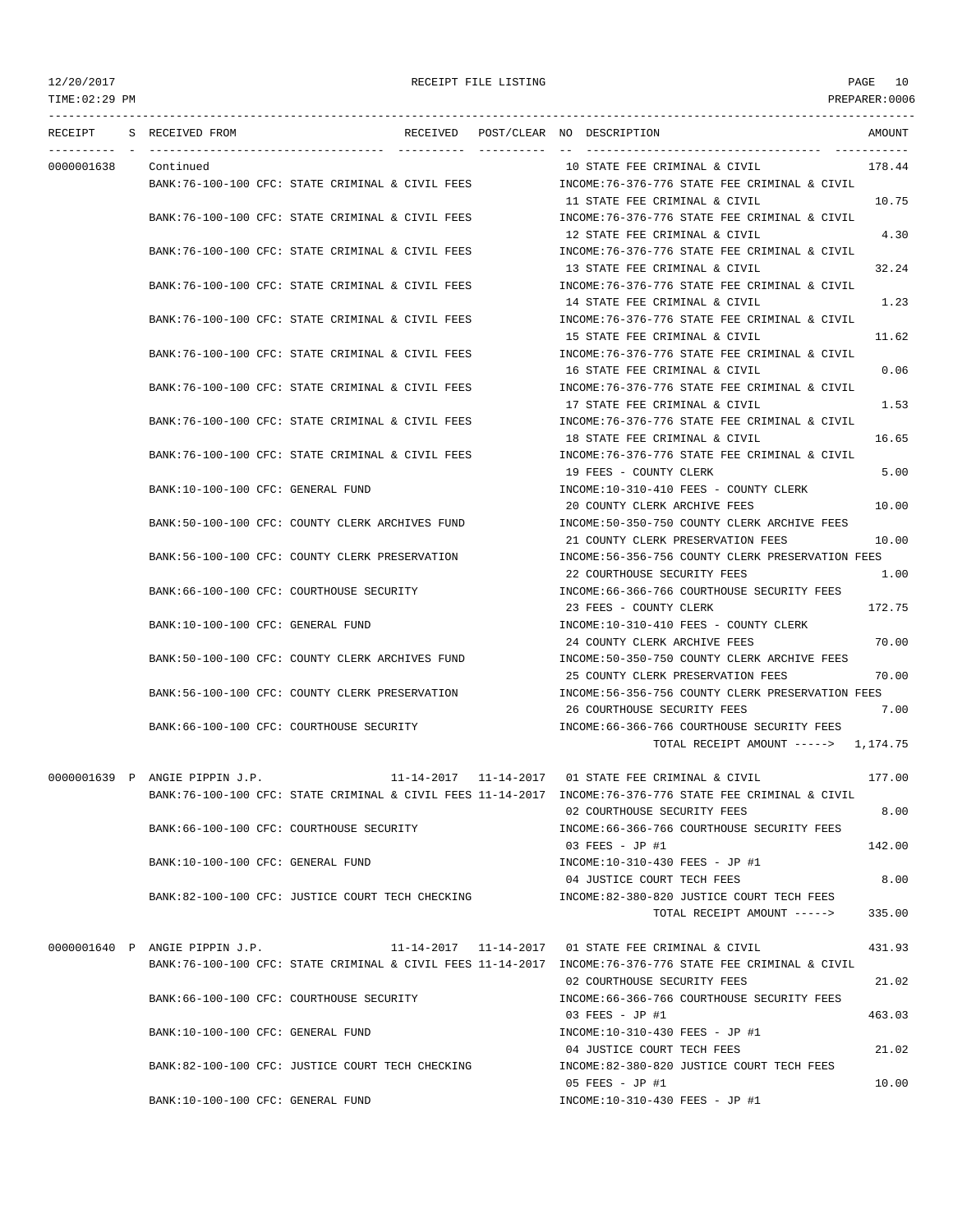TIME:02:29 PM PREPARER:0006 --------------------------------------------------------------------------------------------------------------------------------- RECEIPT S RECEIVED FROM THE RECEIVED POST/CLEAR NO DESCRIPTION THE SECRET AMOUNT ---------- - ----------------------------------- ---------- ---------- -- ----------------------------------- ----------- 0000001638 Continued 10 STATE FEE CRIMINAL & CIVIL 178.44 BANK:76-100-100 CFC: STATE CRIMINAL & CIVIL FEES INCOME:76-376-776 STATE FEE CRIMINAL & CIVIL 11 STATE FEE CRIMINAL & CIVIL 10.75 BANK:76-100-100 CFC: STATE CRIMINAL & CIVIL FEES INCOME:76-376-776 STATE FEE CRIMINAL & CIVIL 12 STATE FEE CRIMINAL & CIVIL 4.30 BANK:76-100-100 CFC: STATE CRIMINAL & CIVIL FEES INCOME:76-376-776 STATE FEE CRIMINAL & CIVIL 13 STATE FEE CRIMINAL & CIVIL 32.24 BANK:76-100-100 CFC: STATE CRIMINAL & CIVIL FEES INCOME:76-376-776 STATE FEE CRIMINAL & CIVIL 14 STATE FEE CRIMINAL & CIVIL 1.23 BANK:76-100-100 CFC: STATE CRIMINAL & CIVIL FEES INCOME:76-376-776 STATE FEE CRIMINAL & CIVIL 15 STATE FEE CRIMINAL & CIVIL 11.62 BANK:76-100-100 CFC: STATE CRIMINAL & CIVIL FEES INCOME:76-376-776 STATE FEE CRIMINAL & CIVIL 16 STATE FEE CRIMINAL & CIVIL 0.06 BANK:76-100-100 CFC: STATE CRIMINAL & CIVIL FEES INCOME:76-376-776 STATE FEE CRIMINAL & CIVIL 17 STATE FEE CRIMINAL & CIVIL 1.53 BANK:76-100-100 CFC: STATE CRIMINAL & CIVIL FEES INCOME:76-376-776 STATE FEE CRIMINAL & CIVIL 18 STATE FEE CRIMINAL & CIVIL 16.65 BANK:76-100-100 CFC: STATE CRIMINAL & CIVIL FEES INCOME:76-376-776 STATE FEE CRIMINAL & CIVIL 19 FEES - COUNTY CLERK 5.00 BANK:10-100-100 CFC: GENERAL FUND INCOME:10-310-410 FEES - COUNTY CLERK 20 COUNTY CLERK ARCHIVE FEES 10.00 BANK:50-100-100 CFC: COUNTY CLERK ARCHIVES FUND INCOME:50-350-750 COUNTY CLERK ARCHIVE FEES 21 COUNTY CLERK PRESERVATION FEES 10.00 BANK:56-100-100 CFC: COUNTY CLERK PRESERVATION INCOME:56-356-756 COUNTY CLERK PRESERVATION FEES 22 COURTHOUSE SECURITY FEES 1.00 BANK:66-100-100 CFC: COURTHOUSE SECURITY **INCOME:66-366-766 COURTHOUSE SECURITY FEES** 23 FEES - COUNTY CLERK 172.75 BANK:10-100-100 CFC: GENERAL FUND INCOME:10-310-410 FEES - COUNTY CLERK 24 COUNTY CLERK ARCHIVE FEES 70.00 BANK:50-100-100 CFC: COUNTY CLERK ARCHIVES FUND INCOME:50-350-750 COUNTY CLERK ARCHIVE FEES 25 COUNTY CLERK PRESERVATION FEES 70.00 BANK:56-100-100 CFC: COUNTY CLERK PRESERVATION INCOME:56-356-756 COUNTY CLERK PRESERVATION FEES 26 COURTHOUSE SECURITY FEES 7.00 BANK:66-100-100 CFC: COURTHOUSE SECURITY INCOME:66-366-766 COURTHOUSE SECURITY FEES TOTAL RECEIPT AMOUNT -----> 1,174.75 0000001639 P ANGIE PIPPIN J.P. 11-14-2017 11-14-2017 01 STATE FEE CRIMINAL & CIVIL 177.00 BANK:76-100-100 CFC: STATE CRIMINAL & CIVIL FEES 11-14-2017 INCOME:76-376-776 STATE FEE CRIMINAL & CIVIL 02 COURTHOUSE SECURITY FEES 8.00 BANK:66-100-100 CFC: COURTHOUSE SECURITY INCOME:66-366-766 COURTHOUSE SECURITY FEES 03 FEES - JP #1 142.00 BANK:10-100-100 CFC: GENERAL FUND INCOME:10-310-430 FEES - JP #1 04 JUSTICE COURT TECH FEES 8.00 BANK:82-100-100 CFC: JUSTICE COURT TECH CHECKING INCOME:82-380-820 JUSTICE COURT TECH FEES TOTAL RECEIPT AMOUNT -----> 335.00 0000001640 P ANGIE PIPPIN J.P. 11-14-2017 11-14-2017 01 STATE FEE CRIMINAL & CIVIL 431.93 BANK:76-100-100 CFC: STATE CRIMINAL & CIVIL FEES 11-14-2017 INCOME:76-376-776 STATE FEE CRIMINAL & CIVIL 02 COURTHOUSE SECURITY FEES 21.02 BANK:66-100-100 CFC: COURTHOUSE SECURITY INCOME:66-366-766 COURTHOUSE SECURITY FEES

> BANK:10-100-100 CFC: GENERAL FUND INCOME:10-310-430 FEES - JP #1 BANK:82-100-100 CFC: JUSTICE COURT TECH CHECKING INCOME:82-380-820 JUSTICE COURT TECH FEES

BANK:10-100-100 CFC: GENERAL FUND INCOME:10-310-430 FEES - JP #1

03 FEES - JP #1 463.03

04 JUSTICE COURT TECH FEES 21.02

05 FEES - JP #1 10.00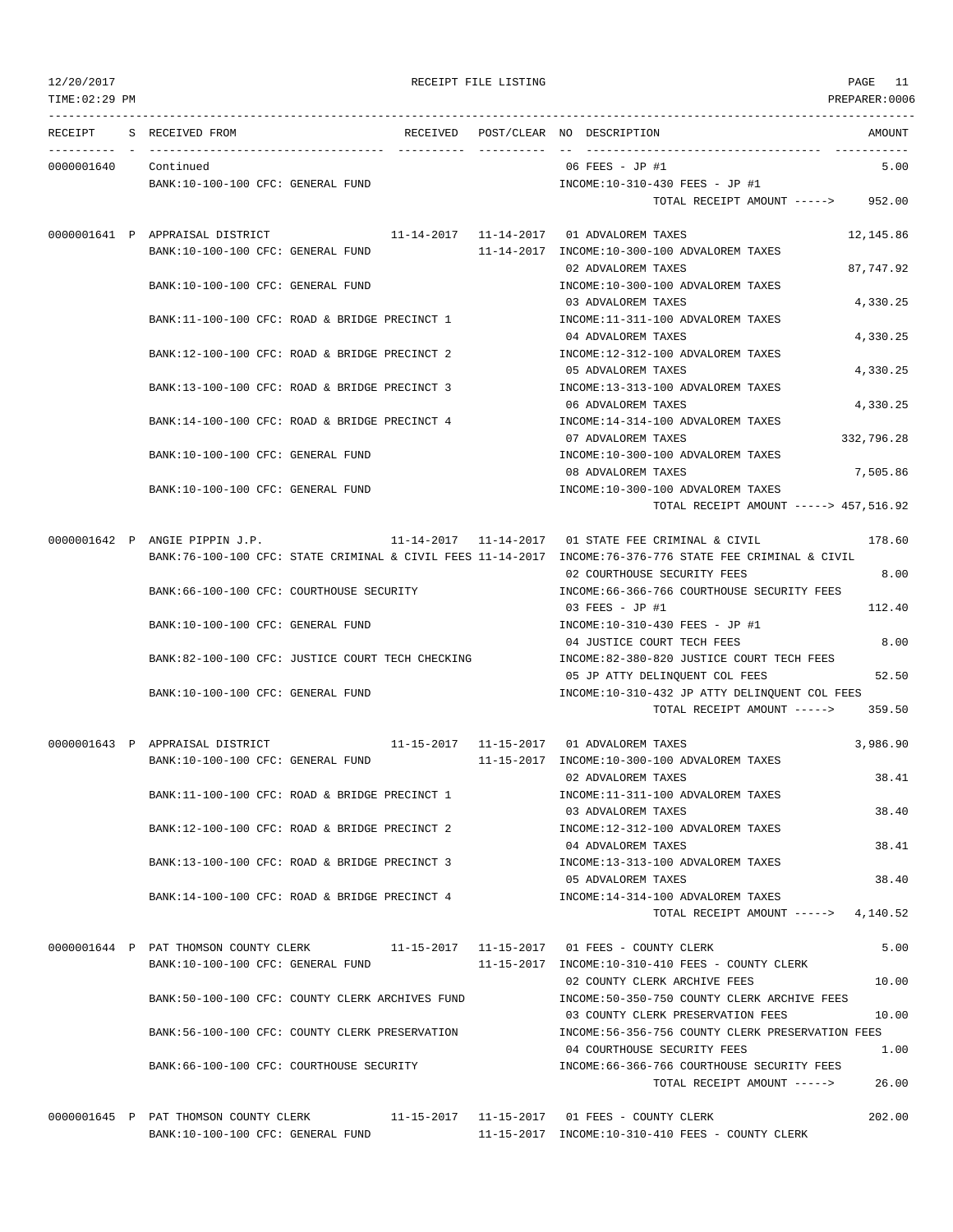| TIME: 02:29 PM       |                                                                                    |  |                                                                                                          | PREPARER:0006 |
|----------------------|------------------------------------------------------------------------------------|--|----------------------------------------------------------------------------------------------------------|---------------|
|                      | RECEIPT S RECEIVED FROM                                                            |  | RECEIVED POST/CLEAR NO DESCRIPTION                                                                       | AMOUNT        |
| 0000001640 Continued |                                                                                    |  | 06 FEES - JP #1                                                                                          | 5.00          |
|                      | BANK:10-100-100 CFC: GENERAL FUND                                                  |  | INCOME:10-310-430 FEES - JP #1                                                                           |               |
|                      |                                                                                    |  | TOTAL RECEIPT AMOUNT -----> 952.00                                                                       |               |
|                      | 0000001641 P APPRAISAL DISTRICT                                                    |  | 11-14-2017   11-14-2017   01 ADVALOREM TAXES                                                             | 12,145.86     |
|                      | BANK:10-100-100 CFC: GENERAL FUND                                                  |  | 11-14-2017 INCOME:10-300-100 ADVALOREM TAXES                                                             |               |
|                      |                                                                                    |  | 02 ADVALOREM TAXES                                                                                       | 87.747.92     |
|                      | BANK:10-100-100 CFC: GENERAL FUND                                                  |  | INCOME:10-300-100 ADVALOREM TAXES                                                                        |               |
|                      |                                                                                    |  | 03 ADVALOREM TAXES                                                                                       | 4,330.25      |
|                      | BANK:11-100-100 CFC: ROAD & BRIDGE PRECINCT 1                                      |  | INCOME:11-311-100 ADVALOREM TAXES                                                                        |               |
|                      | BANK:12-100-100 CFC: ROAD & BRIDGE PRECINCT 2                                      |  | 04 ADVALOREM TAXES<br>INCOME:12-312-100 ADVALOREM TAXES                                                  | 4,330.25      |
|                      |                                                                                    |  | 05 ADVALOREM TAXES                                                                                       | 4,330.25      |
|                      | BANK:13-100-100 CFC: ROAD & BRIDGE PRECINCT 3                                      |  | INCOME:13-313-100 ADVALOREM TAXES                                                                        |               |
|                      |                                                                                    |  | 06 ADVALOREM TAXES                                                                                       | 4,330.25      |
|                      | BANK:14-100-100 CFC: ROAD & BRIDGE PRECINCT 4                                      |  | INCOME:14-314-100 ADVALOREM TAXES                                                                        |               |
|                      |                                                                                    |  | 07 ADVALOREM TAXES                                                                                       | 332,796.28    |
|                      | BANK:10-100-100 CFC: GENERAL FUND                                                  |  | INCOME:10-300-100 ADVALOREM TAXES                                                                        |               |
|                      |                                                                                    |  | 08 ADVALOREM TAXES                                                                                       | 7,505.86      |
|                      | BANK:10-100-100 CFC: GENERAL FUND                                                  |  | INCOME:10-300-100 ADVALOREM TAXES                                                                        |               |
|                      |                                                                                    |  | TOTAL RECEIPT AMOUNT -----> 457,516.92                                                                   |               |
|                      | 0000001642 P ANGIE PIPPIN J.P.                                                     |  | 11-14-2017   11-14-2017   01 STATE FEE CRIMINAL & CIVIL                                                  | 178.60        |
|                      |                                                                                    |  | BANK:76-100-100 CFC: STATE CRIMINAL & CIVIL FEES 11-14-2017 INCOME:76-376-776 STATE FEE CRIMINAL & CIVIL |               |
|                      |                                                                                    |  | 02 COURTHOUSE SECURITY FEES                                                                              | 8.00          |
|                      | BANK:66-100-100 CFC: COURTHOUSE SECURITY                                           |  | INCOME:66-366-766 COURTHOUSE SECURITY FEES                                                               |               |
|                      |                                                                                    |  | 03 FEES - JP #1                                                                                          | 112.40        |
|                      | BANK:10-100-100 CFC: GENERAL FUND                                                  |  | INCOME:10-310-430 FEES - JP #1                                                                           |               |
|                      |                                                                                    |  | 04 JUSTICE COURT TECH FEES                                                                               | 8.00          |
|                      | BANK:82-100-100 CFC: JUSTICE COURT TECH CHECKING                                   |  | INCOME:82-380-820 JUSTICE COURT TECH FEES                                                                | 52.50         |
|                      | BANK:10-100-100 CFC: GENERAL FUND                                                  |  | 05 JP ATTY DELINQUENT COL FEES<br>INCOME:10-310-432 JP ATTY DELINOUENT COL FEES                          |               |
|                      |                                                                                    |  | TOTAL RECEIPT AMOUNT ----->                                                                              | 359.50        |
|                      |                                                                                    |  |                                                                                                          |               |
|                      | 0000001643 P APPRAISAL DISTRICT<br>BANK:10-100-100 CFC: GENERAL FUND               |  | 11-15-2017   11-15-2017   01 ADVALOREM TAXES<br>11-15-2017 INCOME:10-300-100 ADVALOREM TAXES             | 3,986.90      |
|                      |                                                                                    |  | 02 ADVALOREM TAXES                                                                                       | 38.41         |
|                      | BANK:11-100-100 CFC: ROAD & BRIDGE PRECINCT 1                                      |  | INCOME:11-311-100 ADVALOREM TAXES                                                                        |               |
|                      |                                                                                    |  | 03 ADVALOREM TAXES                                                                                       | 38.40         |
|                      | BANK:12-100-100 CFC: ROAD & BRIDGE PRECINCT 2                                      |  | INCOME:12-312-100 ADVALOREM TAXES                                                                        |               |
|                      |                                                                                    |  | 04 ADVALOREM TAXES                                                                                       | 38.41         |
|                      | BANK:13-100-100 CFC: ROAD & BRIDGE PRECINCT 3                                      |  | INCOME:13-313-100 ADVALOREM TAXES                                                                        |               |
|                      |                                                                                    |  | 05 ADVALOREM TAXES                                                                                       | 38.40         |
|                      | BANK:14-100-100 CFC: ROAD & BRIDGE PRECINCT 4                                      |  | INCOME:14-314-100 ADVALOREM TAXES                                                                        |               |
|                      |                                                                                    |  | TOTAL RECEIPT AMOUNT -----> 4,140.52                                                                     |               |
|                      | 0000001644 P PAT THOMSON COUNTY CLERK                                              |  |                                                                                                          | 5.00          |
|                      | BANK:10-100-100 CFC: GENERAL FUND                                                  |  | 11-15-2017 INCOME:10-310-410 FEES - COUNTY CLERK                                                         |               |
|                      |                                                                                    |  | 02 COUNTY CLERK ARCHIVE FEES                                                                             | 10.00         |
|                      | BANK:50-100-100 CFC: COUNTY CLERK ARCHIVES FUND                                    |  | INCOME:50-350-750 COUNTY CLERK ARCHIVE FEES                                                              |               |
|                      |                                                                                    |  | 03 COUNTY CLERK PRESERVATION FEES                                                                        | 10.00         |
|                      | BANK:56-100-100 CFC: COUNTY CLERK PRESERVATION                                     |  | INCOME:56-356-756 COUNTY CLERK PRESERVATION FEES                                                         |               |
|                      | BANK:66-100-100 CFC: COURTHOUSE SECURITY                                           |  | 04 COURTHOUSE SECURITY FEES<br>INCOME: 66-366-766 COURTHOUSE SECURITY FEES                               | 1.00          |
|                      |                                                                                    |  | TOTAL RECEIPT AMOUNT ----->                                                                              | 26.00         |
|                      |                                                                                    |  |                                                                                                          |               |
|                      | 0000001645 P PAT THOMSON COUNTY CLERK 11-15-2017 11-15-2017 01 FEES - COUNTY CLERK |  |                                                                                                          | 202.00        |

BANK:10-100-100 CFC: GENERAL FUND 11-15-2017 INCOME:10-310-410 FEES - COUNTY CLERK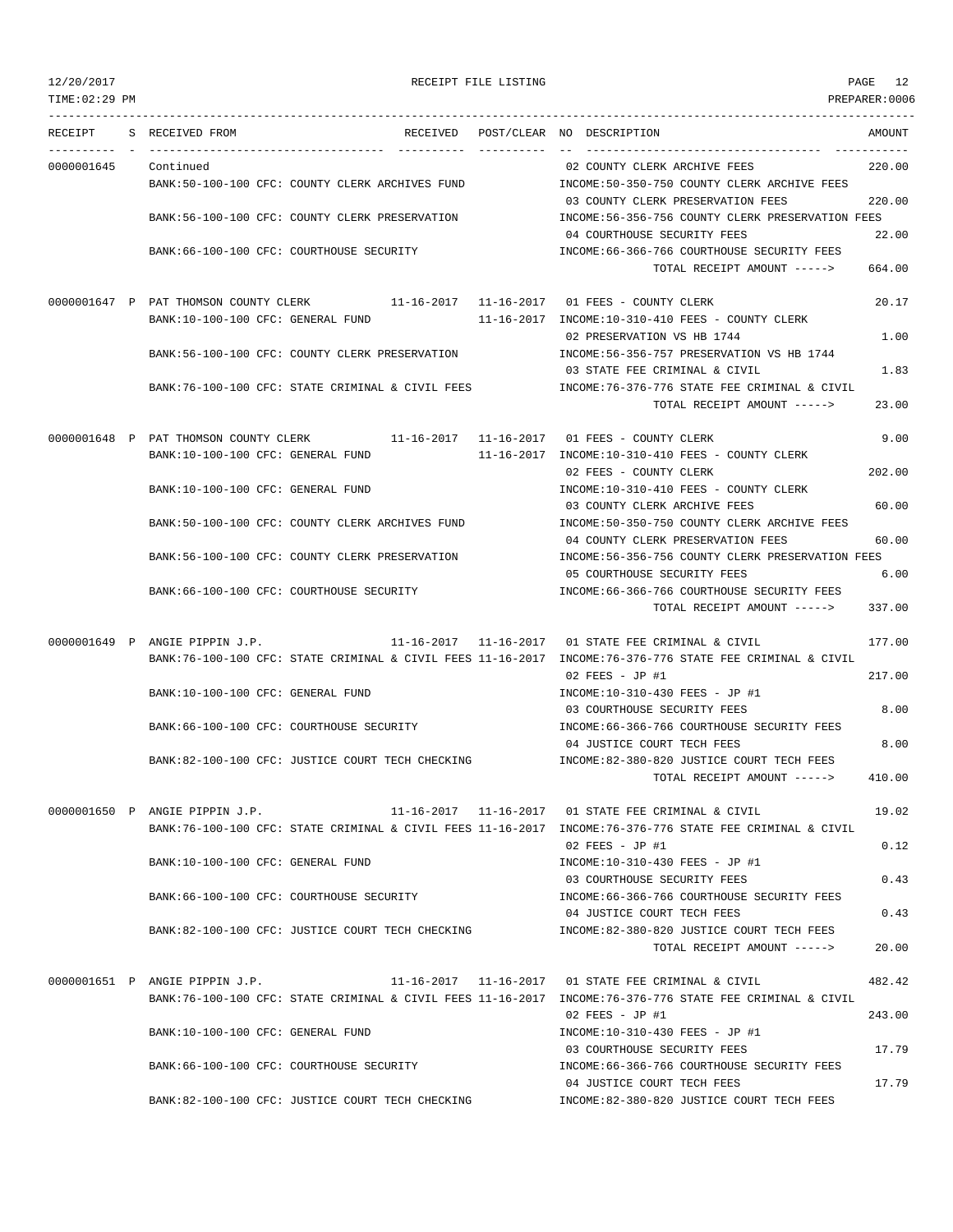TIME:02:29 PM PREPARER:0006 --------------------------------------------------------------------------------------------------------------------------------- RECEIPT S RECEIVED FROM THE RECEIVED POST/CLEAR NO DESCRIPTION THE SECRET AMOUNT ---------- - ----------------------------------- ---------- ---------- -- ----------------------------------- ----------- 0000001645 Continued 02 COUNTY CLERK ARCHIVE FEES 220.00 BANK:50-100-100 CFC: COUNTY CLERK ARCHIVES FUND INCOME:50-350-750 COUNTY CLERK ARCHIVE FEES 03 COUNTY CLERK PRESERVATION FEES 220.00 BANK:56-100-100 CFC: COUNTY CLERK PRESERVATION INCOME:56-356-756 COUNTY CLERK PRESERVATION FEES 04 COURTHOUSE SECURITY FEES 22.00 BANK:66-100-100 CFC: COURTHOUSE SECURITY INCOME:66-366-766 COURTHOUSE SECURITY FEES TOTAL RECEIPT AMOUNT -----> 664.00 0000001647 P PAT THOMSON COUNTY CLERK 11-16-2017 11-16-2017 01 FEES - COUNTY CLERK 20.17 BANK:10-100-100 CFC: GENERAL FUND 11-16-2017 INCOME:10-310-410 FEES - COUNTY CLERK 02 PRESERVATION VS HB 1744 1.00 BANK:56-100-100 CFC: COUNTY CLERK PRESERVATION INCOME:56-356-757 PRESERVATION VS HB 1744 03 STATE FEE CRIMINAL & CIVIL 1.83 BANK:76-100-100 CFC: STATE CRIMINAL & CIVIL FEES INCOME:76-376-776 STATE FEE CRIMINAL & CIVIL TOTAL RECEIPT AMOUNT -----> 23.00 0000001648 P PAT THOMSON COUNTY CLERK 11-16-2017 11-16-2017 01 FEES - COUNTY CLERK 9.00 BANK:10-100-100 CFC: GENERAL FUND 11-16-2017 INCOME:10-310-410 FEES - COUNTY CLERK 02 FEES - COUNTY CLERK 202.00 BANK:10-100-100 CFC: GENERAL FUND INCOME:10-310-410 FEES - COUNTY CLERK 03 COUNTY CLERK ARCHIVE FEES 60.00 BANK:50-100-100 CFC: COUNTY CLERK ARCHIVES FUND INCOME:50-350-750 COUNTY CLERK ARCHIVE FEES 04 COUNTY CLERK PRESERVATION FEES 60.00 BANK:56-100-100 CFC: COUNTY CLERK PRESERVATION INCOME:56-356-756 COUNTY CLERK PRESERVATION FEES 05 COURTHOUSE SECURITY FEES 6.00 BANK:66-100-100 CFC: COURTHOUSE SECURITY **INCOME:66-366-766 COURTHOUSE SECURITY FEES** TOTAL RECEIPT AMOUNT -----> 337.00 0000001649 P ANGIE PIPPIN J.P. 11-16-2017 11-16-2017 11-16-2017 01 STATE FEE CRIMINAL & CIVIL 177.00 BANK:76-100-100 CFC: STATE CRIMINAL & CIVIL FEES 11-16-2017 INCOME:76-376-776 STATE FEE CRIMINAL & CIVIL 02 FEES - JP #1 217.00 BANK:10-100-100 CFC: GENERAL FUND **INCOME:10-310-430 FEES** - JP #1 03 COURTHOUSE SECURITY FEES 8.00 BANK:66-100-100 CFC: COURTHOUSE SECURITY INCOME:66-366-766 COURTHOUSE SECURITY FEES 04 JUSTICE COURT TECH FEES 8.00 BANK:82-100-100 CFC: JUSTICE COURT TECH CHECKING INCOME:82-380-820 JUSTICE COURT TECH FEES  $T$ OTAL RECEIPT AMOUNT  $--- 2$  410.00 0000001650 P ANGIE PIPPIN J.P. 11-16-2017 11-16-2017 01 STATE FEE CRIMINAL & CIVIL 19.02 BANK:76-100-100 CFC: STATE CRIMINAL & CIVIL FEES 11-16-2017 INCOME:76-376-776 STATE FEE CRIMINAL & CIVIL 02 FEES - JP #1 0.12 BANK:10-100-100 CFC: GENERAL FUND INCOME:10-310-430 FEES - JP #1 03 COURTHOUSE SECURITY FEES 0.43 BANK:66-100-100 CFC: COURTHOUSE SECURITY INCOME:66-366-766 COURTHOUSE SECURITY FEES 04 JUSTICE COURT TECH FEES 0.43 BANK:82-100-100 CFC: JUSTICE COURT TECH CHECKING INCOME:82-380-820 JUSTICE COURT TECH FEES TOTAL RECEIPT AMOUNT -----> 20.00 0000001651 P ANGIE PIPPIN J.P. 11-16-2017 11-16-2017 01 STATE FEE CRIMINAL & CIVIL 482.42 BANK:76-100-100 CFC: STATE CRIMINAL & CIVIL FEES 11-16-2017 INCOME:76-376-776 STATE FEE CRIMINAL & CIVIL 02 FEES - JP #1 243.00 BANK:10-100-100 CFC: GENERAL FUND INCOME:10-310-430 FEES - JP #1 03 COURTHOUSE SECURITY FEES 17.79 BANK:66-100-100 CFC: COURTHOUSE SECURITY INCOME:66-366-766 COURTHOUSE SECURITY FEES 04 JUSTICE COURT TECH FEES 17.79 BANK:82-100-100 CFC: JUSTICE COURT TECH CHECKING INCOME:82-380-820 JUSTICE COURT TECH FEES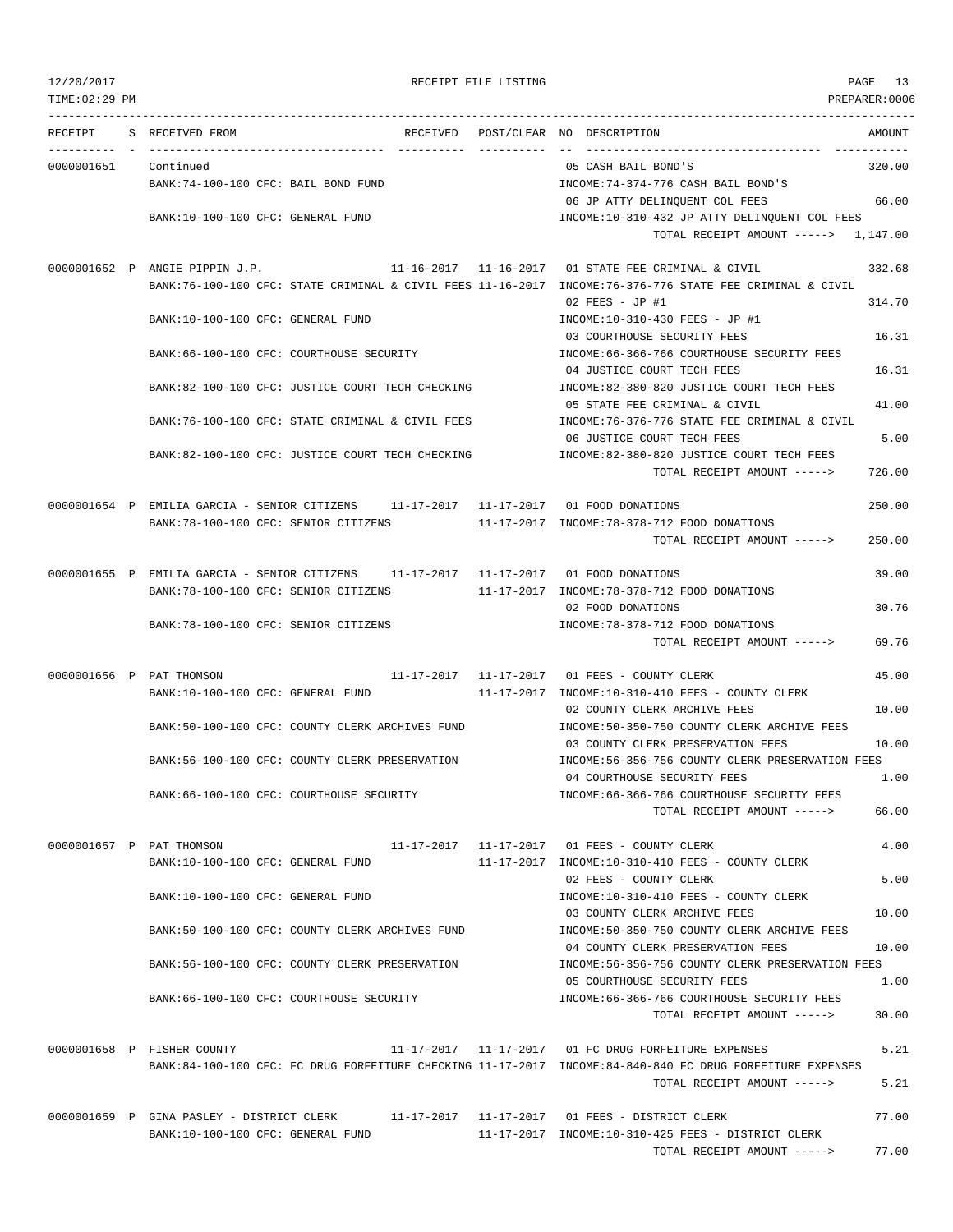| 12/20/2017     |                                                                                                                               | RECEIPT FILE LISTING |                                                                                       | PAGE<br>13    |
|----------------|-------------------------------------------------------------------------------------------------------------------------------|----------------------|---------------------------------------------------------------------------------------|---------------|
| TIME: 02:29 PM |                                                                                                                               |                      |                                                                                       | PREPARER:0006 |
| RECEIPT        | S RECEIVED FROM                                                                                                               |                      | RECEIVED POST/CLEAR NO DESCRIPTION                                                    | AMOUNT        |
| 0000001651     | Continued                                                                                                                     |                      | 05 CASH BAIL BOND'S                                                                   | 320.00        |
|                | BANK:74-100-100 CFC: BAIL BOND FUND                                                                                           |                      | INCOME: 74-374-776 CASH BAIL BOND'S                                                   |               |
|                |                                                                                                                               |                      | 06 JP ATTY DELINQUENT COL FEES                                                        | 66.00         |
|                | BANK:10-100-100 CFC: GENERAL FUND                                                                                             |                      | INCOME:10-310-432 JP ATTY DELINQUENT COL FEES                                         |               |
|                |                                                                                                                               |                      | TOTAL RECEIPT AMOUNT -----> 1,147.00                                                  |               |
|                | 0000001652 P ANGIE PIPPIN J.P.                                                                                                |                      | 11-16-2017   11-16-2017   01 STATE FEE CRIMINAL & CIVIL                               | 332.68        |
|                | BANK:76-100-100 CFC: STATE CRIMINAL & CIVIL FEES 11-16-2017 INCOME:76-376-776 STATE FEE CRIMINAL & CIVIL                      |                      |                                                                                       |               |
|                |                                                                                                                               |                      | 02 FEES - JP #1                                                                       | 314.70        |
|                | BANK:10-100-100 CFC: GENERAL FUND                                                                                             |                      | INCOME:10-310-430 FEES - JP #1                                                        |               |
|                | BANK:66-100-100 CFC: COURTHOUSE SECURITY                                                                                      |                      | 03 COURTHOUSE SECURITY FEES<br>INCOME: 66-366-766 COURTHOUSE SECURITY FEES            | 16.31         |
|                |                                                                                                                               |                      | 04 JUSTICE COURT TECH FEES                                                            | 16.31         |
|                | BANK:82-100-100 CFC: JUSTICE COURT TECH CHECKING                                                                              |                      | INCOME:82-380-820 JUSTICE COURT TECH FEES                                             |               |
|                |                                                                                                                               |                      | 05 STATE FEE CRIMINAL & CIVIL                                                         | 41.00         |
|                | BANK:76-100-100 CFC: STATE CRIMINAL & CIVIL FEES                                                                              |                      | INCOME: 76-376-776 STATE FEE CRIMINAL & CIVIL                                         |               |
|                |                                                                                                                               |                      | 06 JUSTICE COURT TECH FEES                                                            | 5.00          |
|                | BANK:82-100-100 CFC: JUSTICE COURT TECH CHECKING                                                                              |                      | INCOME:82-380-820 JUSTICE COURT TECH FEES<br>TOTAL RECEIPT AMOUNT ----->              | 726.00        |
|                |                                                                                                                               |                      |                                                                                       |               |
|                | 0000001654 P EMILIA GARCIA - SENIOR CITIZENS 11-17-2017 11-17-2017 01 FOOD DONATIONS                                          |                      |                                                                                       | 250.00        |
|                | BANK:78-100-100 CFC: SENIOR CITIZENS                                                                                          |                      | 11-17-2017 INCOME:78-378-712 FOOD DONATIONS                                           |               |
|                |                                                                                                                               |                      | TOTAL RECEIPT AMOUNT ----->                                                           | 250.00        |
|                | 0000001655 P EMILIA GARCIA - SENIOR CITIZENS 11-17-2017 11-17-2017 01 FOOD DONATIONS                                          |                      |                                                                                       | 39.00         |
|                | BANK: 78-100-100 CFC: SENIOR CITIZENS                                                                                         |                      | 11-17-2017 INCOME:78-378-712 FOOD DONATIONS                                           |               |
|                |                                                                                                                               |                      | 02 FOOD DONATIONS                                                                     | 30.76         |
|                | BANK: 78-100-100 CFC: SENIOR CITIZENS                                                                                         |                      | INCOME: 78-378-712 FOOD DONATIONS                                                     |               |
|                |                                                                                                                               |                      | TOTAL RECEIPT AMOUNT ----->                                                           | 69.76         |
|                | 0000001656 P PAT THOMSON                                                                                                      |                      | 11-17-2017   11-17-2017   01   FEES - COUNTY CLERK                                    | 45.00         |
|                | BANK:10-100-100 CFC: GENERAL FUND                                                                                             |                      | 11-17-2017 INCOME:10-310-410 FEES - COUNTY CLERK                                      |               |
|                |                                                                                                                               |                      | 02 COUNTY CLERK ARCHIVE FEES                                                          | 10.00         |
|                | BANK:50-100-100 CFC: COUNTY CLERK ARCHIVES FUND                                                                               |                      | INCOME: 50-350-750 COUNTY CLERK ARCHIVE FEES                                          |               |
|                | BANK:56-100-100 CFC: COUNTY CLERK PRESERVATION                                                                                |                      | 03 COUNTY CLERK PRESERVATION FEES<br>INCOME:56-356-756 COUNTY CLERK PRESERVATION FEES | 10.00         |
|                |                                                                                                                               |                      | 04 COURTHOUSE SECURITY FEES                                                           | 1.00          |
|                | BANK:66-100-100 CFC: COURTHOUSE SECURITY                                                                                      |                      | INCOME: 66-366-766 COURTHOUSE SECURITY FEES                                           |               |
|                |                                                                                                                               |                      | TOTAL RECEIPT AMOUNT ----->                                                           | 66.00         |
|                |                                                                                                                               |                      | 11-17-2017   11-17-2017   01 FEES - COUNTY CLERK                                      | 4.00          |
|                | 0000001657 P PAT THOMSON<br>BANK:10-100-100 CFC: GENERAL FUND                                                                 |                      | 11-17-2017 INCOME:10-310-410 FEES - COUNTY CLERK                                      |               |
|                |                                                                                                                               |                      | 02 FEES - COUNTY CLERK                                                                | 5.00          |
|                | BANK:10-100-100 CFC: GENERAL FUND                                                                                             |                      | INCOME:10-310-410 FEES - COUNTY CLERK                                                 |               |
|                |                                                                                                                               |                      | 03 COUNTY CLERK ARCHIVE FEES                                                          | 10.00         |
|                | BANK:50-100-100 CFC: COUNTY CLERK ARCHIVES FUND                                                                               |                      | INCOME:50-350-750 COUNTY CLERK ARCHIVE FEES                                           |               |
|                | BANK:56-100-100 CFC: COUNTY CLERK PRESERVATION                                                                                |                      | 04 COUNTY CLERK PRESERVATION FEES<br>INCOME:56-356-756 COUNTY CLERK PRESERVATION FEES | 10.00         |
|                |                                                                                                                               |                      | 05 COURTHOUSE SECURITY FEES                                                           | 1.00          |
|                | BANK:66-100-100 CFC: COURTHOUSE SECURITY                                                                                      |                      | INCOME: 66-366-766 COURTHOUSE SECURITY FEES                                           |               |
|                |                                                                                                                               |                      | TOTAL RECEIPT AMOUNT ----->                                                           | 30.00         |
|                | 0000001658 P FISHER COUNTY                                                                                                    |                      | 11-17-2017   11-17-2017   01 FC DRUG FORFEITURE EXPENSES                              | 5.21          |
|                | BANK:84-100-100 CFC: FC DRUG FORFEITURE CHECKING 11-17-2017 INCOME:84-840-840 FC DRUG FORFEITURE EXPENSES                     |                      |                                                                                       |               |
|                |                                                                                                                               |                      | TOTAL RECEIPT AMOUNT ----->                                                           | 5.21          |
|                |                                                                                                                               |                      |                                                                                       |               |
|                | 0000001659 P GINA PASLEY - DISTRICT CLERK 11-17-2017 11-17-2017 01 FEES - DISTRICT CLERK<br>BANK:10-100-100 CFC: GENERAL FUND |                      | $11-17-2017$ INCOME: $10-310-425$ FEES - DISTRICT CLERK                               | 77.00         |
|                |                                                                                                                               |                      | TOTAL RECEIPT AMOUNT ----->                                                           | 77.00         |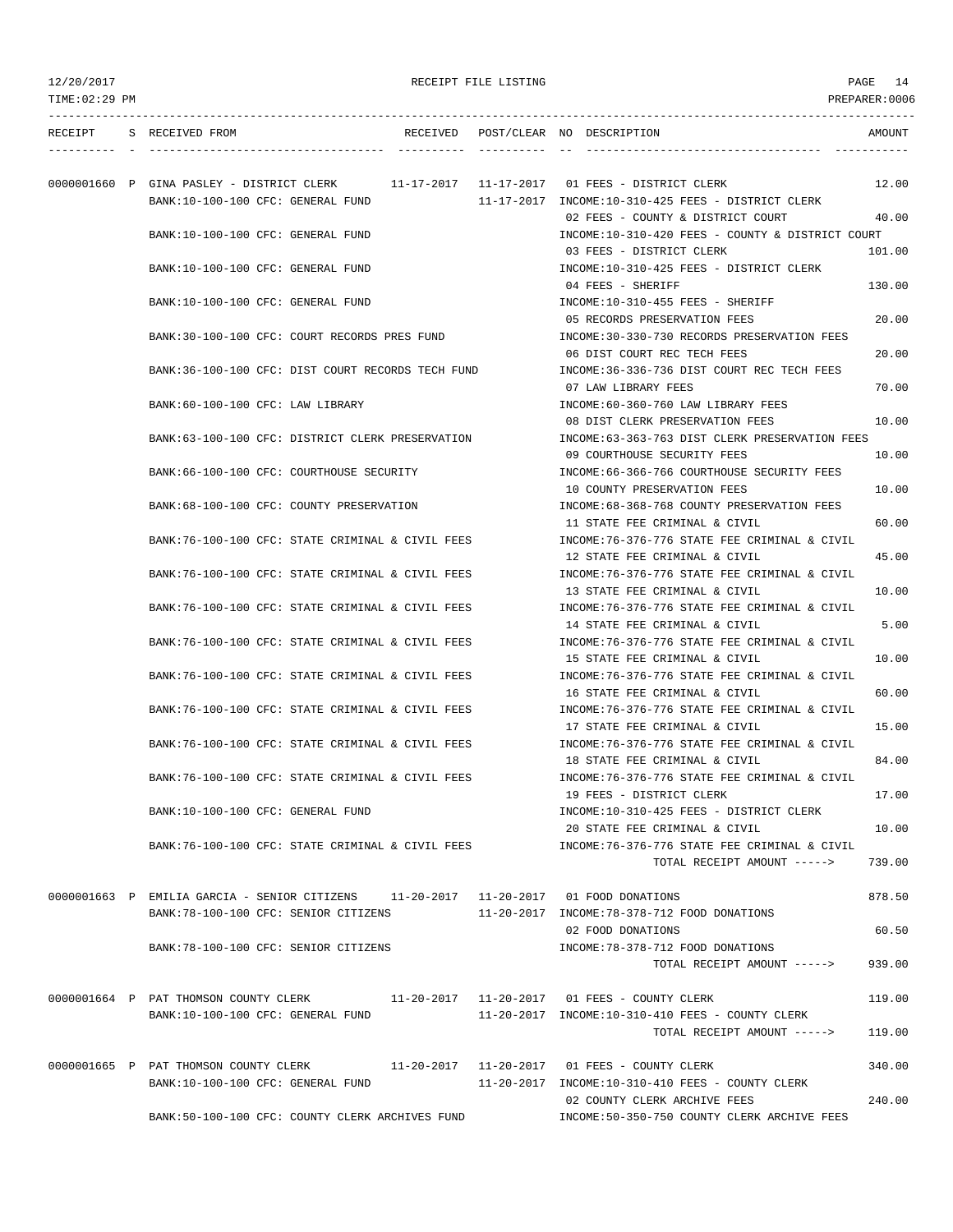|  | RECEIPT S RECEIVED FROM                                                                                                       |  | RECEIVED POST/CLEAR NO DESCRIPTION                                                                         | AMOUNT         |
|--|-------------------------------------------------------------------------------------------------------------------------------|--|------------------------------------------------------------------------------------------------------------|----------------|
|  | 0000001660 P GINA PASLEY - DISTRICT CLERK 11-17-2017 11-17-2017 01 FEES - DISTRICT CLERK<br>BANK:10-100-100 CFC: GENERAL FUND |  | 11-17-2017 INCOME:10-310-425 FEES - DISTRICT CLERK                                                         | 12.00          |
|  | BANK:10-100-100 CFC: GENERAL FUND                                                                                             |  | 02 FEES - COUNTY & DISTRICT COURT<br>INCOME:10-310-420 FEES - COUNTY & DISTRICT COURT                      | 40.00          |
|  | BANK:10-100-100 CFC: GENERAL FUND                                                                                             |  | 03 FEES - DISTRICT CLERK<br>INCOME:10-310-425 FEES - DISTRICT CLERK                                        | 101.00         |
|  | BANK:10-100-100 CFC: GENERAL FUND                                                                                             |  | 04 FEES - SHERIFF<br>INCOME:10-310-455 FEES - SHERIFF                                                      | 130.00         |
|  | BANK:30-100-100 CFC: COURT RECORDS PRES FUND                                                                                  |  | 05 RECORDS PRESERVATION FEES<br>INCOME: 30-330-730 RECORDS PRESERVATION FEES                               | 20.00          |
|  | BANK:36-100-100 CFC: DIST COURT RECORDS TECH FUND                                                                             |  | 06 DIST COURT REC TECH FEES<br>INCOME: 36-336-736 DIST COURT REC TECH FEES                                 | 20.00          |
|  | BANK:60-100-100 CFC: LAW LIBRARY                                                                                              |  | 07 LAW LIBRARY FEES<br>INCOME: 60-360-760 LAW LIBRARY FEES                                                 | 70.00          |
|  | BANK:63-100-100 CFC: DISTRICT CLERK PRESERVATION                                                                              |  | 08 DIST CLERK PRESERVATION FEES<br>INCOME:63-363-763 DIST CLERK PRESERVATION FEES                          | 10.00          |
|  | BANK: 66-100-100 CFC: COURTHOUSE SECURITY                                                                                     |  | 09 COURTHOUSE SECURITY FEES<br>INCOME: 66-366-766 COURTHOUSE SECURITY FEES                                 | 10.00          |
|  | BANK:68-100-100 CFC: COUNTY PRESERVATION                                                                                      |  | 10 COUNTY PRESERVATION FEES<br>INCOME: 68-368-768 COUNTY PRESERVATION FEES                                 | 10.00          |
|  | BANK:76-100-100 CFC: STATE CRIMINAL & CIVIL FEES                                                                              |  | 11 STATE FEE CRIMINAL & CIVIL<br>INCOME: 76-376-776 STATE FEE CRIMINAL & CIVIL                             | 60.00          |
|  | BANK:76-100-100 CFC: STATE CRIMINAL & CIVIL FEES                                                                              |  | 12 STATE FEE CRIMINAL & CIVIL<br>INCOME: 76-376-776 STATE FEE CRIMINAL & CIVIL                             | 45.00          |
|  | BANK:76-100-100 CFC: STATE CRIMINAL & CIVIL FEES                                                                              |  | 13 STATE FEE CRIMINAL & CIVIL<br>INCOME:76-376-776 STATE FEE CRIMINAL & CIVIL                              | 10.00          |
|  | BANK: 76-100-100 CFC: STATE CRIMINAL & CIVIL FEES                                                                             |  | 14 STATE FEE CRIMINAL & CIVIL<br>INCOME: 76-376-776 STATE FEE CRIMINAL & CIVIL                             | 5.00           |
|  | BANK:76-100-100 CFC: STATE CRIMINAL & CIVIL FEES                                                                              |  | 15 STATE FEE CRIMINAL & CIVIL<br>INCOME:76-376-776 STATE FEE CRIMINAL & CIVIL                              | 10.00          |
|  | BANK:76-100-100 CFC: STATE CRIMINAL & CIVIL FEES                                                                              |  | 16 STATE FEE CRIMINAL & CIVIL<br>INCOME: 76-376-776 STATE FEE CRIMINAL & CIVIL                             | 60.00<br>15.00 |
|  | BANK:76-100-100 CFC: STATE CRIMINAL & CIVIL FEES                                                                              |  | 17 STATE FEE CRIMINAL & CIVIL<br>INCOME:76-376-776 STATE FEE CRIMINAL & CIVIL                              | 84.00          |
|  | BANK: 76-100-100 CFC: STATE CRIMINAL & CIVIL FEES                                                                             |  | 18 STATE FEE CRIMINAL & CIVIL<br>INCOME: 76-376-776 STATE FEE CRIMINAL & CIVIL<br>19 FEES - DISTRICT CLERK | 17.00          |
|  | BANK:10-100-100 CFC: GENERAL FUND                                                                                             |  | INCOME:10-310-425 FEES - DISTRICT CLERK<br>20 STATE FEE CRIMINAL & CIVIL                                   | 10.00          |
|  | BANK:76-100-100 CFC: STATE CRIMINAL & CIVIL FEES                                                                              |  | INCOME: 76-376-776 STATE FEE CRIMINAL & CIVIL<br>TOTAL RECEIPT AMOUNT ----->                               | 739.00         |
|  | 0000001663 P EMILIA GARCIA - SENIOR CITIZENS 11-20-2017 11-20-2017 01 FOOD DONATIONS                                          |  |                                                                                                            | 878.50         |
|  | BANK:78-100-100 CFC: SENIOR CITIZENS 11-20-2017 INCOME:78-378-712 FOOD DONATIONS                                              |  | 02 FOOD DONATIONS                                                                                          | 60.50          |
|  | BANK: 78-100-100 CFC: SENIOR CITIZENS                                                                                         |  | INCOME: 78-378-712 FOOD DONATIONS<br>TOTAL RECEIPT AMOUNT ----->                                           | 939.00         |
|  | 0000001664 P PAT THOMSON COUNTY CLERK 11-20-2017 11-20-2017 01 FEES - COUNTY CLERK                                            |  |                                                                                                            | 119.00         |
|  | BANK:10-100-100 CFC: GENERAL FUND                                                                                             |  | 11-20-2017 INCOME:10-310-410 FEES - COUNTY CLERK<br>TOTAL RECEIPT AMOUNT ----->                            | 119.00         |
|  | 0000001665 P PAT THOMSON COUNTY CLERK 11-20-2017 11-20-2017 01 FEES - COUNTY CLERK                                            |  |                                                                                                            | 340.00         |
|  | BANK:10-100-100 CFC: GENERAL FUND                                                                                             |  | 11-20-2017 INCOME:10-310-410 FEES - COUNTY CLERK<br>02 COUNTY CLERK ARCHIVE FEES                           | 240.00         |
|  | BANK:50-100-100 CFC: COUNTY CLERK ARCHIVES FUND                                                                               |  | INCOME: 50-350-750 COUNTY CLERK ARCHIVE FEES                                                               |                |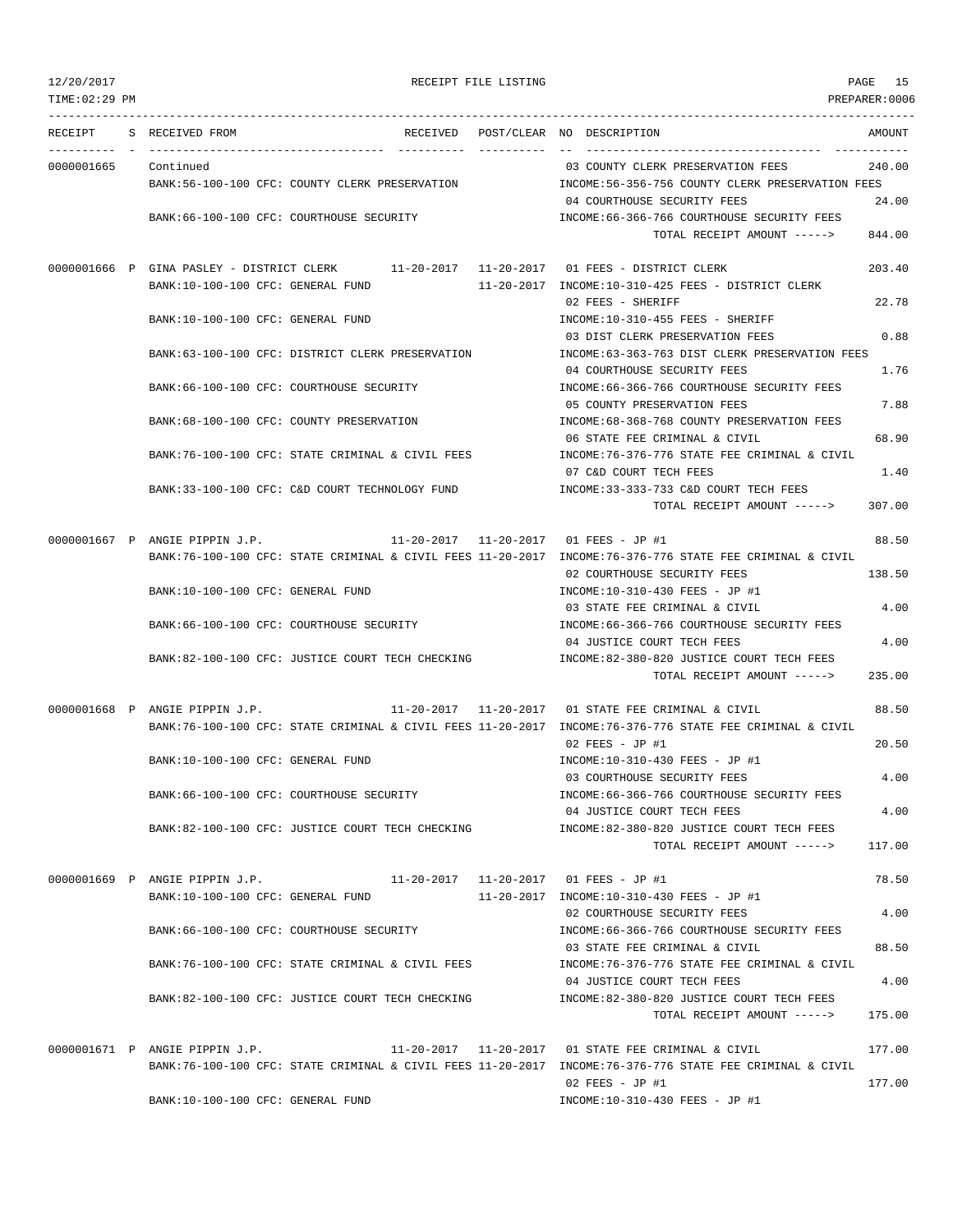|            | RECEIPT S RECEIVED FROM<br>RECEIVED                                                      |            | AMOUNT<br>POST/CLEAR NO DESCRIPTION                                                                      |       |
|------------|------------------------------------------------------------------------------------------|------------|----------------------------------------------------------------------------------------------------------|-------|
| 0000001665 | Continued                                                                                | ---------- | 240.00<br>03 COUNTY CLERK PRESERVATION FEES                                                              |       |
|            | BANK:56-100-100 CFC: COUNTY CLERK PRESERVATION                                           |            | INCOME: 56-356-756 COUNTY CLERK PRESERVATION FEES                                                        |       |
|            |                                                                                          |            | 04 COURTHOUSE SECURITY FEES                                                                              | 24.00 |
|            | BANK:66-100-100 CFC: COURTHOUSE SECURITY                                                 |            | INCOME: 66-366-766 COURTHOUSE SECURITY FEES                                                              |       |
|            |                                                                                          |            | TOTAL RECEIPT AMOUNT -----><br>844.00                                                                    |       |
|            | 0000001666 P GINA PASLEY - DISTRICT CLERK 11-20-2017 11-20-2017 01 FEES - DISTRICT CLERK |            | 203.40                                                                                                   |       |
|            | BANK:10-100-100 CFC: GENERAL FUND                                                        |            | 11-20-2017 INCOME:10-310-425 FEES - DISTRICT CLERK                                                       |       |
|            |                                                                                          |            | 02 FEES - SHERIFF                                                                                        | 22.78 |
|            | BANK:10-100-100 CFC: GENERAL FUND                                                        |            | INCOME:10-310-455 FEES - SHERIFF                                                                         |       |
|            |                                                                                          |            | 03 DIST CLERK PRESERVATION FEES                                                                          | 0.88  |
|            | BANK:63-100-100 CFC: DISTRICT CLERK PRESERVATION                                         |            | INCOME:63-363-763 DIST CLERK PRESERVATION FEES<br>04 COURTHOUSE SECURITY FEES                            | 1.76  |
|            | BANK:66-100-100 CFC: COURTHOUSE SECURITY                                                 |            | INCOME:66-366-766 COURTHOUSE SECURITY FEES                                                               |       |
|            |                                                                                          |            | 05 COUNTY PRESERVATION FEES                                                                              | 7.88  |
|            | BANK:68-100-100 CFC: COUNTY PRESERVATION                                                 |            | INCOME: 68-368-768 COUNTY PRESERVATION FEES                                                              |       |
|            |                                                                                          |            | 06 STATE FEE CRIMINAL & CIVIL                                                                            | 68.90 |
|            | BANK:76-100-100 CFC: STATE CRIMINAL & CIVIL FEES                                         |            | INCOME:76-376-776 STATE FEE CRIMINAL & CIVIL                                                             |       |
|            |                                                                                          |            | 07 C&D COURT TECH FEES                                                                                   | 1.40  |
|            | BANK:33-100-100 CFC: C&D COURT TECHNOLOGY FUND                                           |            | INCOME: 33-333-733 C&D COURT TECH FEES                                                                   |       |
|            |                                                                                          |            | 307.00<br>TOTAL RECEIPT AMOUNT ----->                                                                    |       |
|            | 0000001667 P ANGIE PIPPIN J.P.                                                           |            | 11-20-2017  11-20-2017  01 FEES - JP #1                                                                  | 88.50 |
|            |                                                                                          |            | BANK:76-100-100 CFC: STATE CRIMINAL & CIVIL FEES 11-20-2017 INCOME:76-376-776 STATE FEE CRIMINAL & CIVIL |       |
|            |                                                                                          |            | 02 COURTHOUSE SECURITY FEES<br>138.50                                                                    |       |
|            | BANK:10-100-100 CFC: GENERAL FUND                                                        |            | INCOME:10-310-430 FEES - JP #1                                                                           |       |
|            |                                                                                          |            | 03 STATE FEE CRIMINAL & CIVIL                                                                            | 4.00  |
|            | BANK:66-100-100 CFC: COURTHOUSE SECURITY                                                 |            | INCOME: 66-366-766 COURTHOUSE SECURITY FEES                                                              |       |
|            |                                                                                          |            | 04 JUSTICE COURT TECH FEES                                                                               | 4.00  |
|            | BANK:82-100-100 CFC: JUSTICE COURT TECH CHECKING                                         |            | INCOME:82-380-820 JUSTICE COURT TECH FEES<br>TOTAL RECEIPT AMOUNT -----><br>235.00                       |       |
|            |                                                                                          |            |                                                                                                          |       |
|            | 0000001668 P ANGIE PIPPIN J.P.                                                           |            |                                                                                                          | 88.50 |
|            |                                                                                          |            | BANK:76-100-100 CFC: STATE CRIMINAL & CIVIL FEES 11-20-2017 INCOME:76-376-776 STATE FEE CRIMINAL & CIVIL |       |
|            |                                                                                          |            | $02$ FEES - JP #1                                                                                        | 20.50 |
|            | BANK:10-100-100 CFC: GENERAL FUND                                                        |            | INCOME:10-310-430 FEES - JP #1                                                                           |       |
|            | BANK: 66-100-100 CFC: COURTHOUSE SECURITY                                                |            | 03 COURTHOUSE SECURITY FEES                                                                              | 4.00  |
|            |                                                                                          |            | INCOME: 66-366-766 COURTHOUSE SECURITY FEES<br>04 JUSTICE COURT TECH FEES                                | 4.00  |
|            | BANK:82-100-100 CFC: JUSTICE COURT TECH CHECKING                                         |            | INCOME:82-380-820 JUSTICE COURT TECH FEES                                                                |       |
|            |                                                                                          |            | TOTAL RECEIPT AMOUNT -----><br>117.00                                                                    |       |
|            | 0000001669 P ANGIE PIPPIN J.P.                                                           |            |                                                                                                          | 78.50 |
|            | BANK:10-100-100 CFC: GENERAL FUND                                                        |            | 11-20-2017 INCOME:10-310-430 FEES - JP #1                                                                |       |
|            |                                                                                          |            | 02 COURTHOUSE SECURITY FEES                                                                              | 4.00  |
|            | BANK:66-100-100 CFC: COURTHOUSE SECURITY                                                 |            | INCOME: 66-366-766 COURTHOUSE SECURITY FEES                                                              |       |
|            |                                                                                          |            | 03 STATE FEE CRIMINAL & CIVIL                                                                            | 88.50 |
|            | BANK:76-100-100 CFC: STATE CRIMINAL & CIVIL FEES                                         |            | INCOME:76-376-776 STATE FEE CRIMINAL & CIVIL                                                             |       |
|            |                                                                                          |            | 04 JUSTICE COURT TECH FEES                                                                               | 4.00  |
|            | BANK:82-100-100 CFC: JUSTICE COURT TECH CHECKING                                         |            | INCOME:82-380-820 JUSTICE COURT TECH FEES                                                                |       |
|            |                                                                                          |            | 175.00<br>TOTAL RECEIPT AMOUNT ----->                                                                    |       |
|            | 0000001671 P ANGIE PIPPIN J.P.                                                           |            | 177.00                                                                                                   |       |
|            |                                                                                          |            | BANK:76-100-100 CFC: STATE CRIMINAL & CIVIL FEES 11-20-2017 INCOME:76-376-776 STATE FEE CRIMINAL & CIVIL |       |
|            |                                                                                          |            | $02$ FEES - JP #1<br>177.00                                                                              |       |
|            | BANK:10-100-100 CFC: GENERAL FUND                                                        |            | INCOME:10-310-430 FEES - JP #1                                                                           |       |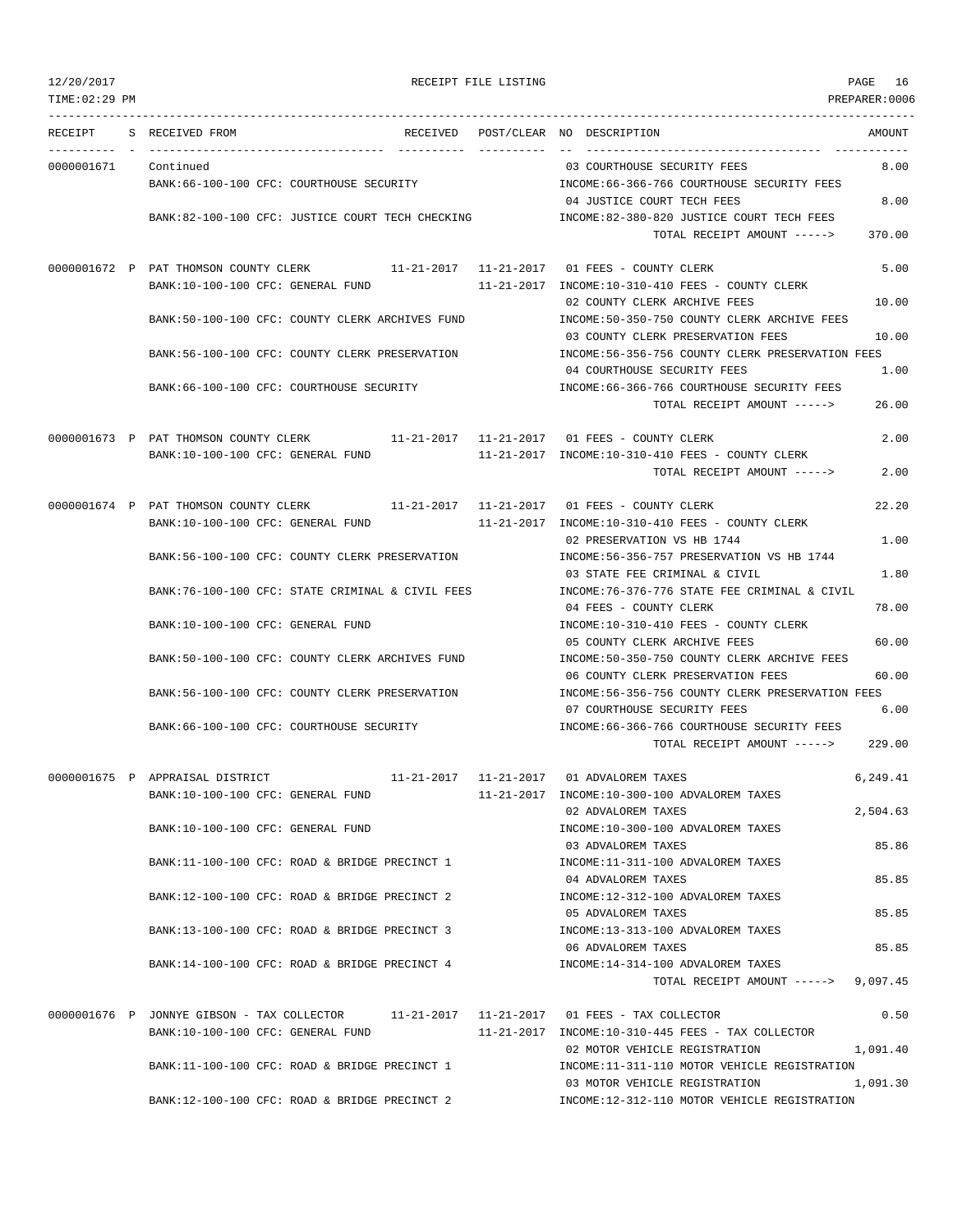TIME:02:29 PM PREPARER:0006 --------------------------------------------------------------------------------------------------------------------------------- RECEIPT S RECEIVED FROM THE RECEIVED POST/CLEAR NO DESCRIPTION THE RECEIVED AMOUNT ---------- - ----------------------------------- ---------- ---------- -- ----------------------------------- ----------- 0000001671 Continued 03 COURTHOUSE SECURITY FEES 8.00 BANK:66-100-100 CFC: COURTHOUSE SECURITY INCOME:66-366-766 COURTHOUSE SECURITY FEES 04 JUSTICE COURT TECH FEES 8.00 BANK:82-100-100 CFC: JUSTICE COURT TECH CHECKING INCOME:82-380-820 JUSTICE COURT TECH FEES TOTAL RECEIPT AMOUNT -----> 370.00 0000001672 P PAT THOMSON COUNTY CLERK 11-21-2017 11-21-2017 01 FEES - COUNTY CLERK 5.00 BANK:10-100-100 CFC: GENERAL FUND 11-21-2017 INCOME:10-310-410 FEES - COUNTY CLERK 02 COUNTY CLERK ARCHIVE FEES 10.00 BANK:50-100-100 CFC: COUNTY CLERK ARCHIVES FUND INCOME:50-350-750 COUNTY CLERK ARCHIVE FEES 03 COUNTY CLERK PRESERVATION FEES 10.00 BANK:56-100-100 CFC: COUNTY CLERK PRESERVATION INCOME:56-356-756 COUNTY CLERK PRESERVATION FEES 04 COURTHOUSE SECURITY FEES 1.00 BANK:66-100-100 CFC: COURTHOUSE SECURITY INCOME:66-366-766 COURTHOUSE SECURITY FEES TOTAL RECEIPT AMOUNT -----> 26.00 0000001673 P PAT THOMSON COUNTY CLERK 11-21-2017 11-21-2017 01 FEES - COUNTY CLERK 2.00 BANK:10-100-100 CFC: GENERAL FUND 11-21-2017 INCOME:10-310-410 FEES - COUNTY CLERK TOTAL RECEIPT AMOUNT -----> 2.00 0000001674 P PAT THOMSON COUNTY CLERK 11-21-2017 11-21-2017 01 FEES - COUNTY CLERK 22.20 BANK:10-100-100 CFC: GENERAL FUND 11-21-2017 INCOME:10-310-410 FEES - COUNTY CLERK 02 PRESERVATION VS HB 1744 2000 1.00 BANK:56-100-100 CFC: COUNTY CLERK PRESERVATION INCOME:56-356-757 PRESERVATION VS HB 1744 03 STATE FEE CRIMINAL & CIVIL 1.80 BANK:76-100-100 CFC: STATE CRIMINAL & CIVIL FEES INCOME:76-376-776 STATE FEE CRIMINAL & CIVIL 04 FEES - COUNTY CLERK 78.00 BANK:10-100-100 CFC: GENERAL FUND INCOME:10-310-410 FEES - COUNTY CLERK 05 COUNTY CLERK ARCHIVE FEES 60.00 BANK:50-100-100 CFC: COUNTY CLERK ARCHIVES FUND INCOME:50-350-750 COUNTY CLERK ARCHIVE FEES 06 COUNTY CLERK PRESERVATION FEES 60.00 BANK:56-100-100 CFC: COUNTY CLERK PRESERVATION INCOME:56-356-756 COUNTY CLERK PRESERVATION FEES 07 COURTHOUSE SECURITY FEES 6.00 BANK:66-100-100 CFC: COURTHOUSE SECURITY INCOME:66-366-766 COURTHOUSE SECURITY FEES TOTAL RECEIPT AMOUNT -----> 229.00 0000001675 P APPRAISAL DISTRICT  $11-21-2017$   $11-21-2017$  01 ADVALOREM TAXES 6,249.41 BANK:10-100-100 CFC: GENERAL FUND 11-21-2017 INCOME:10-300-100 ADVALOREM TAXES 02 ADVALOREM TAXES 2,504.63 BANK:10-100-100 CFC: GENERAL FUND **INCOME:10-300-100 ADVALOREM TAXES** 03 ADVALOREM TAXES 85.86 BANK:11-100-100 CFC: ROAD & BRIDGE PRECINCT 1 INCOME:11-311-100 ADVALOREM TAXES 04 ADVALOREM TAXES 85.85 BANK:12-100-100 CFC: ROAD & BRIDGE PRECINCT 2 INCOME:12-312-100 ADVALOREM TAXES 05 ADVALOREM TAXES 85.85 BANK:13-100-100 CFC: ROAD & BRIDGE PRECINCT 3 INCOME:13-313-100 ADVALOREM TAXES 06 ADVALOREM TAXES 85.85 BANK:14-100-100 CFC: ROAD & BRIDGE PRECINCT 4 INCOME:14-314-100 ADVALOREM TAXES TOTAL RECEIPT AMOUNT -----> 9,097.45 0000001676 P JONNYE GIBSON - TAX COLLECTOR 11-21-2017 11-21-2017 01 FEES - TAX COLLECTOR 0.50 BANK:10-100-100 CFC: GENERAL FUND 11-21-2017 INCOME:10-310-445 FEES - TAX COLLECTOR 02 MOTOR VEHICLE REGISTRATION 1,091.40 BANK:11-100-100 CFC: ROAD & BRIDGE PRECINCT 1 INCOME:11-311-110 MOTOR VEHICLE REGISTRATION 03 MOTOR VEHICLE REGISTRATION 1,091.30

BANK:12-100-100 CFC: ROAD & BRIDGE PRECINCT 2 INCOME:12-312-110 MOTOR VEHICLE REGISTRATION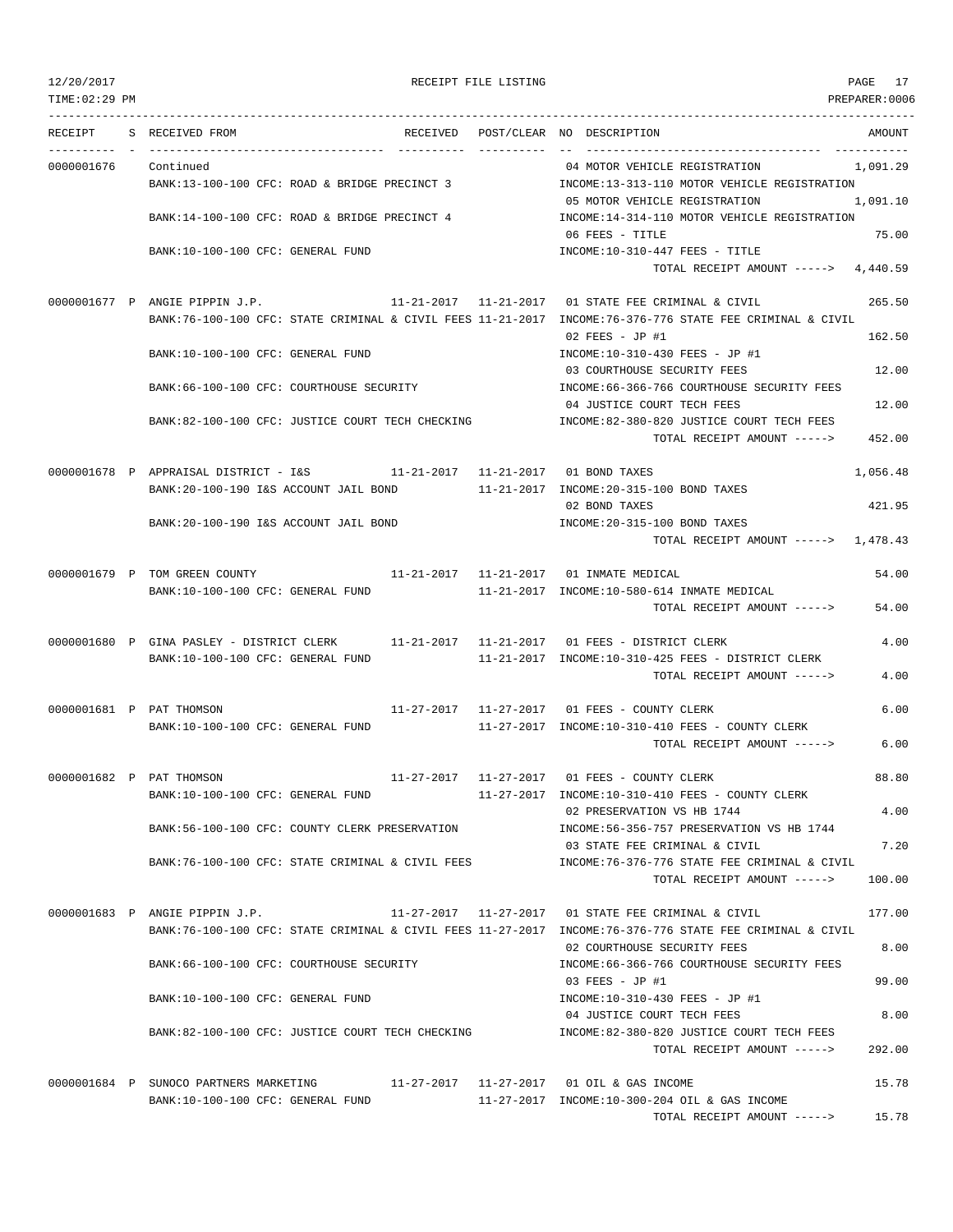TOTAL RECEIPT AMOUNT -----> 15.78

TIME:02:29 PM PREPARER:0006 --------------------------------------------------------------------------------------------------------------------------------- RECEIPT S RECEIVED FROM THE RECEIVED POST/CLEAR NO DESCRIPTION THE RECEIVED AMOUNT ---------- - ----------------------------------- ---------- ---------- -- ----------------------------------- ----------- 0000001676 Continued 04 MOTOR VEHICLE REGISTRATION 1,091.29 BANK:13-100-100 CFC: ROAD & BRIDGE PRECINCT 3 INCOME:13-313-110 MOTOR VEHICLE REGISTRATION 05 MOTOR VEHICLE REGISTRATION 1,091.10 BANK:14-100-100 CFC: ROAD & BRIDGE PRECINCT 4 INCOME:14-314-110 MOTOR VEHICLE REGISTRATION 06 FEES - TITLE 25.00 BANK:10-100-100 CFC: GENERAL FUND INCOME:10-310-447 FEES - TITLE TOTAL RECEIPT AMOUNT -----> 4,440.59 0000001677 P ANGIE PIPPIN J.P. 11-21-2017 11-21-2017 01 STATE FEE CRIMINAL & CIVIL 265.50 BANK:76-100-100 CFC: STATE CRIMINAL & CIVIL FEES 11-21-2017 INCOME:76-376-776 STATE FEE CRIMINAL & CIVIL 02 FEES - JP #1 162.50 BANK:10-100-100 CFC: GENERAL FUND INCOME:10-310-430 FEES - JP #1 03 COURTHOUSE SECURITY FEES 12.00 BANK:66-100-100 CFC: COURTHOUSE SECURITY INCOME:66-366-766 COURTHOUSE SECURITY FEES 04 JUSTICE COURT TECH FEES 12.00 BANK:82-100-100 CFC: JUSTICE COURT TECH CHECKING INCOME:82-380-820 JUSTICE COURT TECH FEES TOTAL RECEIPT AMOUNT -----> 452.00 0000001678 P APPRAISAL DISTRICT - I&S 11-21-2017 11-21-2017 01 BOND TAXES 1,056.48 BANK:20-100-190 I&S ACCOUNT JAIL BOND 11-21-2017 INCOME:20-315-100 BOND TAXES 02 BOND TAXES 421.95 BANK:20-100-190 I&S ACCOUNT JAIL BOND INCOME:20-315-100 BOND TAXES TOTAL RECEIPT AMOUNT -----> 1,478.43 0000001679 P TOM GREEN COUNTY 11-21-2017 11-21-2017 01 INMATE MEDICAL 54.00 BANK:10-100-100 CFC: GENERAL FUND 11-21-2017 INCOME:10-580-614 INMATE MEDICAL TOTAL RECEIPT AMOUNT -----> 54.00 0000001680 P GINA PASLEY - DISTRICT CLERK 11-21-2017 11-21-2017 01 FEES - DISTRICT CLERK 4.00 BANK:10-100-100 CFC: GENERAL FUND 11-21-2017 INCOME:10-310-425 FEES - DISTRICT CLERK TOTAL RECEIPT AMOUNT -----> 4.00 0000001681 P PAT THOMSON 11-27-2017 11-27-2017 01 FEES - COUNTY CLERK 6.00 BANK:10-100-100 CFC: GENERAL FUND 11-27-2017 INCOME:10-310-410 FEES - COUNTY CLERK TOTAL RECEIPT AMOUNT -----> 6.00 0000001682 P PAT THOMSON 11-27-2017 11-27-2017 01 FEES - COUNTY CLERK 88.80 BANK:10-100-100 CFC: GENERAL FUND 11-27-2017 INCOME:10-310-410 FEES - COUNTY CLERK 02 PRESERVATION VS HB 1744 4.00 BANK:56-100-100 CFC: COUNTY CLERK PRESERVATION INCOME:56-356-757 PRESERVATION VS HB 1744 03 STATE FEE CRIMINAL & CIVIL 7.20 BANK:76-100-100 CFC: STATE CRIMINAL & CIVIL FEES INCOME:76-376-776 STATE FEE CRIMINAL & CIVIL TOTAL RECEIPT AMOUNT -----> 100.00 0000001683 P ANGIE PIPPIN J.P. 11-27-2017 11-27-2017 01 STATE FEE CRIMINAL & CIVIL 177.00 BANK:76-100-100 CFC: STATE CRIMINAL & CIVIL FEES 11-27-2017 INCOME:76-376-776 STATE FEE CRIMINAL & CIVIL 02 COURTHOUSE SECURITY FEES 8.00 BANK:66-100-100 CFC: COURTHOUSE SECURITY INCOME:66-366-766 COURTHOUSE SECURITY FEES  $03$  FEES - JP #1 99.00 BANK:10-100-100 CFC: GENERAL FUND INCOME:10-310-430 FEES - JP #1 04 JUSTICE COURT TECH FEES 8.00 BANK:82-100-100 CFC: JUSTICE COURT TECH CHECKING INCOME:82-380-820 JUSTICE COURT TECH FEES TOTAL RECEIPT AMOUNT -----> 292.00 0000001684 P SUNOCO PARTNERS MARKETING 11-27-2017 11-27-2017 01 OIL & GAS INCOME 15.78 BANK:10-100-100 CFC: GENERAL FUND 11-27-2017 INCOME:10-300-204 OIL & GAS INCOME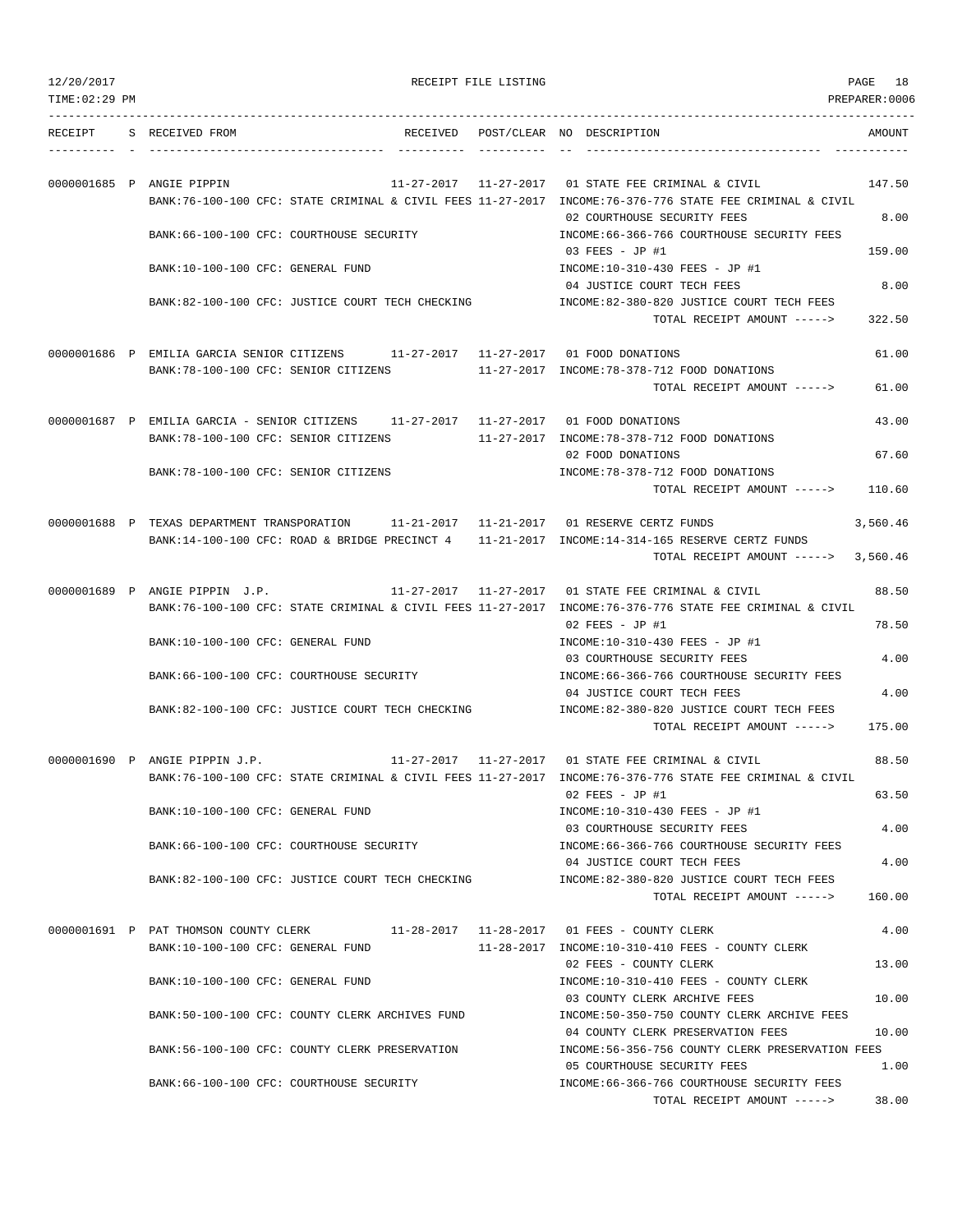| 12/20/2017 |
|------------|
|------------|

TIME:02:29 PM PREPARER:0006

RECEIPT FILE LISTING **PAGE 18** 

TOTAL RECEIPT AMOUNT -----> 38.00

| RECEIPT | S RECEIVED FROM                                                                                                               |  | RECEIVED POST/CLEAR NO DESCRIPTION                                                                                                                                | AMOUNT   |
|---------|-------------------------------------------------------------------------------------------------------------------------------|--|-------------------------------------------------------------------------------------------------------------------------------------------------------------------|----------|
|         |                                                                                                                               |  |                                                                                                                                                                   |          |
|         |                                                                                                                               |  |                                                                                                                                                                   |          |
|         | 0000001685 P ANGIE PIPPIN                                                                                                     |  | 11-27-2017  11-27-2017  01 STATE FEE CRIMINAL & CIVIL<br>BANK:76-100-100 CFC: STATE CRIMINAL & CIVIL FEES 11-27-2017 INCOME:76-376-776 STATE FEE CRIMINAL & CIVIL | 147.50   |
|         |                                                                                                                               |  | 02 COURTHOUSE SECURITY FEES                                                                                                                                       | 8.00     |
|         | BANK:66-100-100 CFC: COURTHOUSE SECURITY                                                                                      |  | INCOME: 66-366-766 COURTHOUSE SECURITY FEES                                                                                                                       |          |
|         |                                                                                                                               |  | 03 FEES - JP #1                                                                                                                                                   | 159.00   |
|         | BANK:10-100-100 CFC: GENERAL FUND                                                                                             |  | INCOME:10-310-430 FEES - JP #1                                                                                                                                    |          |
|         |                                                                                                                               |  | 04 JUSTICE COURT TECH FEES                                                                                                                                        | 8.00     |
|         | BANK:82-100-100 CFC: JUSTICE COURT TECH CHECKING                                                                              |  | INCOME:82-380-820 JUSTICE COURT TECH FEES<br>TOTAL RECEIPT AMOUNT ----->                                                                                          | 322.50   |
|         |                                                                                                                               |  |                                                                                                                                                                   |          |
|         | 0000001686 P EMILIA GARCIA SENIOR CITIZENS 11-27-2017 11-27-2017 01 FOOD DONATIONS                                            |  |                                                                                                                                                                   | 61.00    |
|         | BANK:78-100-100 CFC: SENIOR CITIZENS 11-27-2017 INCOME:78-378-712 FOOD DONATIONS                                              |  |                                                                                                                                                                   |          |
|         |                                                                                                                               |  | TOTAL RECEIPT AMOUNT ----->                                                                                                                                       | 61.00    |
|         |                                                                                                                               |  |                                                                                                                                                                   |          |
|         | 0000001687 P EMILIA GARCIA - SENIOR CITIZENS 11-27-2017 11-27-2017 01 FOOD DONATIONS<br>BANK: 78-100-100 CFC: SENIOR CITIZENS |  | 11-27-2017 INCOME:78-378-712 FOOD DONATIONS                                                                                                                       | 43.00    |
|         |                                                                                                                               |  | 02 FOOD DONATIONS                                                                                                                                                 | 67.60    |
|         | BANK: 78-100-100 CFC: SENIOR CITIZENS                                                                                         |  | INCOME: 78-378-712 FOOD DONATIONS                                                                                                                                 |          |
|         |                                                                                                                               |  | TOTAL RECEIPT AMOUNT ----->                                                                                                                                       | 110.60   |
|         |                                                                                                                               |  |                                                                                                                                                                   |          |
|         | 0000001688 P TEXAS DEPARTMENT TRANSPORATION 11-21-2017 11-21-2017 01 RESERVE CERTZ FUNDS                                      |  |                                                                                                                                                                   | 3,560.46 |
|         | BANK:14-100-100 CFC: ROAD & BRIDGE PRECINCT 4 11-21-2017 INCOME:14-314-165 RESERVE CERTZ FUNDS                                |  | TOTAL RECEIPT AMOUNT ----->                                                                                                                                       | 3,560.46 |
|         |                                                                                                                               |  |                                                                                                                                                                   |          |
|         | 0000001689 P ANGIE PIPPIN J.P. 11-27-2017 11-27-2017 01 STATE FEE CRIMINAL & CIVIL                                            |  |                                                                                                                                                                   | 88.50    |
|         |                                                                                                                               |  | BANK:76-100-100 CFC: STATE CRIMINAL & CIVIL FEES 11-27-2017 INCOME:76-376-776 STATE FEE CRIMINAL & CIVIL                                                          |          |
|         |                                                                                                                               |  | $02$ FEES - JP #1                                                                                                                                                 | 78.50    |
|         | BANK:10-100-100 CFC: GENERAL FUND                                                                                             |  | INCOME:10-310-430 FEES - JP #1                                                                                                                                    |          |
|         | BANK:66-100-100 CFC: COURTHOUSE SECURITY                                                                                      |  | 03 COURTHOUSE SECURITY FEES<br>INCOME: 66-366-766 COURTHOUSE SECURITY FEES                                                                                        | 4.00     |
|         |                                                                                                                               |  | 04 JUSTICE COURT TECH FEES                                                                                                                                        | 4.00     |
|         | BANK:82-100-100 CFC: JUSTICE COURT TECH CHECKING                                                                              |  | INCOME: 82-380-820 JUSTICE COURT TECH FEES                                                                                                                        |          |
|         |                                                                                                                               |  | TOTAL RECEIPT AMOUNT ----->                                                                                                                                       | 175.00   |
|         |                                                                                                                               |  |                                                                                                                                                                   |          |
|         | 0000001690 P ANGIE PIPPIN J.P.                                                                                                |  | 11-27-2017 11-27-2017 01 STATE FEE CRIMINAL & CIVIL                                                                                                               | 88.50    |
|         |                                                                                                                               |  | BANK:76-100-100 CFC: STATE CRIMINAL & CIVIL FEES 11-27-2017 INCOME:76-376-776 STATE FEE CRIMINAL & CIVIL<br>02 FEES - JP #1                                       | 63.50    |
|         | BANK:10-100-100 CFC: GENERAL FUND                                                                                             |  | INCOME:10-310-430 FEES - JP #1                                                                                                                                    |          |
|         |                                                                                                                               |  | 03 COURTHOUSE SECURITY FEES                                                                                                                                       | 4.00     |
|         | BANK: 66-100-100 CFC: COURTHOUSE SECURITY                                                                                     |  | INCOME: 66-366-766 COURTHOUSE SECURITY FEES                                                                                                                       |          |
|         |                                                                                                                               |  | 04 JUSTICE COURT TECH FEES                                                                                                                                        | 4.00     |
|         | BANK:82-100-100 CFC: JUSTICE COURT TECH CHECKING                                                                              |  | INCOME:82-380-820 JUSTICE COURT TECH FEES                                                                                                                         |          |
|         |                                                                                                                               |  | TOTAL RECEIPT AMOUNT ----->                                                                                                                                       | 160.00   |
|         | 0000001691 P PAT THOMSON COUNTY CLERK                                                                                         |  | 11-28-2017   11-28-2017   01   FEES - COUNTY CLERK                                                                                                                | 4.00     |
|         | BANK:10-100-100 CFC: GENERAL FUND                                                                                             |  | 11-28-2017 INCOME:10-310-410 FEES - COUNTY CLERK                                                                                                                  |          |
|         |                                                                                                                               |  | 02 FEES - COUNTY CLERK                                                                                                                                            | 13.00    |
|         | BANK:10-100-100 CFC: GENERAL FUND                                                                                             |  | INCOME:10-310-410 FEES - COUNTY CLERK                                                                                                                             |          |
|         |                                                                                                                               |  | 03 COUNTY CLERK ARCHIVE FEES                                                                                                                                      | 10.00    |
|         | BANK:50-100-100 CFC: COUNTY CLERK ARCHIVES FUND                                                                               |  | INCOME:50-350-750 COUNTY CLERK ARCHIVE FEES<br>04 COUNTY CLERK PRESERVATION FEES                                                                                  | 10.00    |
|         | BANK:56-100-100 CFC: COUNTY CLERK PRESERVATION                                                                                |  | INCOME:56-356-756 COUNTY CLERK PRESERVATION FEES                                                                                                                  |          |
|         |                                                                                                                               |  | 05 COURTHOUSE SECURITY FEES                                                                                                                                       | 1.00     |
|         | BANK: 66-100-100 CFC: COURTHOUSE SECURITY                                                                                     |  | INCOME:66-366-766 COURTHOUSE SECURITY FEES                                                                                                                        |          |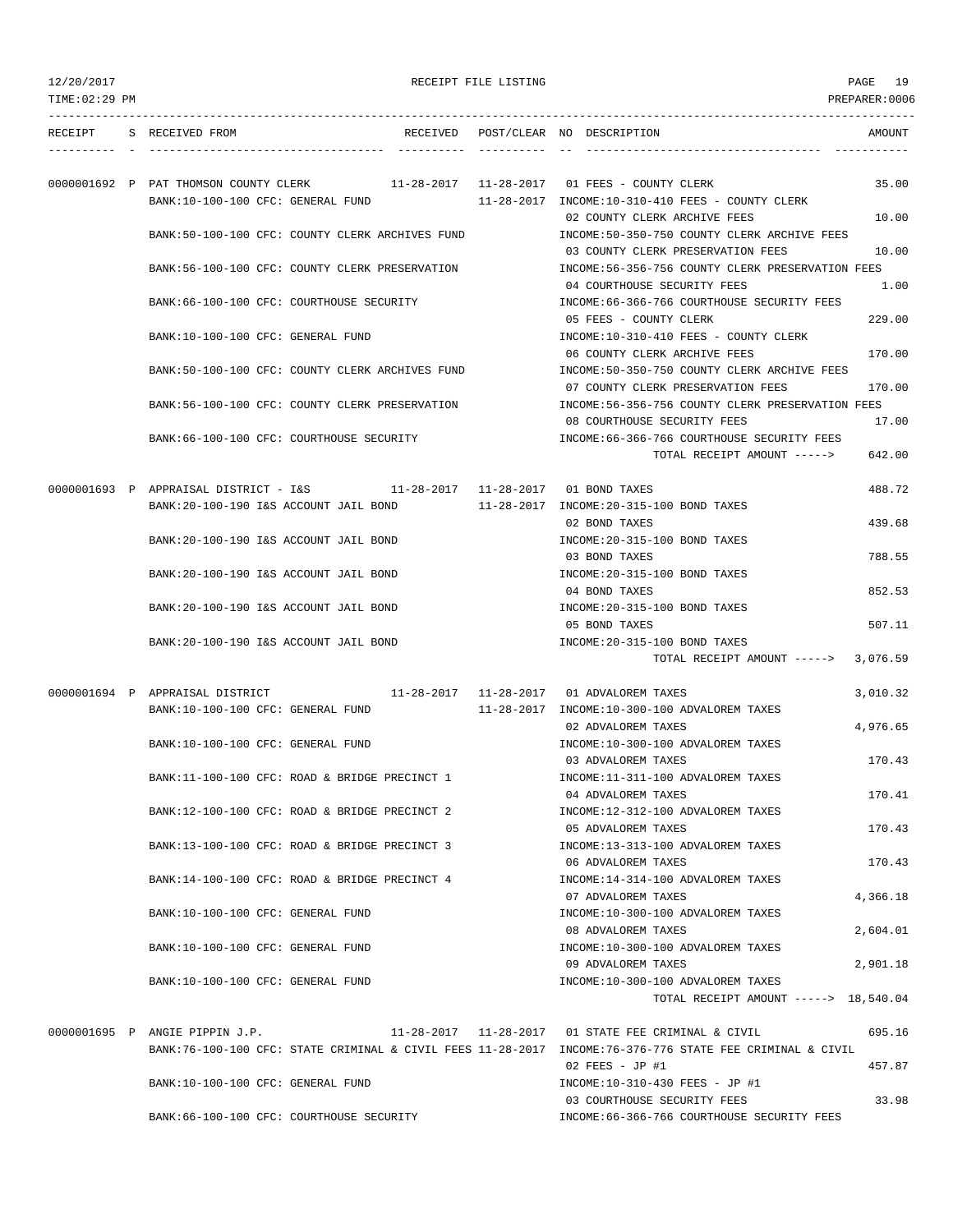| 12/20/2017 |
|------------|
|------------|

| 12/20/2017     |                                                                                                                    | RECEIPT FILE LISTING |                                                                                                                                 | PAGE 19          |
|----------------|--------------------------------------------------------------------------------------------------------------------|----------------------|---------------------------------------------------------------------------------------------------------------------------------|------------------|
| TIME: 02:29 PM |                                                                                                                    |                      |                                                                                                                                 | PREPARER: 0006   |
|                | RECEIPT S RECEIVED FROM                                                                                            |                      | RECEIVED POST/CLEAR NO DESCRIPTION                                                                                              | AMOUNT           |
|                | 0000001692 P PAT THOMSON COUNTY CLERK                                                                              |                      | $11-28-2017$ $11-28-2017$ 01 FEES - COUNTY CLERK                                                                                | 35.00            |
|                | BANK:10-100-100 CFC: GENERAL FUND<br>BANK:50-100-100 CFC: COUNTY CLERK ARCHIVES FUND                               |                      | 11-28-2017 INCOME:10-310-410 FEES - COUNTY CLERK<br>02 COUNTY CLERK ARCHIVE FEES<br>INCOME:50-350-750 COUNTY CLERK ARCHIVE FEES | 10.00            |
|                | BANK:56-100-100 CFC: COUNTY CLERK PRESERVATION                                                                     |                      | 03 COUNTY CLERK PRESERVATION FEES<br>INCOME: 56-356-756 COUNTY CLERK PRESERVATION FEES                                          | 10.00            |
|                | BANK:66-100-100 CFC: COURTHOUSE SECURITY                                                                           |                      | 04 COURTHOUSE SECURITY FEES<br>INCOME: 66-366-766 COURTHOUSE SECURITY FEES                                                      | 1.00             |
|                | BANK:10-100-100 CFC: GENERAL FUND                                                                                  |                      | 05 FEES - COUNTY CLERK<br>INCOME:10-310-410 FEES - COUNTY CLERK                                                                 | 229.00           |
|                |                                                                                                                    |                      | 06 COUNTY CLERK ARCHIVE FEES                                                                                                    | 170.00           |
|                | BANK:50-100-100 CFC: COUNTY CLERK ARCHIVES FUND                                                                    |                      | INCOME:50-350-750 COUNTY CLERK ARCHIVE FEES<br>07 COUNTY CLERK PRESERVATION FEES                                                | 170.00           |
|                | BANK:56-100-100 CFC: COUNTY CLERK PRESERVATION                                                                     |                      | INCOME:56-356-756 COUNTY CLERK PRESERVATION FEES<br>08 COURTHOUSE SECURITY FEES                                                 | 17.00            |
|                | BANK: 66-100-100 CFC: COURTHOUSE SECURITY                                                                          |                      | INCOME:66-366-766 COURTHOUSE SECURITY FEES<br>TOTAL RECEIPT AMOUNT ----->                                                       | 642.00           |
|                | 0000001693 P APPRAISAL DISTRICT - I&S 11-28-2017 11-28-2017 01 BOND TAXES<br>BANK:20-100-190 I&S ACCOUNT JAIL BOND |                      | 11-28-2017 INCOME:20-315-100 BOND TAXES                                                                                         | 488.72           |
|                | BANK: 20-100-190 I&S ACCOUNT JAIL BOND                                                                             |                      | 02 BOND TAXES<br>INCOME: 20-315-100 BOND TAXES                                                                                  | 439.68           |
|                | BANK: 20-100-190 I&S ACCOUNT JAIL BOND                                                                             |                      | 03 BOND TAXES<br>INCOME: 20-315-100 BOND TAXES                                                                                  | 788.55           |
|                | BANK: 20-100-190 I&S ACCOUNT JAIL BOND                                                                             |                      | 04 BOND TAXES<br>INCOME: 20-315-100 BOND TAXES                                                                                  | 852.53           |
|                | BANK: 20-100-190 I&S ACCOUNT JAIL BOND                                                                             |                      | 05 BOND TAXES<br>INCOME: 20-315-100 BOND TAXES                                                                                  | 507.11           |
|                |                                                                                                                    |                      | TOTAL RECEIPT AMOUNT -----> 3,076.59                                                                                            |                  |
|                | 0000001694 P APPRAISAL DISTRICT<br>BANK:10-100-100 CFC: GENERAL FUND                                               |                      | 11-28-2017   11-28-2017   01 ADVALOREM TAXES<br>11-28-2017 INCOME:10-300-100 ADVALOREM TAXES                                    | 3,010.32         |
|                | BANK:10-100-100 CFC: GENERAL FUND                                                                                  |                      | 02 ADVALOREM TAXES<br>INCOME:10-300-100 ADVALOREM TAXES                                                                         | 4,976.65         |
|                | BANK:11-100-100 CFC: ROAD & BRIDGE PRECINCT 1                                                                      |                      | 03 ADVALOREM TAXES<br>INCOME:11-311-100 ADVALOREM TAXES<br>04 ADVALOREM TAXES                                                   | 170.43<br>170.41 |
|                | BANK:12-100-100 CFC: ROAD & BRIDGE PRECINCT 2                                                                      |                      | INCOME:12-312-100 ADVALOREM TAXES<br>05 ADVALOREM TAXES                                                                         | 170.43           |
|                | BANK:13-100-100 CFC: ROAD & BRIDGE PRECINCT 3                                                                      |                      | INCOME:13-313-100 ADVALOREM TAXES<br>06 ADVALOREM TAXES                                                                         | 170.43           |
|                | BANK:14-100-100 CFC: ROAD & BRIDGE PRECINCT 4                                                                      |                      | INCOME:14-314-100 ADVALOREM TAXES<br>07 ADVALOREM TAXES                                                                         | 4,366.18         |
|                | BANK:10-100-100 CFC: GENERAL FUND                                                                                  |                      | INCOME:10-300-100 ADVALOREM TAXES<br>08 ADVALOREM TAXES                                                                         | 2,604.01         |
|                | BANK:10-100-100 CFC: GENERAL FUND                                                                                  |                      | INCOME:10-300-100 ADVALOREM TAXES<br>09 ADVALOREM TAXES                                                                         | 2,901.18         |
|                | BANK:10-100-100 CFC: GENERAL FUND                                                                                  |                      | INCOME:10-300-100 ADVALOREM TAXES<br>TOTAL RECEIPT AMOUNT -----> 18,540.04                                                      |                  |
|                | 0000001695 P ANGIE PIPPIN J.P.                                                                                     |                      | 11-28-2017   11-28-2017   01 STATE FEE CRIMINAL & CIVIL                                                                         | 695.16           |
|                | BANK:76-100-100 CFC: STATE CRIMINAL & CIVIL FEES 11-28-2017 INCOME:76-376-776 STATE FEE CRIMINAL & CIVIL           |                      | $02$ FEES - JP #1                                                                                                               | 457.87           |
|                | BANK:10-100-100 CFC: GENERAL FUND                                                                                  |                      | INCOME:10-310-430 FEES - JP #1<br>03 COURTHOUSE SECURITY FEES                                                                   | 33.98            |

BANK:66-100-100 CFC: COURTHOUSE SECURITY INCOME:66-366-766 COURTHOUSE SECURITY FEES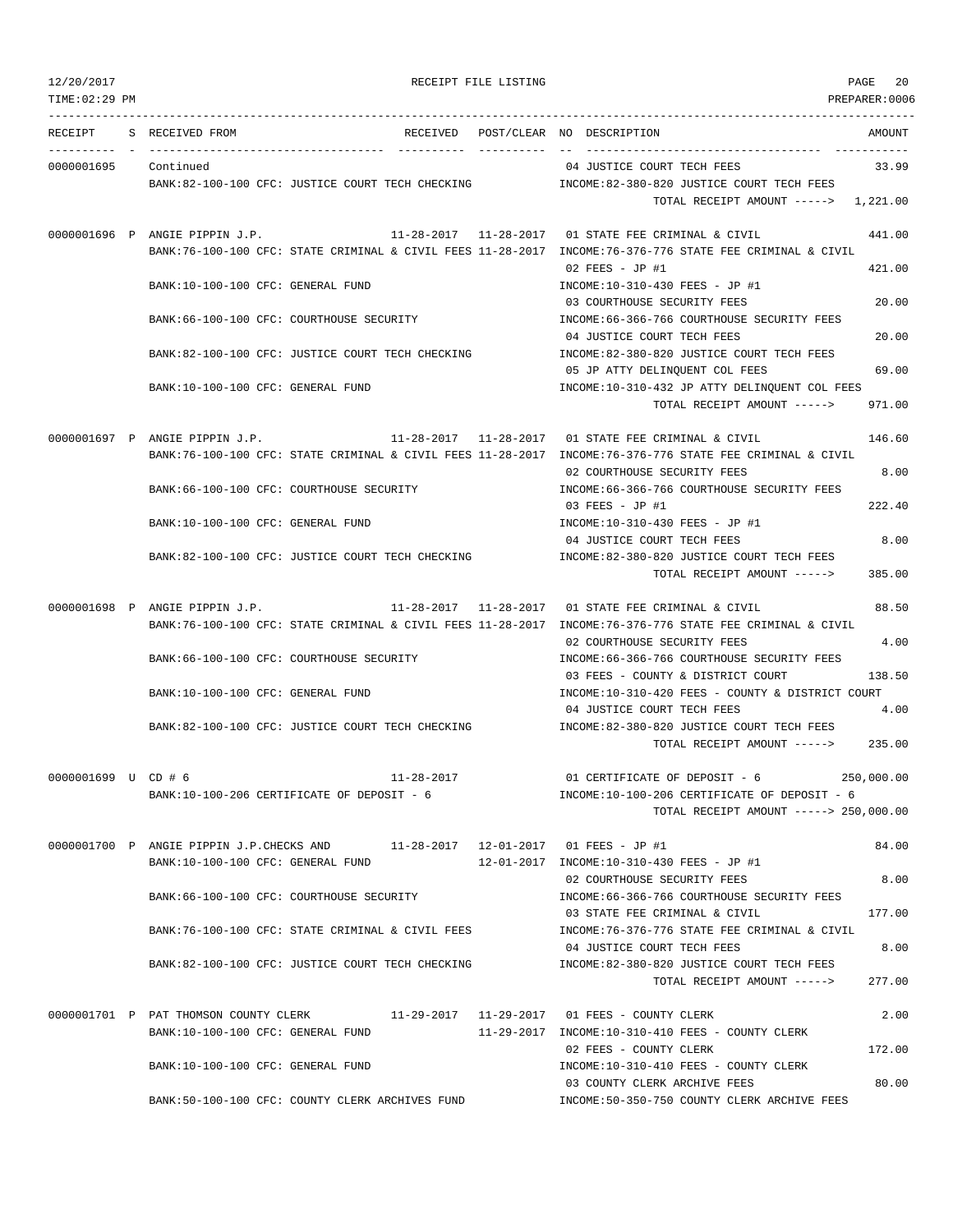TIME:02:29 PM PREPARER:0006 --------------------------------------------------------------------------------------------------------------------------------- RECEIPT S RECEIVED FROM THE RECEIVED POST/CLEAR NO DESCRIPTION THE SECRET AMOUNT ---------- - ----------------------------------- ---------- ---------- -- ----------------------------------- ----------- 0000001695 Continued 04 JUSTICE COURT TECH FEES 33.99 BANK:82-100-100 CFC: JUSTICE COURT TECH CHECKING INCOME:82-380-820 JUSTICE COURT TECH FEES TOTAL RECEIPT AMOUNT -----> 1,221.00 0000001696 P ANGIE PIPPIN J.P. 11-28-2017 11-28-2017 01 STATE FEE CRIMINAL & CIVIL 441.00 BANK:76-100-100 CFC: STATE CRIMINAL & CIVIL FEES 11-28-2017 INCOME:76-376-776 STATE FEE CRIMINAL & CIVIL 02 FEES - JP #1 421.00 BANK:10-100-100 CFC: GENERAL FUND INCOME:10-310-430 FEES - JP #1 03 COURTHOUSE SECURITY FEES 20.00 BANK:66-100-100 CFC: COURTHOUSE SECURITY INCOME:66-366-766 COURTHOUSE SECURITY FEES 04 JUSTICE COURT TECH FEES 20.00 BANK:82-100-100 CFC: JUSTICE COURT TECH CHECKING INCOME:82-380-820 JUSTICE COURT TECH FEES 05 JP ATTY DELINQUENT COL FEES 69.00 BANK:10-100-100 CFC: GENERAL FUND INCOME:10-310-432 JP ATTY DELINQUENT COL FEES TOTAL RECEIPT AMOUNT -----> 971.00 0000001697 P ANGIE PIPPIN J.P. 11-28-2017 11-28-2017 01 STATE FEE CRIMINAL & CIVIL 146.60 BANK:76-100-100 CFC: STATE CRIMINAL & CIVIL FEES 11-28-2017 INCOME:76-376-776 STATE FEE CRIMINAL & CIVIL 02 COURTHOUSE SECURITY FEES 8.00 BANK:66-100-100 CFC: COURTHOUSE SECURITY INCOME:66-366-766 COURTHOUSE SECURITY FEES 03 FEES - JP #1 222.40 BANK:10-100-100 CFC: GENERAL FUND INCOME:10-310-430 FEES - JP #1 04 JUSTICE COURT TECH FEES 8.00 BANK:82-100-100 CFC: JUSTICE COURT TECH CHECKING INCOME:82-380-820 JUSTICE COURT TECH FEES TOTAL RECEIPT AMOUNT -----> 385.00 0000001698 P ANGIE PIPPIN J.P. 11-28-2017 11-28-2017 01 STATE FEE CRIMINAL & CIVIL 88.50 BANK:76-100-100 CFC: STATE CRIMINAL & CIVIL FEES 11-28-2017 INCOME:76-376-776 STATE FEE CRIMINAL & CIVIL 02 COURTHOUSE SECURITY FEES 4.00 BANK:66-100-100 CFC: COURTHOUSE SECURITY INCOME:66-366-766 COURTHOUSE SECURITY FEES 03 FEES - COUNTY & DISTRICT COURT 138.50 BANK:10-100-100 CFC: GENERAL FUND INCOME:10-310-420 FEES - COUNTY & DISTRICT COURT 04 JUSTICE COURT TECH FEES 4.00 BANK:82-100-100 CFC: JUSTICE COURT TECH CHECKING INCOME:82-380-820 JUSTICE COURT TECH FEES TOTAL RECEIPT AMOUNT -----> 235.00 0000001699 U CD # 6 11-28-2017 01 CERTIFICATE OF DEPOSIT - 6 250,000.00 BANK:10-100-206 CERTIFICATE OF DEPOSIT - 6 INCOME:10-100-206 CERTIFICATE OF DEPOSIT - 6 TOTAL RECEIPT AMOUNT -----> 250,000.00 0000001700 P ANGIE PIPPIN J.P.CHECKS AND 11-28-2017 12-01-2017 01 FEES - JP #1 84.00 BANK:10-100-100 CFC: GENERAL FUND 12-01-2017 INCOME:10-310-430 FEES - JP #1 02 COURTHOUSE SECURITY FEES 8.00 BANK:66-100-100 CFC: COURTHOUSE SECURITY INCOME:66-366-766 COURTHOUSE SECURITY FEES 03 STATE FEE CRIMINAL & CIVIL 177.00 BANK:76-100-100 CFC: STATE CRIMINAL & CIVIL FEES INCOME:76-376-776 STATE FEE CRIMINAL & CIVIL 04 JUSTICE COURT TECH FEES 8.00 BANK:82-100-100 CFC: JUSTICE COURT TECH CHECKING INCOME:82-380-820 JUSTICE COURT TECH FEES TOTAL RECEIPT AMOUNT -----> 277.00 0000001701 P PAT THOMSON COUNTY CLERK 11-29-2017 11-29-2017 01 FEES - COUNTY CLERK 2.00 BANK:10-100-100 CFC: GENERAL FUND 11-29-2017 INCOME:10-310-410 FEES - COUNTY CLERK 02 FEES - COUNTY CLERK 172.00 BANK:10-100-100 CFC: GENERAL FUND INCOME:10-310-410 FEES - COUNTY CLERK 03 COUNTY CLERK ARCHIVE FEES 80.00 BANK:50-100-100 CFC: COUNTY CLERK ARCHIVES FUND INCOME:50-350-750 COUNTY CLERK ARCHIVE FEES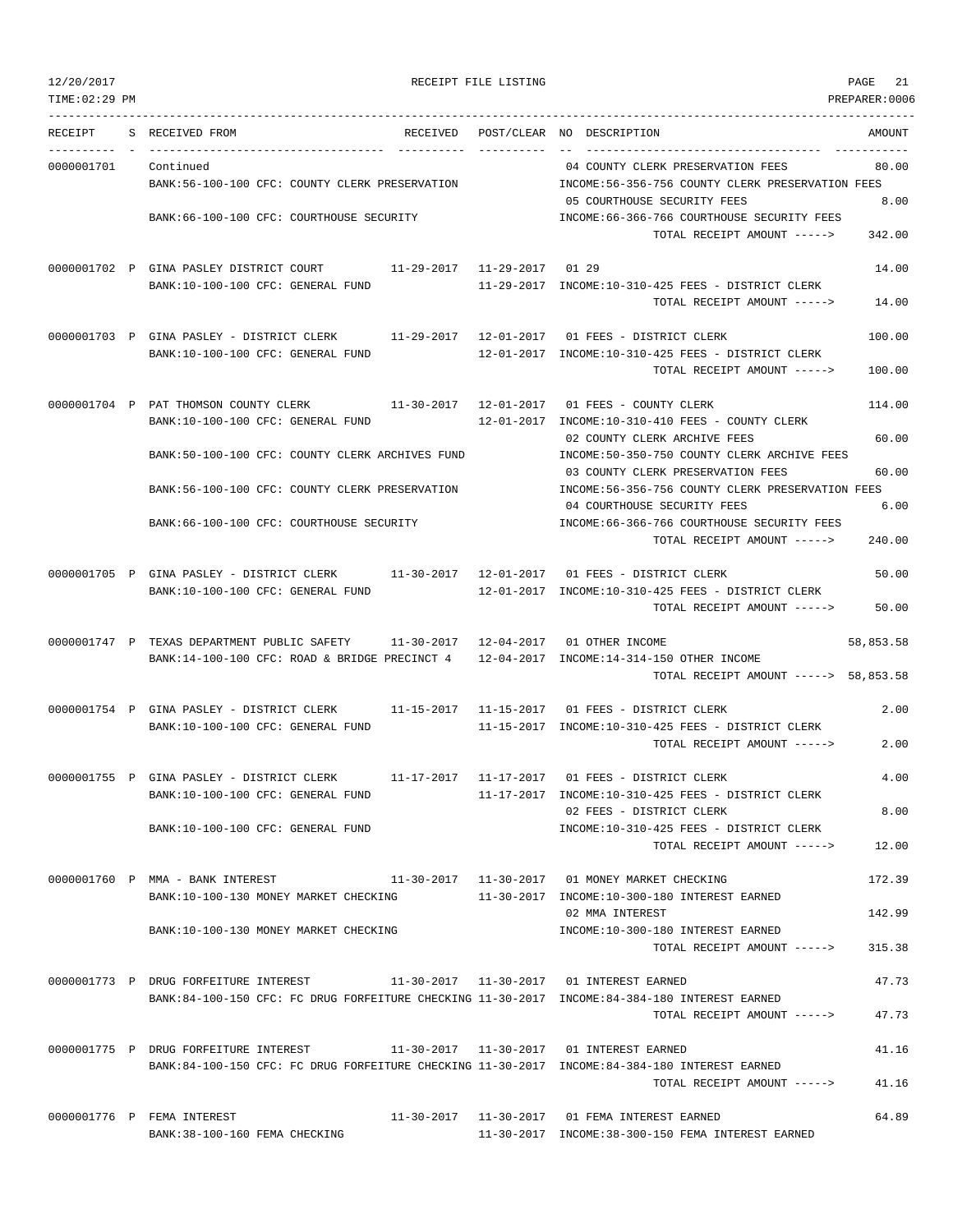|  | 12/20/2017 |  |
|--|------------|--|
|  |            |  |
|  |            |  |

RECEIPT FILE LISTING **PAGE 21** 

TIME:02:29 PM PREPARER:0006 --------------------------------------------------------------------------------------------------------------------------------- RECEIPT S RECEIVED FROM THE RECEIVED POST/CLEAR NO DESCRIPTION THE RECEIVED AMOUNT ---------- - ----------------------------------- ---------- ---------- -- ----------------------------------- ----------- 0000001701 Continued 04 COUNTY CLERK PRESERVATION FEES 80.00 BANK:56-100-100 CFC: COUNTY CLERK PRESERVATION INCOME:56-356-756 COUNTY CLERK PRESERVATION FEES 05 COURTHOUSE SECURITY FEES 8.00 BANK:66-100-100 CFC: COURTHOUSE SECURITY INCOME:66-366-766 COURTHOUSE SECURITY FEES TOTAL RECEIPT AMOUNT -----> 342.00 0000001702 P GINA PASLEY DISTRICT COURT 11-29-2017 11-29-2017 01 29 14.00 BANK:10-100-100 CFC: GENERAL FUND 11-29-2017 INCOME:10-310-425 FEES - DISTRICT CLERK TOTAL RECEIPT AMOUNT -----> 14.00 0000001703 P GINA PASLEY - DISTRICT CLERK 11-29-2017 12-01-2017 01 FEES - DISTRICT CLERK 100.00 BANK:10-100-100 CFC: GENERAL FUND 12-01-2017 INCOME:10-310-425 FEES - DISTRICT CLERK TOTAL RECEIPT AMOUNT -----> 100.00 0000001704 P PAT THOMSON COUNTY CLERK 11-30-2017 12-01-2017 01 FEES - COUNTY CLERK 114.00 BANK:10-100-100 CFC: GENERAL FUND 12-01-2017 INCOME:10-310-410 FEES - COUNTY CLERK 02 COUNTY CLERK ARCHIVE FEES 60.00 BANK:50-100-100 CFC: COUNTY CLERK ARCHIVES FUND INCOME:50-350-750 COUNTY CLERK ARCHIVE FEES 03 COUNTY CLERK PRESERVATION FEES 60.00 BANK:56-100-100 CFC: COUNTY CLERK PRESERVATION INCOME:56-356-756 COUNTY CLERK PRESERVATION FEES 04 COURTHOUSE SECURITY FEES 6.00 BANK:66-100-100 CFC: COURTHOUSE SECURITY INCOME:66-366-766 COURTHOUSE SECURITY FEES TOTAL RECEIPT AMOUNT -----> 240.00 0000001705 P GINA PASLEY - DISTRICT CLERK 11-30-2017 12-01-2017 01 FEES - DISTRICT CLERK 50.00 BANK:10-100-100 CFC: GENERAL FUND 12-01-2017 INCOME:10-310-425 FEES - DISTRICT CLERK TOTAL RECEIPT AMOUNT -----> 50.00 0000001747 P TEXAS DEPARTMENT PUBLIC SAFETY 11-30-2017 12-04-2017 01 OTHER INCOME 58,853.58 BANK:14-100-100 CFC: ROAD & BRIDGE PRECINCT 4 12-04-2017 INCOME:14-314-150 OTHER INCOME TOTAL RECEIPT AMOUNT -----> 58,853.58 0000001754 P GINA PASLEY - DISTRICT CLERK 11-15-2017 11-15-2017 01 FEES - DISTRICT CLERK 2.00 BANK:10-100-100 CFC: GENERAL FUND 11-15-2017 INCOME:10-310-425 FEES - DISTRICT CLERK TOTAL RECEIPT AMOUNT -----> 2.00 0000001755 P GINA PASLEY - DISTRICT CLERK 11-17-2017 11-17-2017 01 FEES - DISTRICT CLERK 4.00 BANK:10-100-100 CFC: GENERAL FUND 11-17-2017 INCOME:10-310-425 FEES - DISTRICT CLERK 02 FEES - DISTRICT CLERK 8.00 BANK:10-100-100 CFC: GENERAL FUND INCOME:10-310-425 FEES - DISTRICT CLERK TOTAL RECEIPT AMOUNT -----> 12.00 0000001760 P MMA - BANK INTEREST 11-30-2017 11-30-2017 01 MONEY MARKET CHECKING 172.39 BANK:10-100-130 MONEY MARKET CHECKING 11-30-2017 INCOME:10-300-180 INTEREST EARNED 02 MMA INTEREST 142.99 BANK:10-100-130 MONEY MARKET CHECKING INCOME:10-300-180 INTEREST EARNED TOTAL RECEIPT AMOUNT -----> 315.38 0000001773 P DRUG FORFEITURE INTEREST 11-30-2017 11-30-2017 01 INTEREST EARNED 47.73 BANK:84-100-150 CFC: FC DRUG FORFEITURE CHECKING 11-30-2017 INCOME:84-384-180 INTEREST EARNED TOTAL RECEIPT AMOUNT -----> 47.73 0000001775 P DRUG FORFEITURE INTEREST 11-30-2017 11-30-2017 01 INTEREST EARNED 41.16 BANK:84-100-150 CFC: FC DRUG FORFEITURE CHECKING 11-30-2017 INCOME:84-384-180 INTEREST EARNED TOTAL RECEIPT AMOUNT -----> 41.16 0000001776 P FEMA INTEREST 64.89 11-30-2017 11-30-2017 11-30-2017 11 FEMA INTEREST EARNED

BANK:38-100-160 FEMA CHECKING 11-30-2017 INCOME:38-300-150 FEMA INTEREST EARNED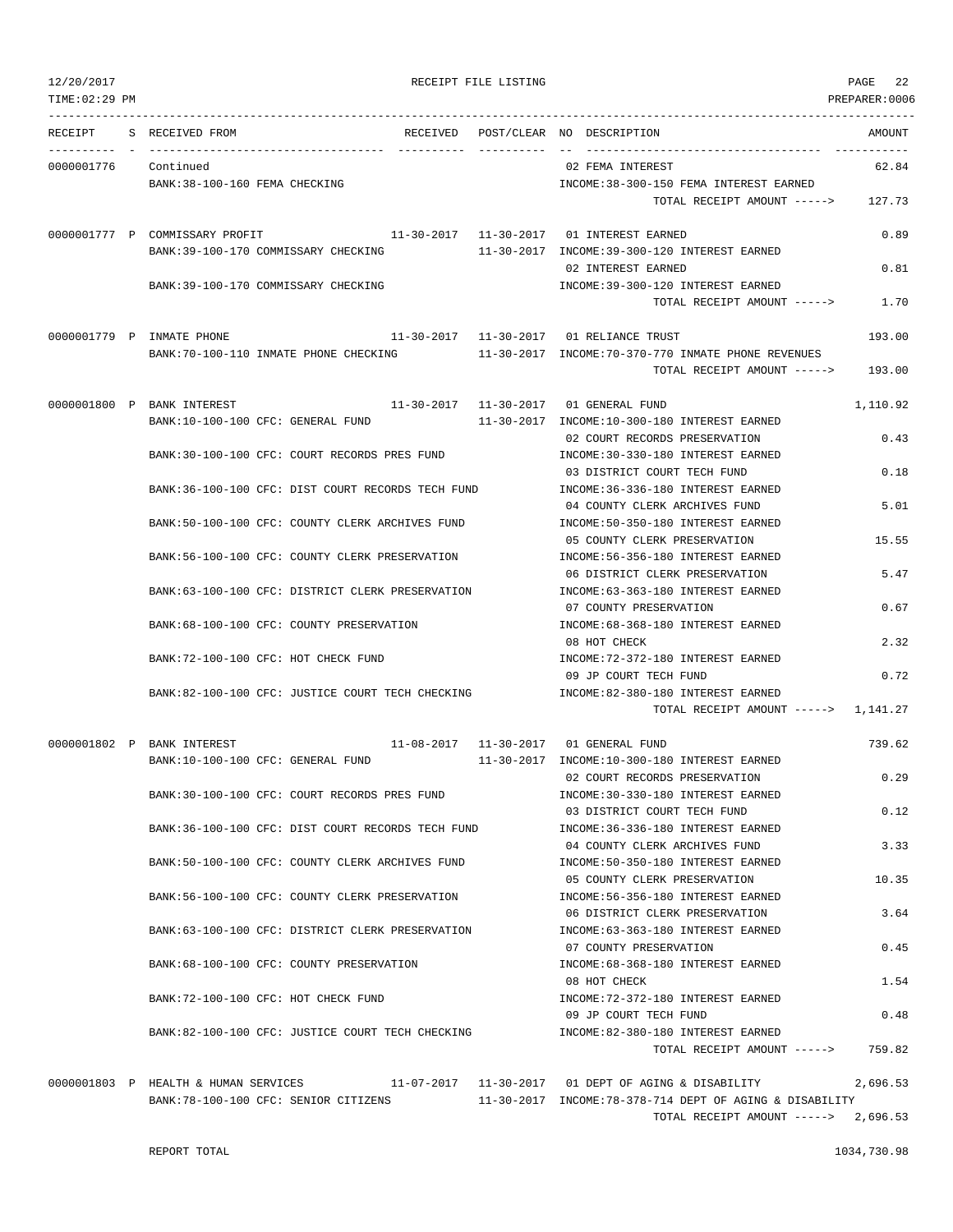TIME:02:29 PM PREPARER:0006 --------------------------------------------------------------------------------------------------------------------------------- RECEIPT S RECEIVED FROM THE RECEIVED POST/CLEAR NO DESCRIPTION THE RECEIVED AMOUNT ---------- - ----------------------------------- ---------- ---------- -- ----------------------------------- ----------- 0000001776 Continued 62.84 Continued 62.84 BANK:38-100-160 FEMA CHECKING **INCOME:38-300-150 FEMA INTEREST EARNED** TOTAL RECEIPT AMOUNT -----> 127.73 0000001777 P COMMISSARY PROFIT 11-30-2017 11-30-2017 01 INTEREST EARNED 0.89 BANK:39-100-170 COMMISSARY CHECKING 11-30-2017 INCOME:39-300-120 INTEREST EARNED 02 INTEREST EARNED 0.81 BANK:39-100-170 COMMISSARY CHECKING INCOME:39-300-120 INTEREST EARNED TOTAL RECEIPT AMOUNT -----> 1.70 0000001779 P INMATE PHONE 11-30-2017 11-30-2017 01 RELIANCE TRUST 193.00 BANK:70-100-110 INMATE PHONE CHECKING 11-30-2017 INCOME:70-370-770 INMATE PHONE REVENUES TOTAL RECEIPT AMOUNT -----> 193.00 0000001800 P BANK INTEREST 11-30-2017 11-30-2017 01 GENERAL FUND 1,110.92 BANK:10-100-100 CFC: GENERAL FUND 11-30-2017 INCOME:10-300-180 INTEREST EARNED 02 COURT RECORDS PRESERVATION 0.43 BANK:30-100-100 CFC: COURT RECORDS PRES FUND INCOME:30-330-180 INTEREST EARNED 03 DISTRICT COURT TECH FUND 0.18 BANK:36-100-100 CFC: DIST COURT RECORDS TECH FUND INCOME:36-336-180 INTEREST EARNED 04 COUNTY CLERK ARCHIVES FUND 5.01 BANK:50-100-100 CFC: COUNTY CLERK ARCHIVES FUND INCOME:50-350-180 INTEREST EARNED 05 COUNTY CLERK PRESERVATION 15.55 BANK:56-100-100 CFC: COUNTY CLERK PRESERVATION INCOME:56-356-180 INTEREST EARNED 06 DISTRICT CLERK PRESERVATION 5.47 BANK:63-100-100 CFC: DISTRICT CLERK PRESERVATION INCOME:63-363-180 INTEREST EARNED 07 COUNTY PRESERVATION 0.67 BANK:68-100-100 CFC: COUNTY PRESERVATION INCOME:68-368-180 INTEREST EARNED 08 HOT CHECK 2.32 BANK:72-100-100 CFC: HOT CHECK FUND INCOME:72-372-180 INTEREST EARNED 09 JP COURT TECH FUND 0.72 BANK:82-100-100 CFC: JUSTICE COURT TECH CHECKING INCOME:82-380-180 INTEREST EARNED TOTAL RECEIPT AMOUNT -----> 1,141.27 0000001802 P BANK INTEREST 11-08-2017 11-30-2017 01 GENERAL FUND 739.62 BANK:10-100-100 CFC: GENERAL FUND 11-30-2017 INCOME:10-300-180 INTEREST EARNED 02 COURT RECORDS PRESERVATION 0.29 BANK:30-100-100 CFC: COURT RECORDS PRES FUND INCOME:30-330-180 INTEREST EARNED 03 DISTRICT COURT TECH FUND 0.12 BANK:36-100-100 CFC: DIST COURT RECORDS TECH FUND INCOME:36-336-180 INTEREST EARNED 04 COUNTY CLERK ARCHIVES FUND 3.33 BANK:50-100-100 CFC: COUNTY CLERK ARCHIVES FUND INCOME:50-350-180 INTEREST EARNED 05 COUNTY CLERK PRESERVATION 10.35 BANK:56-100-100 CFC: COUNTY CLERK PRESERVATION INCOME:56-356-180 INTEREST EARNED 06 DISTRICT CLERK PRESERVATION 3.64 BANK:63-100-100 CFC: DISTRICT CLERK PRESERVATION INCOME:63-363-180 INTEREST EARNED 07 COUNTY PRESERVATION 0.45 BANK:68-100-100 CFC: COUNTY PRESERVATION INCOME:68-368-180 INTEREST EARNED 08 HOT CHECK 1.54 BANK:72-100-100 CFC: HOT CHECK FUND INCOME:72-372-180 INTEREST EARNED 09 JP COURT TECH FUND 0.48 BANK:82-100-100 CFC: JUSTICE COURT TECH CHECKING INCOME:82-380-180 INTEREST EARNED TOTAL RECEIPT AMOUNT -----> 759.82 0000001803 P HEALTH & HUMAN SERVICES 11-07-2017 11-30-2017 01 DEPT OF AGING & DISABILITY 2,696.53 BANK:78-100-100 CFC: SENIOR CITIZENS 11-30-2017 INCOME:78-378-714 DEPT OF AGING & DISABILITY

TOTAL RECEIPT AMOUNT -----> 2,696.53